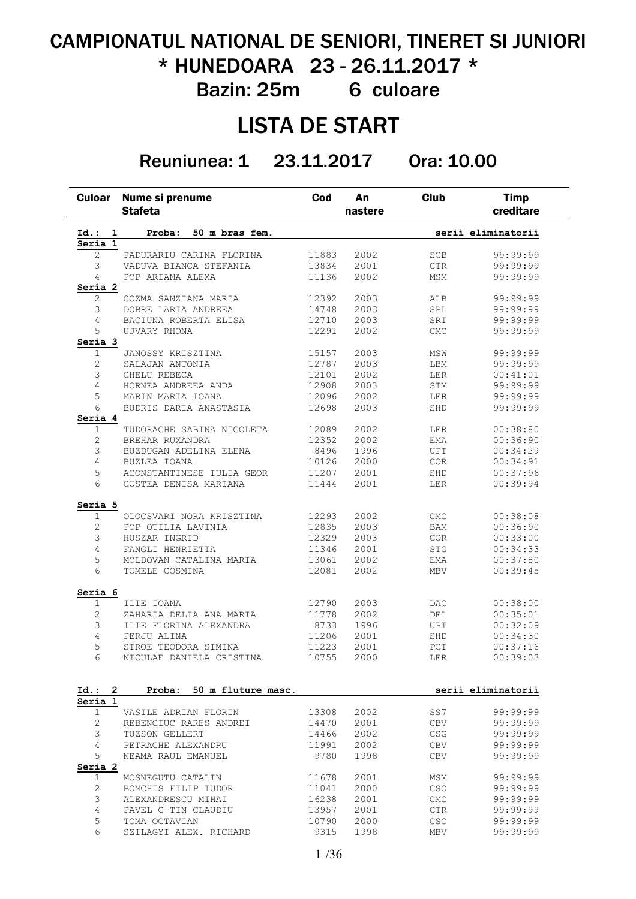# CAMPIONATUL NATIONAL DE SENIORI, TINERET SI JUNIORI \* HUNEDOARA 23 - 26.11.2017 \*

Bazin: 25m 6 culoare

### LISTA DE START

Reuniunea: 1 23.11.2017 Ora: 10.00

| <b>Culoar</b>          | Nume si prenume<br><b>Stafeta</b>     | Cod            | An<br>nastere | <b>Club</b>       | <b>Timp</b><br>creditare |
|------------------------|---------------------------------------|----------------|---------------|-------------------|--------------------------|
| Id.: 1                 | 50 m bras fem.<br>Proba:              |                |               |                   | serii eliminatorii       |
| Seria 1                |                                       |                |               |                   |                          |
| 2                      | PADURARIU CARINA FLORINA              | 11883          | 2002          | <b>SCB</b>        | 99:99:99                 |
| 3                      | VADUVA BIANCA STEFANIA                | 13834          | 2001          | $_{\rm CTR}$      | 99:99:99                 |
| 4                      | POP ARIANA ALEXA                      | 11136          | 2002          | MSM               | 99:99:99                 |
| Seria 2                |                                       |                |               |                   |                          |
| 2                      | COZMA SANZIANA MARIA                  | 12392          | 2003          | ALB               | 99:99:99                 |
| 3                      | DOBRE LARIA ANDREEA                   | 14748          | 2003          | SPL               | 99:99:99                 |
| 4<br>5                 | BACIUNA ROBERTA ELISA<br>UJVARY RHONA | 12710<br>12291 | 2003<br>2002  | SRT<br><b>CMC</b> | 99:99:99<br>99:99:99     |
| Seria 3                |                                       |                |               |                   |                          |
| 1                      | JANOSSY KRISZTINA                     | 15157          | 2003          | MSW               | 99:99:99                 |
| 2                      | SALAJAN ANTONIA                       | 12787          | 2003          | LBM               | 99:99:99                 |
| 3                      | CHELU REBECA                          | 12101          | 2002          | LER               | 00:41:01                 |
| 4                      | HORNEA ANDREEA ANDA                   | 12908          | 2003          | STM               | 99:99:99                 |
| 5                      | MARIN MARIA IOANA                     | 12096          | 2002          | LER               | 99:99:99                 |
| 6                      | BUDRIS DARIA ANASTASIA                | 12698          | 2003          | SHD               | 99:99:99                 |
| Seria 4                |                                       |                |               |                   |                          |
| 1                      | TUDORACHE SABINA NICOLETA             | 12089          | 2002          | LER               | 00:38:80                 |
| 2                      | BREHAR RUXANDRA                       | 12352          | 2002          | EMA               | 00:36:90                 |
| 3                      | BUZDUGAN ADELINA ELENA                | 8496           | 1996          | <b>UPT</b>        | 00:34:29                 |
| 4                      | BUZLEA IOANA                          | 10126          | 2000          | COR               | 00:34:91                 |
| 5                      | ACONSTANTINESE IULIA GEOR             | 11207          | 2001          | SHD               | 00:37:96                 |
| 6                      | COSTEA DENISA MARIANA                 | 11444          | 2001          | LER               | 00:39:94                 |
| Seria 5                |                                       |                |               |                   |                          |
| $\mathbf{1}$           | OLOCSVARI NORA KRISZTINA              | 12293          | 2002          | <b>CMC</b>        | 00:38:08                 |
| 2                      | POP OTILIA LAVINIA                    | 12835          | 2003          | BAM               | 00:36:90                 |
| 3                      | HUSZAR INGRID                         | 12329          | 2003          | $\rm{COR}$        | 00:33:00                 |
| $\overline{4}$         | FANGLI HENRIETTA                      | 11346          | 2001          | <b>STG</b>        | 00:34:33                 |
| 5                      | MOLDOVAN CATALINA MARIA               | 13061          | 2002          | EMA               | 00:37:80                 |
| 6                      | TOMELE COSMINA                        | 12081          | 2002          | <b>MBV</b>        | 00:39:45                 |
| Seria 6<br>$\mathbf 1$ |                                       |                |               |                   |                          |
| 2                      | ILIE IOANA<br>ZAHARIA DELIA ANA MARIA | 12790<br>11778 | 2003<br>2002  | DAC<br>DEL        | 00:38:00<br>00:35:01     |
| 3                      | ILIE FLORINA ALEXANDRA                | 8733           | 1996          | <b>UPT</b>        | 00:32:09                 |
| 4                      | PERJU ALINA                           | 11206          | 2001          | SHD               | 00:34:30                 |
| 5                      | STROE TEODORA SIMINA                  | 11223          | 2001          | PCT               | 00:37:16                 |
| 6                      | NICULAE DANIELA CRISTINA              | 10755          | 2000          | LER               | 00:39:03                 |
|                        |                                       |                |               |                   |                          |
| Id.: 2<br>Seria 1      | 50 m fluture masc.<br>Proba:          |                |               |                   | serii eliminatorii       |
| $\mathbf 1$            | VASILE ADRIAN FLORIN                  | 13308          | 2002          | SS7               | 99:99:99                 |
| 2                      | REBENCIUC RARES ANDREI                | 14470          | 2001          | CBV               | 99:99:99                 |
| 3                      | TUZSON GELLERT                        | 14466          | 2002          | <b>CSG</b>        | 99:99:99                 |
| 4                      | PETRACHE ALEXANDRU                    | 11991          | 2002          | CBV               | 99:99:99                 |
| 5                      | NEAMA RAUL EMANUEL                    | 9780           | 1998          | CBV               | 99:99:99                 |
| Seria 2                |                                       |                |               |                   |                          |
| 1                      | MOSNEGUTU CATALIN                     | 11678          | 2001          | MSM               | 99:99:99                 |
| 2                      | BOMCHIS FILIP TUDOR                   | 11041          | 2000          | <b>CSO</b>        | 99:99:99                 |
| 3                      | ALEXANDRESCU MIHAI                    | 16238          | 2001          | <b>CMC</b>        | 99:99:99                 |
| 4                      | PAVEL C-TIN CLAUDIU                   | 13957          | 2001          | CTR               | 99:99:99                 |
| 5                      | TOMA OCTAVIAN                         | 10790          | 2000          | CSO               | 99:99:99                 |
| 6                      | SZILAGYI ALEX. RICHARD                | 9315           | 1998          | MBV               | 99:99:99                 |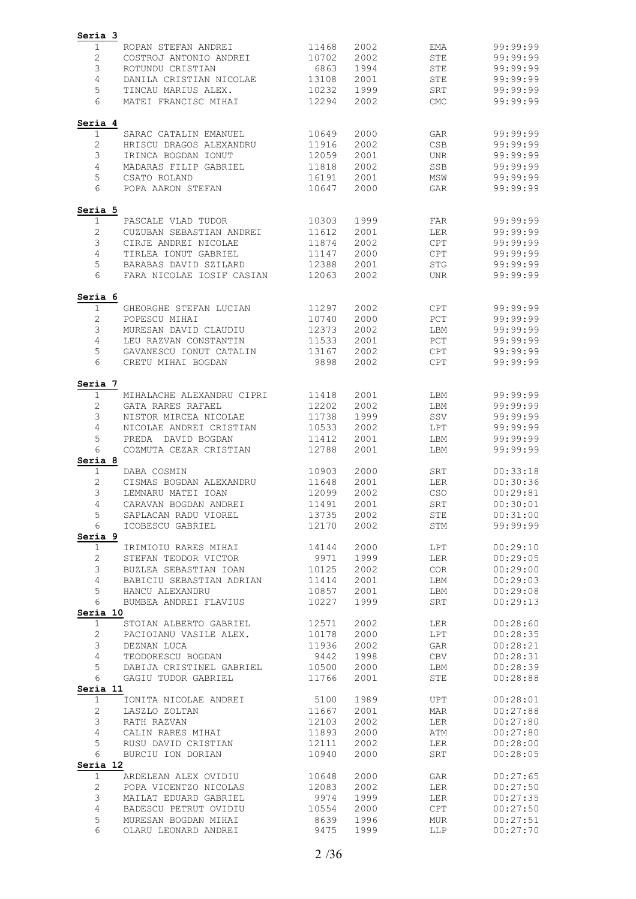| Seria 3<br>1                 | ROPAN STEFAN ANDREI                                    | 11468          | 2002         | EMA               | 99:99:99             |
|------------------------------|--------------------------------------------------------|----------------|--------------|-------------------|----------------------|
| 2                            | COSTROJ ANTONIO ANDREI                                 | 10702          | 2002         | STE               | 99:99:99             |
| 3                            | ROTUNDU CRISTIAN                                       | 6863           | 1994         | STE               | 99:99:99             |
| 4                            | DANILA CRISTIAN NICOLAE                                | 13108          | 2001         | <b>STE</b>        | 99:99:99             |
| 5                            | TINCAU MARIUS ALEX.                                    | 10232          | 1999         | SRT               | 99:99:99             |
| 6                            | MATEI FRANCISC MIHAI                                   | 12294          | 2002         | <b>CMC</b>        | 99:99:99             |
|                              |                                                        |                |              |                   |                      |
| Seria 4<br>1                 | SARAC CATALIN EMANUEL                                  | 10649          | 2000         | GAR               | 99:99:99             |
|                              | HRISCU DRAGOS ALEXANDRU                                | 11916          | 2002         | <b>CSB</b>        | 99:99:99             |
| $\sqrt{2}$<br>3              | IRINCA BOGDAN IONUT                                    | 12059          | 2001         | <b>UNR</b>        | 99:99:99             |
| 4                            | MADARAS FILIP GABRIEL                                  | 11818          | 2002         | SSB               | 99:99:99             |
| 5                            | CSATO ROLAND                                           | 16191          | 2001         | MSW               | 99:99:99             |
| 6                            | POPA AARON STEFAN                                      | 10647          | 2000         | GAR               | 99:99:99             |
| Seria 5                      |                                                        |                |              |                   |                      |
| $\mathbf{1}$                 | PASCALE VLAD TUDOR                                     | 10303          | 1999         | FAR               | 99:99:99             |
| $\mathbf{2}$                 | CUZUBAN SEBASTIAN ANDREI                               | 11612          | 2001         | LER               | 99:99:99             |
| 3                            | CIRJE ANDREI NICOLAE                                   | 11874          | 2002         | CPT               | 99:99:99             |
| 4                            | TIRLEA IONUT GABRIEL                                   | 11147          | 2000         | <b>CPT</b>        | 99:99:99             |
| 5                            | BARABAS DAVID SZILARD                                  | 12388          | 2001         | <b>STG</b>        | 99:99:99             |
| 6                            | FARA NICOLAE IOSIF CASIAN                              | 12063          | 2002         | <b>UNR</b>        | 99:99:99             |
| Seria 6                      |                                                        |                |              |                   |                      |
| 1                            | GHEORGHE STEFAN LUCIAN                                 | 11297          | 2002         | <b>CPT</b>        | 99:99:99             |
| $\mathbf{2}$                 | POPESCU MIHAI                                          | 10740          | 2000         | PCT               | 99:99:99             |
| 3                            | MURESAN DAVID CLAUDIU                                  | 12373          | 2002         | LBM               | 99:99:99             |
| 4                            | LEU RAZVAN CONSTANTIN                                  | 11533          | 2001         | PCT               | 99:99:99             |
| 5                            | GAVANESCU IONUT CATALIN                                | 13167          | 2002         | <b>CPT</b>        | 99:99:99             |
| 6                            | CRETU MIHAI BOGDAN                                     | 9898           | 2002         | <b>CPT</b>        | 99:99:99             |
| Seria 7                      |                                                        |                |              |                   |                      |
| $\mathbf{1}$<br>$\mathbf{2}$ | MIHALACHE ALEXANDRU CIPRI                              | 11418<br>12202 | 2001         | LBM               | 99:99:99<br>99:99:99 |
| 3                            | GATA RARES RAFAEL<br>NISTOR MIRCEA NICOLAE             | 11738          | 2002<br>1999 | LBM<br>SSV        | 99:99:99             |
| 4                            | NICOLAE ANDREI CRISTIAN                                | 10533          | 2002         | LPT               | 99:99:99             |
| 5                            | PREDA DAVID BOGDAN                                     | 11412          | 2001         | LBM               | 99:99:99             |
| 6                            | COZMUTA CEZAR CRISTIAN                                 | 12788          | 2001         | LBM               | 99:99:99             |
| Seria 8                      |                                                        |                |              |                   |                      |
| 1                            | DABA COSMIN                                            | 10903          | 2000         | SRT               | 00:33:18<br>00:30:36 |
| 2<br>3                       | CISMAS BOGDAN ALEXANDRU<br>LEMNARU MATEI IOAN          | 11648<br>12099 | 2001<br>2002 | <b>LER</b><br>CSO | 00:29:81             |
| 4                            | CARAVAN BOGDAN ANDREI                                  | 11491          | 2001         | ${\tt SRT}$       | 00:30:01             |
| 5                            | SAPLACAN RADU VIOREL 13735                             |                | 2002         | STE               | 00:31:00             |
| 6                            | ICOBESCU GABRIEL                                       | 12170          | 2002         | STM               | 99:99:99             |
| Seria 9                      |                                                        |                |              |                   |                      |
| $\mathbf{1}$                 | IRIMIOIU RARES MIHAI 14144                             |                | 2000         | LPT               | 00:29:10             |
| $\mathbf{2}$                 |                                                        | 9971<br>10125  | 1999         | LER               | 00:29:05             |
| 3                            |                                                        |                | 2002         | COR               | 00:29:00             |
| $\overline{4}$               | BABICIU SEBASTIAN ADRIAN 11414                         |                | 2001         | LBM               | 00:29:03             |
| 5                            | HANCU ALEXANDRU                                        | 10857          | 2001         | LBM               | 00:29:08             |
| 6<br>Seria 10                | BUMBEA ANDREI FLAVIUS                                  | 10227          | 1999         | SRT               | 00:29:13             |
| $\mathbf{1}$                 | STOIAN ALBERTO GABRIEL 12571                           |                | 2002         | LER               | 00:28:60             |
| $\overline{c}$               | PACIOIANU VASILE ALEX.                                 | 10178<br>11936 | 2000         | LPT               | 00:28:35             |
| 3                            | DEZNAN LUCA                                            |                | 2002         | GAR               | 00:28:21             |
| $\overline{4}$               | TEODORESCU BOGDAN                                      | 9442           | 1998         | CBV               | 00:28:31             |
| 5                            | DABIJA CRISTINEL GABRIEL 10500                         |                | 2000         | LBM               | 00:28:39             |
| 6<br>Seria 11                | GAGIU TUDOR GABRIEL                                    | 11766          | 2001         | STE               | 00:28:88             |
| $\mathbf 1$                  | -<br>IONITA NICOLAE ANDREI 5100<br>LASZLO ZOLTAN 11667 |                | 1989         | UPT               | 00:28:01             |
| $\mathbf{2}$                 |                                                        |                | 2001         | MAR               | 00:27:88             |
| 3                            | RATH RAZVAN                                            | 12103          | 2002         | LER               | 00:27:80             |
| $\overline{4}$               | CALIN RARES MIHAI                                      | 11893          | 2000         | ATM               | 00:27:80             |
| 5                            | RUSU DAVID CRISTIAN                                    | 12111          | 2002         | LER               | 00:28:00             |
| 6<br>Seria 12                | BURCIU ION DORIAN                                      | 10940          | 2000         | SRT               | 00:28:05             |
| $\mathbf 1$                  |                                                        |                | 2000         | GAR               | 00:27:65             |
| $\mathbf{2}$                 |                                                        |                | 2002         | LER               | 00:27:50             |
| 3                            | MAILAT EDUARD GABRIEL 9974                             |                | 1999         | LER               | 00:27:35             |
| $\overline{4}$               | BADESCU PETRUT OVIDIU 10554                            |                | 2000         | CPT               | 00:27:50             |
| 5                            | MURESAN BOGDAN MIHAI                                   | 8639           | 1996         | MUR               | 00:27:51             |
| 6                            | OLARU LEONARD ANDREI                                   | 9475           | 1999         | LLP               | 00:27:70             |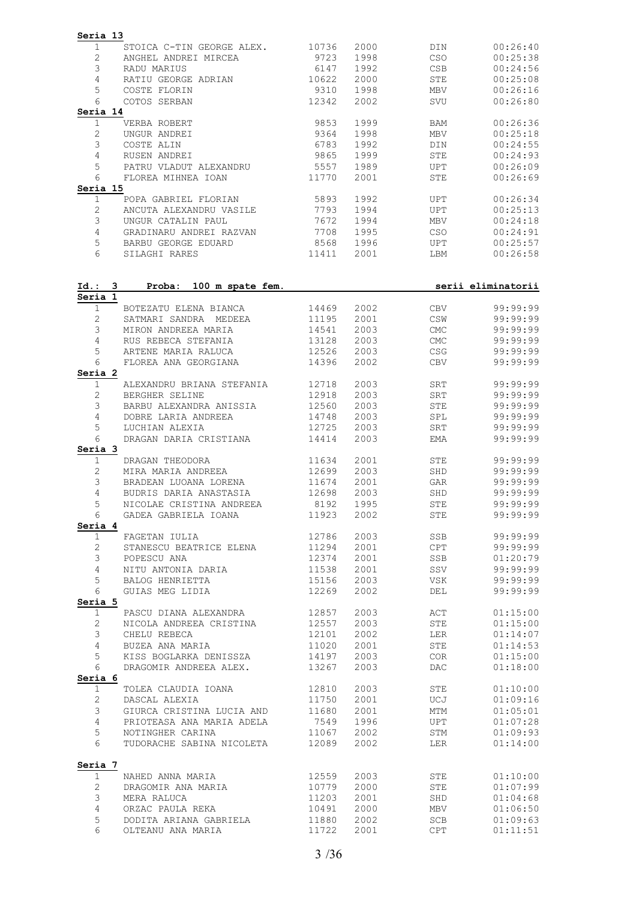| $\mathbf 1$<br>STOICA C-TIN GEORGE ALEX.<br>$\mathbf{2}$<br>ANGHEL ANDREI MIRCEA<br>3<br>RADU MARIUS<br>4<br>RATIU GEORGE ADRIAN<br>5<br>COSTE FLORIN<br>6<br>COTOS SERBAN<br>Seria 14 | 10736<br>9723<br>6147<br>10622 | 2000<br>1998<br>1992 | DIN<br><b>CSO</b>        | 00:26:40<br>00:25:38                                     |
|----------------------------------------------------------------------------------------------------------------------------------------------------------------------------------------|--------------------------------|----------------------|--------------------------|----------------------------------------------------------|
|                                                                                                                                                                                        |                                |                      |                          |                                                          |
|                                                                                                                                                                                        |                                |                      | <b>CSB</b>               | 00:24:56                                                 |
|                                                                                                                                                                                        |                                | 2000                 | STE                      | 00:25:08                                                 |
|                                                                                                                                                                                        | 9310                           | 1998                 | MBV                      | 00:26:16                                                 |
|                                                                                                                                                                                        | 12342                          | 2002                 | SVU                      | 00:26:80                                                 |
|                                                                                                                                                                                        |                                |                      |                          |                                                          |
| $\mathbf 1$<br>VERBA ROBERT                                                                                                                                                            | 9853                           | 1999                 | BAM                      | 00:26:36                                                 |
| $\mathbf{2}$<br>UNGUR ANDREI                                                                                                                                                           | 9364                           | 1998                 | MBV                      | 00:25:18                                                 |
| 3<br>COSTE ALIN                                                                                                                                                                        | 6783                           | 1992                 | DIN                      | 00:24:55                                                 |
| $\overline{4}$<br>RUSEN ANDREI                                                                                                                                                         | 9865                           | 1999                 | STE                      | 00:24:93                                                 |
| 5<br>PATRU VLADUT ALEXANDRU<br>6                                                                                                                                                       | 5557                           | 1989                 | UPT                      | 00:26:09                                                 |
| FLOREA MIHNEA IOAN<br>Seria 15                                                                                                                                                         | 11770                          | 2001                 | STE                      | 00:26:69                                                 |
| 1<br>POPA GABRIEL FLORIAN                                                                                                                                                              | 5893                           | 1992                 | UPT                      | 00:26:34                                                 |
| 2<br>ANCUTA ALEXANDRU VASILE                                                                                                                                                           | 7793                           | 1994                 | <b>UPT</b>               | 00:25:13                                                 |
| 3<br>UNGUR CATALIN PAUL                                                                                                                                                                | 7672                           | 1994                 | MBV                      | 00:24:18                                                 |
| $\overline{4}$<br>GRADINARU ANDREI RAZVAN                                                                                                                                              | 7708                           | 1995                 | CSO                      | 00:24:91                                                 |
| 5<br>BARBU GEORGE EDUARD                                                                                                                                                               | 8568                           | 1996                 | UPT                      | 00:25:57                                                 |
| 6<br>SILAGHI RARES                                                                                                                                                                     | 11411                          | 2001                 | LBM                      | 00:26:58                                                 |
| Id.: 3<br>Proba: 100 m spate fem.                                                                                                                                                      |                                |                      |                          | serii eliminatorii                                       |
| Seria 1                                                                                                                                                                                |                                |                      |                          |                                                          |
| $\mathbf 1$<br>BOTEZATU ELENA BIANCA                                                                                                                                                   | 14469                          | 2002                 | CBV                      | 99:99:99                                                 |
| $\mathbf{2}^{\prime}$<br>SATMARI SANDRA MEDEEA                                                                                                                                         | 11195                          | 2001                 | CSW                      | 99:99:99                                                 |
| 3<br>MIRON ANDREEA MARIA                                                                                                                                                               | 14541                          | 2003                 | CMC                      | 99:99:99                                                 |
| 4<br>RUS REBECA STEFANIA<br>5<br>ARTENE MARIA RALUCA                                                                                                                                   | 13128<br>12526                 | 2003<br>2003         | <b>CMC</b><br><b>CSG</b> | 99:99:99<br>99:99:99                                     |
| 6<br>FLOREA ANA GEORGIANA                                                                                                                                                              | 14396                          | 2002                 | CBV                      | 99:99:99                                                 |
| Seria 2                                                                                                                                                                                |                                |                      |                          |                                                          |
| $\mathbf 1$<br>ALEXANDRU BRIANA STEFANIA                                                                                                                                               | 12718                          | 2003                 | SRT                      | 99:99:99                                                 |
| $\mathbf{2}^{\prime}$<br>BERGHER SELINE                                                                                                                                                | 12918                          | 2003                 | SRT                      | 99:99:99                                                 |
| 3<br>BARBU ALEXANDRA ANISSIA                                                                                                                                                           | 12560                          | 2003                 | STE                      | 99:99:99                                                 |
| 4<br>DOBRE LARIA ANDREEA                                                                                                                                                               | 14748                          | 2003                 | SPL                      | 99:99:99                                                 |
| 5<br>LUCHIAN ALEXIA                                                                                                                                                                    | 12725                          | 2003                 | SRT                      | 99:99:99                                                 |
| 6<br>DRAGAN DARIA CRISTIANA                                                                                                                                                            | 14414                          | 2003                 | EMA                      | 99:99:99                                                 |
| Seria 3<br>1<br>DRAGAN THEODORA                                                                                                                                                        | 11634                          | 2001                 | STE                      | 99:99:99                                                 |
| $\mathbf{2}$<br>MIRA MARIA ANDREEA                                                                                                                                                     | 12699                          | 2003                 | SHD                      | 99:99:99                                                 |
| 3<br>BRADEAN LUOANA LORENA                                                                                                                                                             | 11674                          | 2001                 | GAR                      | 99:99:99                                                 |
| 4<br>BUDRIS DARIA ANASTASIA                                                                                                                                                            | 12698                          | 2003                 | SHD                      | 99:99:99                                                 |
| 5<br>NICOLAE CRISTINA ANDREEA                                                                                                                                                          | 8192                           | 1995                 | ${\tt STE}$              | 99:99:99                                                 |
| GADEA GABRIELA IOANA<br>6                                                                                                                                                              | 11923                          | 2002 00              | STE                      | 99:99:99                                                 |
| Seria 4                                                                                                                                                                                |                                |                      |                          |                                                          |
| 1<br>FAGETAN IULIA                                                                                                                                                                     | 12786                          |                      | SSB                      | 99:99:99                                                 |
| STANESCU BEATRICE ELENA 11294<br>$\mathbf{2}$                                                                                                                                          |                                | 2001                 | <b>CPT</b>               | 99:99:99                                                 |
| 3<br>POPESCU ANA                                                                                                                                                                       | 12374                          | 2001                 | SSB                      | 01:20:79                                                 |
| NITU ANTONIA DARIA<br>$\overline{4}$                                                                                                                                                   | $\frac{1}{11538}$              | 2001                 | SSV                      | 99:99:99                                                 |
| 5<br>BALOG HENRIETTA<br>6                                                                                                                                                              | 15156                          | 2003                 | VSK                      | 99:99:99                                                 |
| GUIAS MEG LIDIA<br>Seria 5                                                                                                                                                             | 12269                          | 2002                 | DEL                      | 99:99:99                                                 |
| PASCU DIANA ALEXANDRA 12857<br>$\mathbf{1}$                                                                                                                                            |                                | 2003                 | ACT                      | 01:15:00                                                 |
| $\mathbf{2}$<br>NICOLA ANDREEA CRISTINA 12557                                                                                                                                          |                                | 2003                 | STE                      | 01:15:00                                                 |
| 3<br>CHELU REBECA                                                                                                                                                                      | 12101                          | 2002                 | LER                      | 01:14:07                                                 |
| BUZEA ANA MARIA<br>$\overline{4}$                                                                                                                                                      | 11020                          | 2001                 | STE                      | 01:14:53                                                 |
| KISS BOGLARKA DENISSZA 14197<br>5                                                                                                                                                      |                                | 2003                 | COR                      | 01:15:00                                                 |
| 6<br>DRAGOMIR ANDREEA ALEX. 13267                                                                                                                                                      |                                | 2003                 | DAC                      | 01:18:00                                                 |
| Seria 6                                                                                                                                                                                |                                |                      |                          |                                                          |
| TOLEA CLAUDIA IOANA 12810<br>$\mathbf{1}$                                                                                                                                              |                                |                      | STE                      | 01:10:00                                                 |
| $\overline{c}$                                                                                                                                                                         |                                | 2001                 | UCJ                      | 01:09:16                                                 |
| 3                                                                                                                                                                                      |                                | 2001                 | MTM                      | 01:05:01                                                 |
|                                                                                                                                                                                        |                                | 1996<br>2002         | UPT<br>STM               | 01:07:28<br>01:09:93                                     |
| 4                                                                                                                                                                                      |                                | 2002                 | LER                      | 01:14:00                                                 |
| 5<br>6                                                                                                                                                                                 |                                |                      |                          |                                                          |
| DASCAL ALEXIA 11750<br>GIURCA CRISTINA LUCIA AND 11680<br>PRIOTEASA ANA MARIA ADELA 7549<br>NOTINGHER CARINA 11067<br>TUDORACHE SABINA NICOLETA 12089                                  |                                |                      |                          |                                                          |
| Seria 7                                                                                                                                                                                |                                |                      |                          |                                                          |
| 1<br>NAHED ANNA MARIA                                                                                                                                                                  |                                | 2003                 | STE                      |                                                          |
| DRAGOMIR ANA MARIA<br>$\overline{2}$<br>3                                                                                                                                              | 12559<br>10779                 | 2000                 | STE                      |                                                          |
| MERA RALUCA<br>ORZAC PAULA REKA                                                                                                                                                        | 11203                          | 2001                 | SHD<br>MBV               |                                                          |
| $\overline{4}$<br>5<br>DODITA ARIANA GABRIELA                                                                                                                                          | 10491<br>11880                 | 2000<br>2002         | SCB                      | 01:10:00<br>01:07:99<br>01:04:68<br>01:06:50<br>01:09:63 |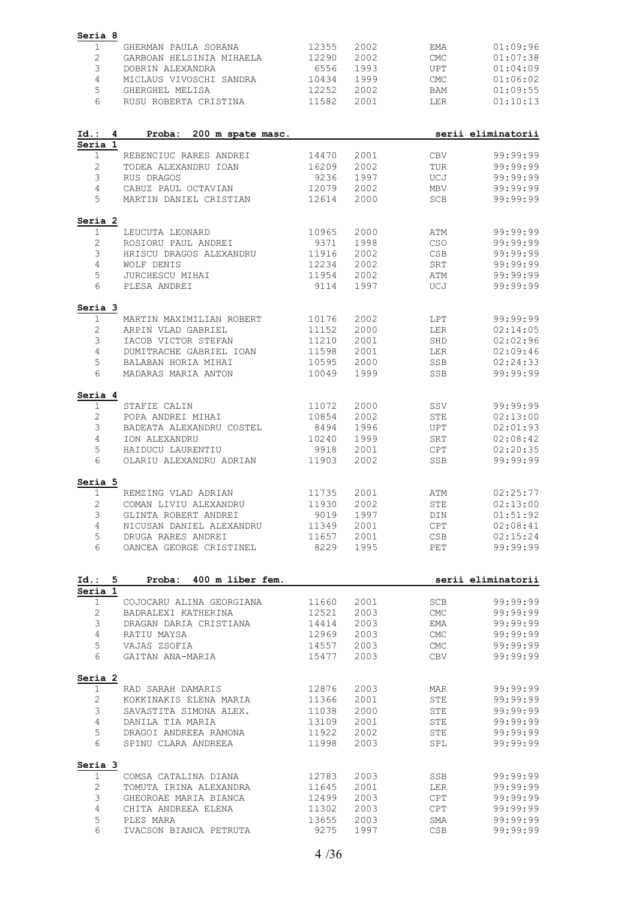| Seria 8        |                                               |                |              |                             |                      |
|----------------|-----------------------------------------------|----------------|--------------|-----------------------------|----------------------|
| 1              | GHERMAN PAULA SORANA                          | 12355          | 2002         | EMA                         | 01:09:96             |
| $\mathbf{2}$   | GARBOAN HELSINIA MIHAELA                      | 12290          | 2002         | <b>CMC</b>                  | 01:07:38             |
| 3              | DOBRIN ALEXANDRA                              | 6556           | 1993         | <b>UPT</b>                  | 01:04:09             |
| 4              | MICLAUS VIVOSCHI SANDRA                       | 10434          | 1999         | $\ensuremath{\mathsf{CMC}}$ | 01:06:02             |
| 5              | GHERGHEL MELISA                               | 12252          | 2002         | <b>BAM</b>                  | 01:09:55             |
| 6              | RUSU ROBERTA CRISTINA                         | 11582          | 2001         | LER                         | 01:10:13             |
|                |                                               |                |              |                             |                      |
| Id.:<br>4      | Proba:<br>200 m spate masc.                   |                |              |                             | serii eliminatorii   |
| Seria 1        |                                               |                |              |                             |                      |
| $\mathbf 1$    | REBENCIUC RARES ANDREI                        | 14470          | 2001         | <b>CBV</b>                  | 99:99:99             |
| $\overline{c}$ | TODEA ALEXANDRU IOAN                          | 16209          | 2002         | TUR                         | 99:99:99             |
| 3              | RUS DRAGOS                                    | 9236           | 1997         | UCJ                         | 99:99:99             |
| 4              | CABUZ PAUL OCTAVIAN                           | 12079          | 2002         | <b>MBV</b>                  | 99:99:99             |
| 5              | MARTIN DANIEL CRISTIAN                        | 12614          | 2000         | SCB                         | 99:99:99             |
| Seria 2        |                                               |                |              |                             |                      |
| 1              | LEUCUTA LEONARD                               | 10965          | 2000         | ATM                         | 99:99:99             |
| $\mathbf{2}$   | ROSIORU PAUL ANDREI                           | 9371           | 1998         | CSO                         | 99:99:99             |
| 3              | HRISCU DRAGOS ALEXANDRU                       | 11916          | 2002         | CSB                         | 99:99:99             |
| 4              | WOLF DENIS                                    | 12234          | 2002         | SRT                         | 99:99:99             |
| 5              | JURCHESCU MIHAI                               | 11954          | 2002         | ATM                         | 99:99:99             |
| 6              | PLESA ANDREI                                  | 9114           | 1997         | UCJ                         | 99:99:99             |
|                |                                               |                |              |                             |                      |
| Seria 3<br>1   | MARTIN MAXIMILIAN ROBERT                      | 10176          | 2002         | <b>LPT</b>                  | 99:99:99             |
|                |                                               |                |              |                             |                      |
| $\mathbf{2}$   | ARPIN VLAD GABRIEL                            | 11152          | 2000         | LER                         | 02:14:05             |
| 3              | IACOB VICTOR STEFAN                           | 11210          | 2001         | SHD                         | 02:02:96             |
| $\overline{4}$ | DUMITRACHE GABRIEL IOAN                       | 11598          | 2001         | LER                         | 02:09:46             |
| 5              | BALABAN HORIA MIHAI                           | 10595          | 2000         | SSB                         | 02:24:33             |
| 6              | MADARAS MARIA ANTON                           | 10049          | 1999         | SSB                         | 99:99:99             |
| Seria 4        |                                               |                |              |                             |                      |
| 1              | STAFIE CALIN                                  | 11072          | 2000         | SSV                         | 99:99:99             |
| 2              | POPA ANDREI MIHAI                             | 10854          | 2002         | <b>STE</b>                  | 02:13:00             |
| 3              | BADEATA ALEXANDRU COSTEL                      | 8494           | 1996         | UPT                         | 02:01:93             |
| 4              | ION ALEXANDRU                                 | 10240          | 1999         | SRT                         | 02:08:42             |
| 5              | HAIDUCU LAURENTIU                             | 9918           | 2001         | <b>CPT</b>                  | 02:20:35             |
| 6              | OLARIU ALEXANDRU ADRIAN                       | 11903          | 2002         | SSB                         | 99:99:99             |
| Seria 5        |                                               |                |              |                             |                      |
| 1              | REMZING VLAD ADRIAN                           | 11735          | 2001         | ATM                         | 02:25:77             |
| 2              | COMAN LIVIU ALEXANDRU                         | 11930          | 2002         | <b>STE</b>                  | 02:13:00             |
| 3              | GLINTA ROBERT ANDREI                          | 9019           | 1997         | DIN                         | 01:51:92             |
| 4              | NICUSAN DANIEL ALEXANDRU                      | 11349          | 2001         | CPT                         | 02:08:41             |
|                |                                               |                |              |                             |                      |
|                |                                               |                |              |                             |                      |
| 5<br>6         | DRUGA RARES ANDREI<br>OANCEA GEORGE CRISTINEL | 11657<br>8229  | 2001<br>1995 | CSB<br>PET                  | 02:15:24<br>99:99:99 |
|                |                                               |                |              |                             |                      |
| Id.: 5         | Proba: 400 m liber fem.                       |                |              |                             | serii eliminatorii   |
| Seria 1        |                                               |                |              |                             |                      |
| $\mathbf 1$    | COJOCARU ALINA GEORGIANA                      | 11660          | 2001         | <b>SCB</b>                  | 99:99:99             |
| $\mathbf{2}$   | BADRALEXI KATHERINA                           | 12521          | 2003         | $\ensuremath{\mathrm{CMC}}$ | 99:99:99             |
| 3              | DRAGAN DARIA CRISTIANA                        | 14414          | 2003         | EMA                         | 99:99:99             |
| 4              | RATIU MAYSA                                   | 12969          | 2003         | <b>CMC</b>                  | 99:99:99             |
| 5              | VAJAS ZSOFIA                                  | 14557          | 2003         | CMC                         | 99:99:99             |
| 6              | GAITAN ANA-MARIA                              | 15477          | 2003         | CBV                         | 99:99:99             |
| Seria 2        |                                               |                |              |                             |                      |
| $\mathbf{1}$   | RAD SARAH DAMARIS                             | 12876          | 2003         | MAR                         | 99:99:99             |
| 2              | KOKKINAKIS ELENA MARIA                        | 11366          | 2001         | STE                         | 99:99:99             |
|                | SAVASTITA SIMONA ALEX.                        | 11038          | 2000         | STE                         | 99:99:99             |
| 3              |                                               |                |              |                             |                      |
| $\overline{4}$ | DANILA TIA MARIA                              | 13109          | 2001         | STE                         | 99:99:99             |
| 5<br>6         | DRAGOI ANDREEA RAMONA<br>SPINU CLARA ANDREEA  | 11922<br>11998 | 2002<br>2003 | STE<br>SPL                  | 99:99:99<br>99:99:99 |
|                |                                               |                |              |                             |                      |
| Seria 3<br>1   | COMSA CATALINA DIANA                          | 12783          | 2003         | SSB                         | 99:99:99             |
|                | TOMUTA IRINA ALEXANDRA                        | 11645          |              | LER                         | 99:99:99             |
| $\mathbf{2}$   |                                               |                | 2001         |                             |                      |
| 3              | GHEOROAE MARIA BIANCA                         | 12499          | 2003         | <b>CPT</b>                  | 99:99:99             |
| 4              | CHITA ANDREEA ELENA                           | 11302          | 2003         | <b>CPT</b>                  | 99:99:99             |
| 5<br>6         | PLES MARA<br>IVACSON BIANCA PETRUTA           | 13655<br>9275  | 2003<br>1997 | SMA<br>CSB                  | 99:99:99<br>99:99:99 |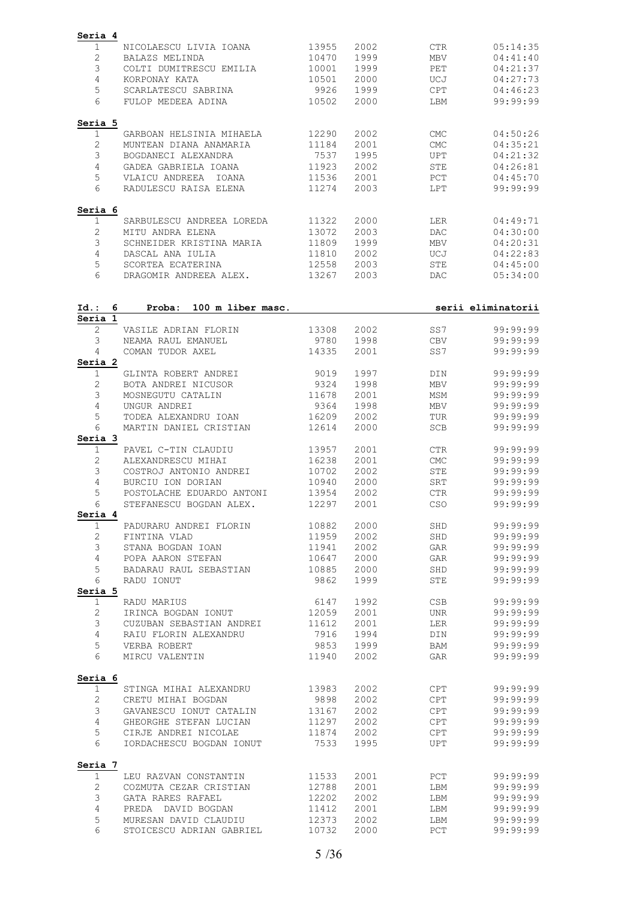| Seria 4                                                    |                |              |                               |                      |
|------------------------------------------------------------|----------------|--------------|-------------------------------|----------------------|
| NICOLAESCU LIVIA IOANA<br>1                                | 13955          | 2002         | <b>CTR</b>                    | 05:14:35             |
| $\mathbf{2}$<br>BALAZS MELINDA                             | 10470          | 1999         | <b>MBV</b>                    | 04:41:40             |
| 3<br>COLTI DUMITRESCU EMILIA                               | 10001          | 1999         | PET                           | 04:21:37             |
| 4<br>KORPONAY KATA                                         | 10501          | 2000         | UCJ                           | 04:27:73             |
|                                                            |                |              |                               |                      |
| 5<br>SCARLATESCU SABRINA                                   | 9926           | 1999         | CPT                           | 04:46:23             |
| 6<br>FULOP MEDEEA ADINA                                    | 10502          | 2000         | LBM                           | 99:99:99             |
| Seria 5                                                    |                |              |                               |                      |
| 1<br>GARBOAN HELSINIA MIHAELA                              | 12290          | 2002         | <b>CMC</b>                    | 04:50:26             |
| $\mathbf{2}$<br>MUNTEAN DIANA ANAMARIA                     | 11184          | 2001         | <b>CMC</b>                    | 04:35:21             |
| 3<br>BOGDANECI ALEXANDRA                                   | 7537           | 1995         | <b>UPT</b>                    | 04:21:32             |
| 4<br>GADEA GABRIELA IOANA                                  | 11923          | 2002         | STE                           | 04:26:81             |
|                                                            |                |              |                               |                      |
| 5<br>VLAICU ANDREEA IOANA<br>6<br>RADULESCU RAISA ELENA    | 11536<br>11274 | 2001<br>2003 | PCT<br>LPT                    | 04:45:70<br>99:99:99 |
|                                                            |                |              |                               |                      |
| Seria 6                                                    |                |              |                               |                      |
| $\mathbf 1$<br>SARBULESCU ANDREEA LOREDA                   | 11322          | 2000         | LER                           | 04:49:71             |
| $\mathbf{2}$<br>MITU ANDRA ELENA                           | 13072          | 2003         | <b>DAC</b>                    | 04:30:00             |
| 3<br>SCHNEIDER KRISTINA MARIA                              | 11809          | 1999         | MBV                           | 04:20:31             |
| 4<br>DASCAL ANA IULIA                                      | 11810          | 2002         | UCJ                           | 04:22:83             |
| 5<br>SCORTEA ECATERINA                                     | 12558          | 2003         | STE                           | 04:45:00             |
| 6<br>DRAGOMIR ANDREEA ALEX.                                | 13267          | 2003         | <b>DAC</b>                    | 05:34:00             |
|                                                            |                |              |                               |                      |
| Id.: 6<br>Proba:<br>100 m liber masc.                      |                |              |                               | serii eliminatorii   |
| Seria 1                                                    |                |              |                               |                      |
| 2<br>VASILE ADRIAN FLORIN                                  | 13308          | 2002         | SS7                           | 99:99:99             |
| 3<br>NEAMA RAUL EMANUEL                                    | 9780           | 1998         | <b>CBV</b>                    | 99:99:99             |
| 4<br>COMAN TUDOR AXEL                                      | 14335          | 2001         | SS7                           | 99:99:99             |
| Seria 2                                                    |                |              |                               |                      |
|                                                            |                |              |                               |                      |
| $\mathbf 1$<br>GLINTA ROBERT ANDREI                        | 9019           | 1997         | DIN                           | 99:99:99             |
| $\overline{c}$<br>BOTA ANDREI NICUSOR                      | 9324           | 1998         | <b>MBV</b>                    | 99:99:99             |
| 3<br>MOSNEGUTU CATALIN                                     | 11678          | 2001         | MSM                           | 99:99:99             |
| 4<br>UNGUR ANDREI                                          | 9364           | 1998         | $\operatorname{\mathsf{MBV}}$ | 99:99:99             |
| 5<br>TODEA ALEXANDRU IOAN                                  | 16209          | 2002         | TUR                           | 99:99:99             |
| 6<br>MARTIN DANIEL CRISTIAN                                | 12614          | 2000         | SCB                           | 99:99:99             |
| Seria 3                                                    |                |              |                               |                      |
| $\mathbf 1$<br>PAVEL C-TIN CLAUDIU                         | 13957          | 2001         | <b>CTR</b>                    | 99:99:99             |
| $\mathbf{2}$<br>ALEXANDRESCU MIHAI                         | 16238          | 2001         | <b>CMC</b>                    | 99:99:99             |
| 3<br>COSTROJ ANTONIO ANDREI                                | 10702          | 2002         | STE                           | 99:99:99             |
| 4<br>BURCIU ION DORIAN                                     | 10940          | 2000         | SRT                           | 99:99:99             |
| 5<br>POSTOLACHE EDUARDO ANTONI                             | 13954          | 2002         | <b>CTR</b>                    | 99:99:99             |
| 6<br>STEFANESCU BOGDAN ALEX.                               | 12297          | 2001         | CSO                           | 99:99:99             |
| Seria 4                                                    |                |              |                               |                      |
|                                                            |                |              |                               |                      |
| $\mathbf{1}$<br>PADURARU ANDREI FLORIN                     | 10882          | 2000         | SHD                           | 99:99:99             |
| $\mathbf{2}$<br>FINTINA VLAD                               | 11959          | 2002         | SHD                           | 99:99:99             |
| 3<br>STANA BOGDAN IOAN                                     | 11941          | 2002         | GAR                           | 99:99:99             |
| $\overline{4}$<br>POPA AARON STEFAN                        | 10647          | 2000         | GAR                           | 99:99:99             |
| BADARAU RAUL SEBASTIAN<br>5                                | 10885          | 2000         | SHD                           | 99:99:99             |
| 6<br>RADU IONUT                                            | 9862           | 1999         | STE                           | 99:99:99             |
| Seria 5                                                    |                |              |                               |                      |
| $\mathbf 1$<br>RADU MARIUS                                 | 6147           | 1992         | CSB                           | 99:99:99             |
| IRINCA BOGDAN IONUT<br>2                                   | 12059          | 2001         | UNR                           | 99:99:99             |
|                                                            |                |              |                               |                      |
| 3<br>CUZUBAN SEBASTIAN ANDREI 11612                        |                | 2001         | LER                           | 99:99:99             |
| $\overline{4}$<br>RAIU FLORIN ALEXANDRU                    | 7916           | 1994         | DIN                           | 99:99:99             |
| 5<br>VERBA ROBERT                                          | 9853           | 1999         | BAM                           | 99:99:99             |
| 6<br>MIRCU VALENTIN 11940                                  |                | 2002         | GAR                           | 99:99:99             |
| Seria 6                                                    |                |              |                               |                      |
| $\mathbf{1}$<br>STINGA MIHAI ALEXANDRU 13983               |                | 2002         | CPT                           | 99:99:99             |
| $\mathbf{2}$<br>CRETU MIHAI BOGDAN                         | 9898           | 2002         | CPT                           | 99:99:99             |
| 3                                                          | 13167          | 2002         | CPT                           | 99:99:99             |
| GAVANESCU IONUT CATALIN                                    |                |              |                               |                      |
| GHEORGHE STEFAN LUCIAN 11297<br>4                          |                | 2002         | CPT                           | 99:99:99             |
| 5<br>CIRJE ANDREI NICOLAE<br>6<br>IORDACHESCU BOGDAN IONUT | 11874<br>7533  | 2002<br>1995 | CPT<br>UPT                    | 99:99:99<br>99:99:99 |
|                                                            |                |              |                               |                      |
|                                                            |                |              |                               |                      |
| Seria 7                                                    |                |              |                               |                      |
| $\mathbf{1}$<br>LEU RAZVAN CONSTANTIN                      | 11533          | 2001         | PCT                           | 99:99:99             |
| $\overline{2}$<br>COZMUTA CEZAR CRISTIAN                   | 12788          | 2001         | LBM                           | 99:99:99             |
| 3<br>GATA RARES RAFAEL                                     | 12202          | 2002         | LBM                           | 99:99:99             |
| $\overline{4}$<br>PREDA DAVID BOGDAN                       | 11412          | 2001         | LBM                           | 99:99:99             |
| 5<br>MURESAN DAVID CLAUDIU                                 | 12373          | 2002         | LBM                           | 99:99:99             |
| 6<br>STOICESCU ADRIAN GABRIEL                              | 10732          | 2000         | PCT                           | 99:99:99             |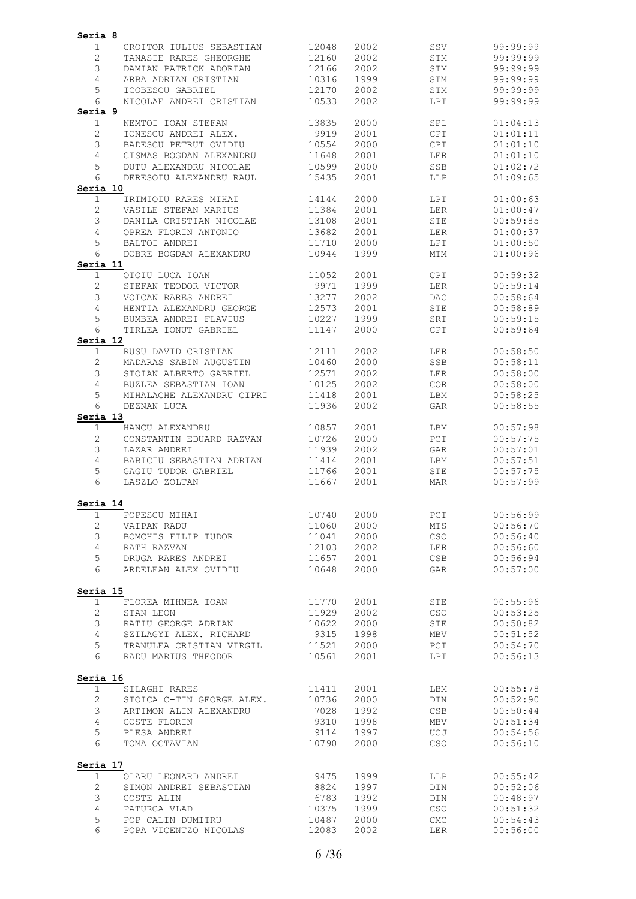| Seria 8             |                                                    |                |              |                                 |                      |
|---------------------|----------------------------------------------------|----------------|--------------|---------------------------------|----------------------|
| 1                   | CROITOR IULIUS SEBASTIAN                           | 12048          | 2002         | SSV                             | 99:99:99             |
| $\mathbf{2}$        | TANASIE RARES GHEORGHE                             | 12160          | 2002         | STM                             | 99:99:99             |
| 3                   | DAMIAN PATRICK ADORIAN                             | 12166          | 2002         | STM                             | 99:99:99             |
| $\overline{4}$      | ARBA ADRIAN CRISTIAN                               | 10316          | 1999         | STM                             | 99:99:99             |
| 5<br>6              | ICOBESCU GABRIEL<br>NICOLAE ANDREI CRISTIAN        | 12170<br>10533 | 2002<br>2002 | STM<br>LPT                      | 99:99:99<br>99:99:99 |
| Seria 9             |                                                    |                |              |                                 |                      |
| $\mathbf 1$         | NEMTOI IOAN STEFAN                                 | 13835          | 2000         | SPL                             | 01:04:13             |
| $\mathbf{2}$        | IONESCU ANDREI ALEX.                               | 9919           | 2001         | $\mathtt{CPT}$                  | 01:01:11             |
| 3                   | BADESCU PETRUT OVIDIU                              | 10554          | 2000         | <b>CPT</b>                      | 01:01:10             |
| $\overline{4}$      | CISMAS BOGDAN ALEXANDRU                            | 11648          | 2001         | LER                             | 01:01:10             |
| 5                   | DUTU ALEXANDRU NICOLAE                             | 10599          | 2000         | SSB                             | 01:02:72             |
| 6                   | DERESOIU ALEXANDRU RAUL                            | 15435          | 2001         | LLP                             | 01:09:65             |
| Seria 10            |                                                    |                |              |                                 |                      |
| $\mathbf 1$         | IRIMIOIU RARES MIHAI                               | 14144          | 2000         | LPT                             | 01:00:63             |
| 2<br>3              | VASILE STEFAN MARIUS<br>DANILA CRISTIAN NICOLAE    | 11384<br>13108 | 2001<br>2001 | LER<br><b>STE</b>               | 01:00:47<br>00:59:85 |
| 4                   | OPREA FLORIN ANTONIO                               | 13682          | 2001         | LER                             | 01:00:37             |
| 5                   | BALTOI ANDREI                                      | 11710          | 2000         | LPT                             | 01:00:50             |
| 6                   | DOBRE BOGDAN ALEXANDRU                             | 10944          | 1999         | <b>MTM</b>                      | 01:00:96             |
| Seria 11            |                                                    |                |              |                                 |                      |
| $\mathbf 1$         | OTOIU LUCA IOAN                                    | 11052          | 2001         | CPT                             | 00:59:32             |
| $\mathbf{2}$        | STEFAN TEODOR VICTOR                               | 9971           | 1999         | LER                             | 00:59:14             |
| 3                   | VOICAN RARES ANDREI                                | 13277          | 2002         | DAC                             | 00:58:64             |
| 4                   | HENTIA ALEXANDRU GEORGE                            | 12573          | 2001         | STE                             | 00:58:89             |
| 5                   | BUMBEA ANDREI FLAVIUS                              | 10227          | 1999         | SRT                             | 00:59:15             |
| 6<br>Seria 12       | TIRLEA IONUT GABRIEL                               | 11147          | 2000         | <b>CPT</b>                      | 00:59:64             |
| $\mathbf{1}$        | RUSU DAVID CRISTIAN                                | 12111          | 2002         | LER                             | 00:58:50             |
| $\mathbf{2}$        | MADARAS SABIN AUGUSTIN                             | 10460          | 2000         | SSB                             | 00:58:11             |
| 3                   | STOIAN ALBERTO GABRIEL                             | 12571          | 2002         | LER                             | 00:58:00             |
| $\overline{4}$      | BUZLEA SEBASTIAN IOAN                              | 10125          | 2002         | COR                             | 00:58:00             |
| 5                   | MIHALACHE ALEXANDRU CIPRI                          | 11418          | 2001         | LBM                             | 00:58:25             |
| 6                   | DEZNAN LUCA                                        | 11936          | 2002         | GAR                             | 00:58:55             |
| Seria 13            |                                                    |                |              |                                 |                      |
| $\mathbf 1$         | HANCU ALEXANDRU                                    | 10857          | 2001         | LBM                             | 00:57:98             |
| 2                   | CONSTANTIN EDUARD RAZVAN                           | 10726          | 2000         | ${\tt PCT}$                     | 00:57:75             |
| 3                   | LAZAR ANDREI                                       | 11939          | 2002         | GAR                             | 00:57:01             |
| 4<br>5              | BABICIU SEBASTIAN ADRIAN<br>GAGIU TUDOR GABRIEL    | 11414<br>11766 | 2001<br>2001 | LBM<br>STE                      | 00:57:51<br>00:57:75 |
| 6                   | LASZLO ZOLTAN                                      | 11667          | 2001         | <b>MAR</b>                      | 00:57:99             |
| Seria 14            |                                                    |                |              |                                 |                      |
| $\mathbf{1}$        | POPESCU MIHAI                                      | 10740          | 2000         | PCT                             | 00:56:99             |
| $\mathbf{2}$        | VAIPAN RADU                                        | 11060          | 2000         | $\rm{MT}\,S$                    | 00:56:70             |
| 3                   | BOMCHIS FILIP TUDOR                                | 11041          | 2000         | CSO                             | 00:56:40             |
| $\overline{4}$      | RATH RAZVAN                                        | 12103          | 2002         | LER                             | 00:56:60             |
| 5<br>6              | DRUGA RARES ANDREI<br>ARDELEAN ALEX OVIDIU         | 11657<br>10648 | 2001<br>2000 | CSB<br>GAR                      | 00:56:94<br>00:57:00 |
|                     |                                                    |                |              |                                 |                      |
| Seria 15            |                                                    |                |              |                                 |                      |
| $\mathbf{1}$        | FLOREA MIHNEA IOAN                                 | 11770          | 2001         | STE                             | 00:55:96             |
| $\sqrt{2}$          | STAN LEON                                          | 11929          | 2002         | $_{\tiny{\mbox{\textsf{CSO}}}}$ | 00:53:25             |
| 3<br>$\overline{4}$ | RATIU GEORGE ADRIAN                                | 10622          | 2000         | STE                             | 00:50:82             |
| 5                   | SZILAGYI ALEX. RICHARD<br>TRANULEA CRISTIAN VIRGIL | 9315<br>11521  | 1998<br>2000 | MBV<br>PCT                      | 00:51:52<br>00:54:70 |
| 6                   | RADU MARIUS THEODOR                                | 10561          | 2001         | LPT                             | 00:56:13             |
| Seria 16            |                                                    |                |              |                                 |                      |
| $\mathbf{1}$        | SILAGHI RARES                                      | 11411          | 2001         | LBM                             | 00:55:78             |
| $\mathbf{2}$        | STOICA C-TIN GEORGE ALEX.                          | 10736          | 2000         | DIN                             | 00:52:90             |
| 3                   | ARTIMON ALIN ALEXANDRU                             | 7028           | 1992         | CSB                             | 00:50:44             |
| 4                   | COSTE FLORIN                                       | 9310           | 1998         | MBV                             | 00:51:34             |
| 5<br>6              | PLESA ANDREI<br>TOMA OCTAVIAN                      | 9114<br>10790  | 1997<br>2000 | UCJ<br>CSO                      | 00:54:56<br>00:56:10 |
| Seria 17            |                                                    |                |              |                                 |                      |
| $\mathbf 1$         | OLARU LEONARD ANDREI                               | 9475           | 1999         | LLP                             | 00:55:42             |
| $\mathbf{2}$        | SIMON ANDREI SEBASTIAN                             | 8824           | 1997         | DIN                             | 00:52:06             |
| 3                   | COSTE ALIN                                         | 6783           | 1992         | $\texttt{DIN}$                  | 00:48:97             |
| 4                   | PATURCA VLAD                                       | 10375          | 1999         | CSO                             | 00:51:32             |
| 5                   | POP CALIN DUMITRU                                  | 10487          | 2000         | ${\rm CMC}$                     | 00:54:43             |
| 6                   | POPA VICENTZO NICOLAS                              | 12083          | 2002         | LER                             | 00:56:00             |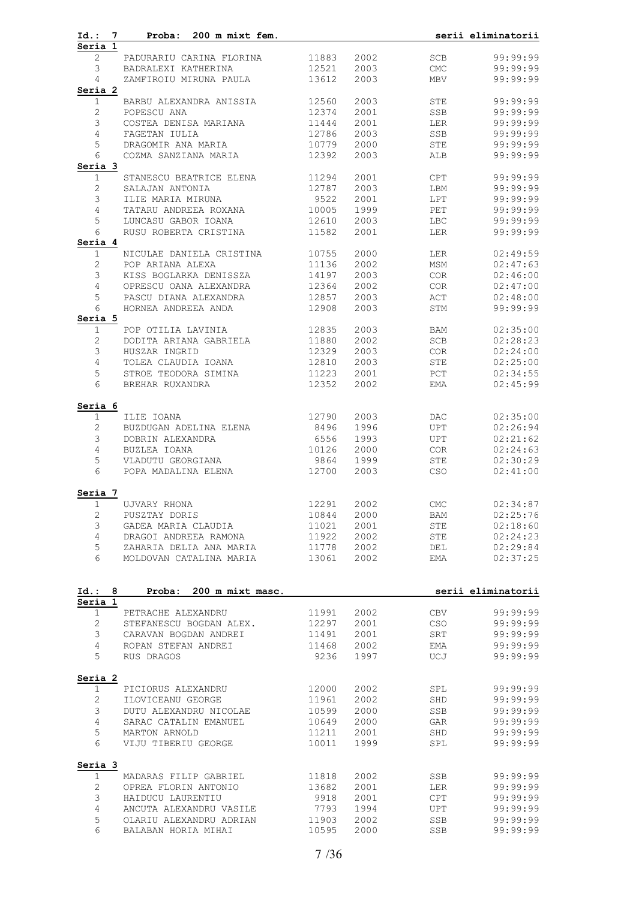| Id.: 7                  | Proba: 200 m mixt fem.     |       |              |                             | serii eliminatorii |
|-------------------------|----------------------------|-------|--------------|-----------------------------|--------------------|
| Seria 1<br>$\mathbf{2}$ | PADURARIU CARINA FLORINA   | 11883 | 2002         | SCB                         | 99:99:99           |
| 3                       | BADRALEXI KATHERINA        | 12521 | 2003         | $\ensuremath{\mathrm{CMC}}$ | 99:99:99           |
| 4                       | ZAMFIROIU MIRUNA PAULA     | 13612 | 2003         | MBV                         | 99:99:99           |
| Seria 2                 |                            |       |              |                             |                    |
| $\mathbf{1}$            | BARBU ALEXANDRA ANISSIA    | 12560 | 2003         | STE                         | 99:99:99           |
| $\mathbf{2}$            | POPESCU ANA                | 12374 | 2001         | SSB                         | 99:99:99           |
| 3                       | COSTEA DENISA MARIANA      | 11444 | 2001         | LER                         | 99:99:99           |
| $\overline{4}$          | FAGETAN IULIA              | 12786 | 2003         | SSB                         | 99:99:99           |
| 5                       | DRAGOMIR ANA MARIA         | 10779 | 2000         | STE                         | 99:99:99           |
| 6                       | COZMA SANZIANA MARIA       | 12392 | 2003         | ALB                         | 99:99:99           |
| Seria 3                 |                            |       |              |                             |                    |
| $\mathbf{1}$            | STANESCU BEATRICE ELENA    | 11294 | 2001         | CPT                         | 99:99:99           |
| $\mathbf{2}$            | SALAJAN ANTONIA            | 12787 | 2003         | LBM                         | 99:99:99           |
| 3                       | ILIE MARIA MIRUNA          | 9522  | 2001         | <b>LPT</b>                  | 99:99:99           |
| $\overline{4}$          | TATARU ANDREEA ROXANA      | 10005 | 1999         | PET                         | 99:99:99           |
| 5                       | LUNCASU GABOR IOANA        | 12610 | 2003         | LBC                         | 99:99:99           |
| 6                       | RUSU ROBERTA CRISTINA      | 11582 | 2001         | LER                         | 99:99:99           |
| Seria 4                 |                            |       |              |                             |                    |
| $\mathbf 1$             | NICULAE DANIELA CRISTINA   | 10755 | 2000         | LER                         | 02:49:59           |
| $\sqrt{2}$              | POP ARIANA ALEXA           | 11136 | 2002         | MSM                         | 02:47:63           |
| 3                       | KISS BOGLARKA DENISSZA     | 14197 | 2003         | COR                         | 02:46:00           |
| $\overline{4}$          | OPRESCU OANA ALEXANDRA     | 12364 | 2002         | COR                         | 02:47:00           |
| 5                       | PASCU DIANA ALEXANDRA      | 12857 | 2003         | ACT                         | 02:48:00           |
| 6                       | HORNEA ANDREEA ANDA        | 12908 | 2003         | STM                         | 99:99:99           |
| Seria 5                 |                            |       |              |                             |                    |
| $\mathbf{1}$            | POP OTILIA LAVINIA         | 12835 | 2003         | BAM                         | 02:35:00           |
| $\mathbf{2}$            | DODITA ARIANA GABRIELA     | 11880 | 2002         | SCB                         | 02:28:23           |
| 3<br>$\overline{4}$     | HUSZAR INGRID              | 12329 | 2003         | COR                         | 02:24:00           |
|                         | TOLEA CLAUDIA IOANA        | 12810 | 2003         | STE                         | 02:25:00           |
| 5<br>6                  | STROE TEODORA SIMINA       | 11223 | 2001<br>2002 | PCT                         | 02:34:55           |
|                         | BREHAR RUXANDRA            | 12352 |              | EMA                         | 02:45:99           |
| Seria 6                 |                            |       |              |                             |                    |
| $\mathbf 1$             | ILIE IOANA                 | 12790 | 2003         | <b>DAC</b>                  | 02:35:00           |
| $\mathbf{2}$            | BUZDUGAN ADELINA ELENA     | 8496  | 1996         | UPT                         | 02:26:94           |
| $\mathfrak{Z}$          | DOBRIN ALEXANDRA           | 6556  | 1993         | UPT                         | 02:21:62           |
| 4                       | BUZLEA IOANA               | 10126 | 2000         | COR                         | 02:24:63           |
| 5                       | VLADUTU GEORGIANA          | 9864  | 1999         | STE                         | 02:30:29           |
| 6                       | POPA MADALINA ELENA        | 12700 | 2003         | CSO                         | 02:41:00           |
| Seria 7                 |                            |       |              |                             |                    |
| $\mathbf 1$             | UJVARY RHONA               | 12291 | 2002         | <b>CMC</b>                  | 02:34:87           |
| 2                       | PUSZTAY DORIS              | 10844 | 2000         | BAM                         | 02:25:76           |
| 3                       | GADEA MARIA CLAUDIA        | 11021 | 2001         | STE                         | 02:18:60           |
| $\overline{4}$          | DRAGOI ANDREEA RAMONA      | 11922 | 2002         | ${\tt STE}$                 | 02:24:23           |
| 5                       | ZAHARIA DELIA ANA MARIA    | 11778 | 2002         | DEL                         | 02:29:84           |
| 6                       | MOLDOVAN CATALINA MARIA    | 13061 | 2002         | <b>EMA</b>                  | 02:37:25           |
|                         |                            |       |              |                             |                    |
| Id.: 8<br>Seria 1       | Proba:<br>200 m mixt masc. |       |              |                             | serii eliminatorii |
| $\mathbf{1}$            | PETRACHE ALEXANDRU         | 11991 | 2002         | CBV                         | 99:99:99           |
| $\mathbf{2}^{\prime}$   | STEFANESCU BOGDAN ALEX.    | 12297 | 2001         | CSO                         | 99:99:99           |
| 3                       | CARAVAN BOGDAN ANDREI      | 11491 | 2001         | SRT                         | 99:99:99           |
| $\overline{4}$          | ROPAN STEFAN ANDREI        | 11468 | 2002         | EMA                         | 99:99:99           |
| 5                       | RUS DRAGOS                 | 9236  | 1997         | UCJ                         | 99:99:99           |
| Seria 2                 |                            |       |              |                             |                    |
| $\mathbf 1$             | PICIORUS ALEXANDRU         | 12000 | 2002         | SPL                         | 99:99:99           |
| $\mathbf{2}$            | ILOVICEANU GEORGE          | 11961 | 2002         | SHD                         | 99:99:99           |
| 3                       | DUTU ALEXANDRU NICOLAE     | 10599 | 2000         | SSB                         | 99:99:99           |
| 4                       | SARAC CATALIN EMANUEL      | 10649 | 2000         | GAR                         | 99:99:99           |
| 5                       | MARTON ARNOLD              | 11211 | 2001         | SHD                         | 99:99:99           |
| 6                       | VIJU TIBERIU GEORGE        | 10011 | 1999         | SPL                         | 99:99:99           |
| Seria 3                 |                            |       |              |                             |                    |
| $\mathbf 1$             | MADARAS FILIP GABRIEL      | 11818 | 2002         | SSB                         | 99:99:99           |
| $\mathbf{2}$            | OPREA FLORIN ANTONIO       | 13682 | 2001         | LER                         | 99:99:99           |
| 3                       | HAIDUCU LAURENTIU          | 9918  | 2001         | CPT                         | 99:99:99           |
| 4                       | ANCUTA ALEXANDRU VASILE    | 7793  | 1994         | <b>UPT</b>                  | 99:99:99           |
| 5                       | OLARIU ALEXANDRU ADRIAN    | 11903 | 2002         | SSB                         | 99:99:99           |
| 6                       | BALABAN HORIA MIHAI        | 10595 | 2000         | SSB                         | 99:99:99           |
|                         |                            |       |              |                             |                    |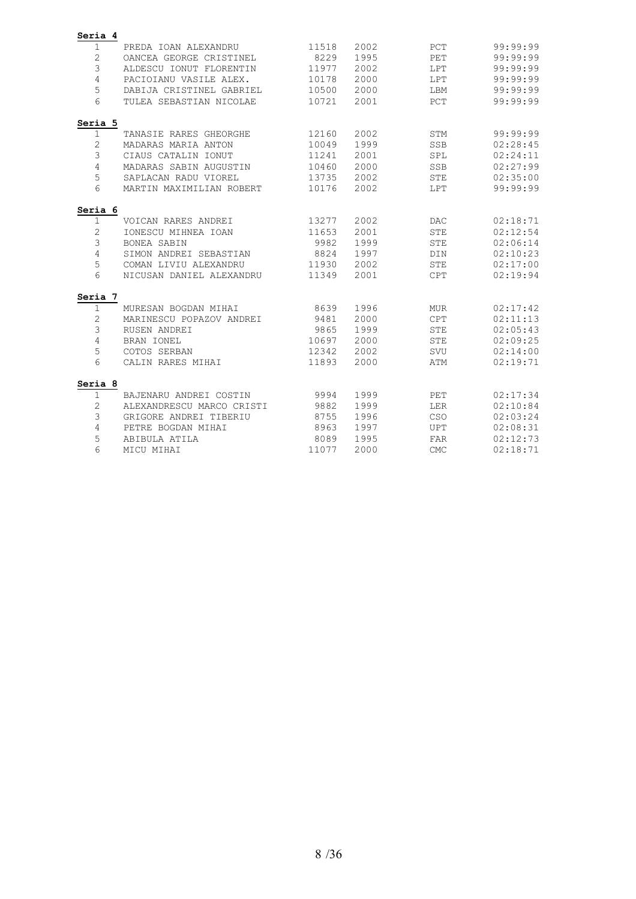| Seria 4        |                           |       |      |            |          |
|----------------|---------------------------|-------|------|------------|----------|
| $\mathbf{1}$   | PREDA IOAN ALEXANDRU      | 11518 | 2002 | PCT        | 99:99:99 |
| $\mathbf 2$    | OANCEA GEORGE CRISTINEL   | 8229  | 1995 | PET        | 99:99:99 |
| 3              | ALDESCU IONUT FLORENTIN   | 11977 | 2002 | LPT        | 99:99:99 |
| 4              | PACIOIANU VASILE ALEX.    | 10178 | 2000 | LPT        | 99:99:99 |
| 5              | DABIJA CRISTINEL GABRIEL  | 10500 | 2000 | LBM        | 99:99:99 |
| 6              | TULEA SEBASTIAN NICOLAE   | 10721 | 2001 | PCT        | 99:99:99 |
| Seria 5        |                           |       |      |            |          |
| 1              | TANASIE RARES GHEORGHE    | 12160 | 2002 | STM        | 99:99:99 |
| $\mathbf{2}$   | MADARAS MARIA ANTON       | 10049 | 1999 | SSB        | 02:28:45 |
| 3              | CIAUS CATALIN IONUT       | 11241 | 2001 | SPL        | 02:24:11 |
| 4              | MADARAS SABIN AUGUSTIN    | 10460 | 2000 | SSB        | 02:27:99 |
| 5              | SAPLACAN RADU VIOREL      | 13735 | 2002 | <b>STE</b> | 02:35:00 |
| 6              | MARTIN MAXIMILIAN ROBERT  | 10176 | 2002 | LPT        | 99:99:99 |
| Seria 6        |                           |       |      |            |          |
| 1              | VOICAN RARES ANDREI       | 13277 | 2002 | <b>DAC</b> | 02:18:71 |
| $\mathbf{2}$   | IONESCU MIHNEA IOAN       | 11653 | 2001 | <b>STE</b> | 02:12:54 |
| 3              | <b>BONEA SABIN</b>        | 9982  | 1999 | <b>STE</b> | 02:06:14 |
| 4              | SIMON ANDREI SEBASTIAN    | 8824  | 1997 | DIN        | 02:10:23 |
| 5              | COMAN LIVIU ALEXANDRU     | 11930 | 2002 | <b>STE</b> | 02:17:00 |
| 6              | NICUSAN DANIEL ALEXANDRU  | 11349 | 2001 | CPT        | 02:19:94 |
| Seria 7        |                           |       |      |            |          |
| $\mathbf{1}$   | MURESAN BOGDAN MIHAI      | 8639  | 1996 | <b>MUR</b> | 02:17:42 |
| 2              | MARINESCU POPAZOV ANDREI  | 9481  | 2000 | <b>CPT</b> | 02:11:13 |
| 3              | RUSEN ANDREI              | 9865  | 1999 | <b>STE</b> | 02:05:43 |
| $\overline{4}$ | BRAN IONEL                | 10697 | 2000 | <b>STE</b> | 02:09:25 |
| 5              | COTOS SERBAN              | 12342 | 2002 | SVU        | 02:14:00 |
| 6              | CALIN RARES MIHAI         | 11893 | 2000 | ATM        | 02:19:71 |
| Seria 8        |                           |       |      |            |          |
| 1              | BAJENARU ANDREI COSTIN    | 9994  | 1999 | PET        | 02:17:34 |
| 2              | ALEXANDRESCU MARCO CRISTI | 9882  | 1999 | LER        | 02:10:84 |
| 3              | GRIGORE ANDREI TIBERIU    | 8755  | 1996 | CSO        | 02:03:24 |
| 4              | PETRE BOGDAN MIHAI        | 8963  | 1997 | UPT        | 02:08:31 |
| 5              | ABIBULA ATILA             | 8089  | 1995 | FAR        | 02:12:73 |
| 6              | MICU MIHAI                | 11077 | 2000 | <b>CMC</b> | 02:18:71 |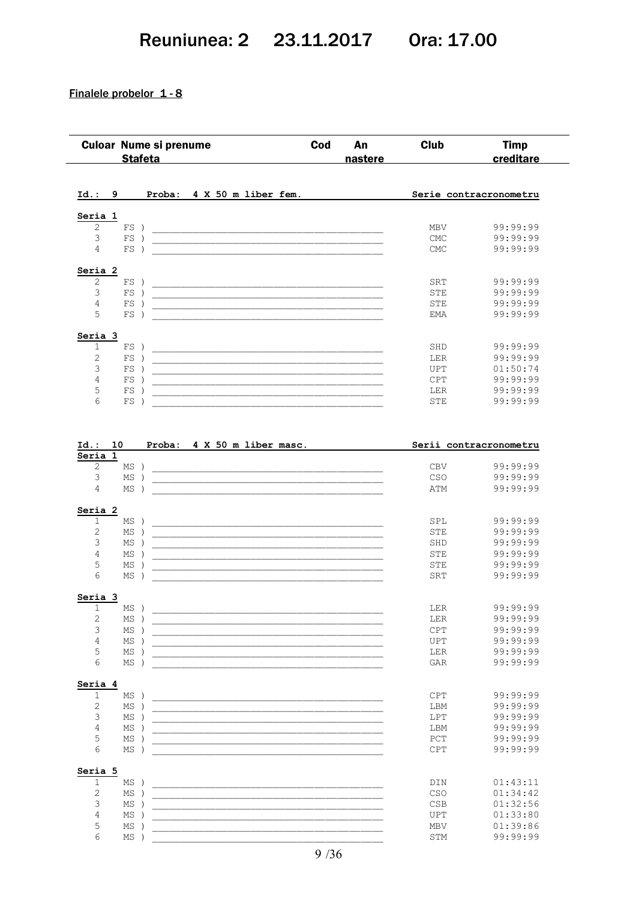## Reuniunea: 2 23.11.2017 Ora: 17.00

### Finalele probelor 1-8

| <b>Culoar Nume si prenume</b>          | <b>Stafeta</b> |                                                                                                                                                                                                                                                   | Cod | An<br>nastere | <b>Club</b> | <b>Timp</b><br>creditare |
|----------------------------------------|----------------|---------------------------------------------------------------------------------------------------------------------------------------------------------------------------------------------------------------------------------------------------|-----|---------------|-------------|--------------------------|
| Id.: 9                                 |                | Proba: 4 X 50 m liber fem.                                                                                                                                                                                                                        |     |               |             | Serie contracronometru   |
| Seria 1                                |                |                                                                                                                                                                                                                                                   |     |               |             |                          |
| $\overline{c}$<br>$FS$ )               |                |                                                                                                                                                                                                                                                   |     |               | MBV         | 99:99:99                 |
| $\mathfrak{Z}$<br>$FS$ )               |                |                                                                                                                                                                                                                                                   |     |               | <b>CMC</b>  | 99:99:99                 |
| 4<br>$FS$ )                            |                |                                                                                                                                                                                                                                                   |     |               | <b>CMC</b>  | 99:99:99                 |
| Seria 2                                |                |                                                                                                                                                                                                                                                   |     |               |             |                          |
| $\mathbf{2}$<br>$FS$ )                 |                |                                                                                                                                                                                                                                                   |     |               | SRT         | 99:99:99                 |
| 3<br>$FS$ )                            |                | <u> 2000 - Jan Alexandro Alexandro Alexandro Alexandro Alexandro Alexandro Alexandro Alexandro Alexandro Alexandro Alex</u>                                                                                                                       |     |               | STE         | 99:99:99                 |
| $\overline{4}$<br>$FS$ )               |                |                                                                                                                                                                                                                                                   |     |               | STE         | 99:99:99                 |
| 5<br>$FS$ )                            |                |                                                                                                                                                                                                                                                   |     |               | EMA         | 99:99:99                 |
| Seria 3                                |                |                                                                                                                                                                                                                                                   |     |               |             |                          |
| 1<br>$FS$ )                            |                |                                                                                                                                                                                                                                                   |     |               | SHD         | 99:99:99                 |
| $\overline{c}$<br>$FS$ )               |                |                                                                                                                                                                                                                                                   |     |               | <b>LER</b>  | 99:99:99                 |
| 3<br>$FS$ )                            |                |                                                                                                                                                                                                                                                   |     |               | UPT         | 01:50:74                 |
| 4<br>$FS$ )                            |                |                                                                                                                                                                                                                                                   |     |               | <b>CPT</b>  | 99:99:99                 |
| 5<br>$FS$ )                            |                | <u> 1989 - Johann John Harrison, mars eta biztanleria (h. 1905).</u>                                                                                                                                                                              |     |               | LER         | 99:99:99                 |
| 6<br>$FS$ )                            |                |                                                                                                                                                                                                                                                   |     |               | STE         | 99:99:99                 |
| Id.:<br>10                             |                | Proba: 4 X 50 m liber masc.                                                                                                                                                                                                                       |     |               |             | Serii contracronometru   |
| Seria 1                                |                |                                                                                                                                                                                                                                                   |     |               |             |                          |
| 2<br>$MS$ )                            |                |                                                                                                                                                                                                                                                   |     |               |             | 99:99:99                 |
|                                        |                |                                                                                                                                                                                                                                                   |     |               | <b>CBV</b>  |                          |
| 3<br>$MS$ )                            |                |                                                                                                                                                                                                                                                   |     |               | CSO         | 99:99:99                 |
| 4<br>$MS$ )                            |                |                                                                                                                                                                                                                                                   |     |               | ATM         | 99:99:99                 |
| Seria 2                                |                |                                                                                                                                                                                                                                                   |     |               |             |                          |
| 1<br>$MS$ )                            |                |                                                                                                                                                                                                                                                   |     |               | SPL         | 99:99:99                 |
| $\mathbf{2}$<br>$MS$ )                 |                |                                                                                                                                                                                                                                                   |     |               | STE         | 99:99:99                 |
| 3<br>$MS$ )                            |                | <u> 1989 - Johann Stoff, deutscher Stoff, der Stoff, der Stoff, der Stoff, der Stoff, der Stoff, der Stoff, der S</u>                                                                                                                             |     |               | SHD         | 99:99:99                 |
| 4<br>$MS$ )                            |                |                                                                                                                                                                                                                                                   |     |               | STE         | 99:99:99                 |
| 5<br>$MS$ )                            |                |                                                                                                                                                                                                                                                   |     |               | <b>STE</b>  | 99:99:99                 |
| 6<br>$MS$ )                            |                | <u> 1980 - Johann John Harrison, mars eta biztanleria (h. 1905).</u><br><u> 1990 - Jan James James James James James James James James James James James James James James James James J</u>                                                      |     |               | SRT         | 99:99:99                 |
|                                        |                |                                                                                                                                                                                                                                                   |     |               |             |                          |
| MS)<br>$\mathbf{1}$                    |                |                                                                                                                                                                                                                                                   |     |               | LER         | 99:99:99                 |
| $\mathbf{2}$<br>$MS$ )                 |                |                                                                                                                                                                                                                                                   |     |               | LER         | 99:99:99                 |
| 3<br>$MS$ )                            |                | <u> 2000 - Jan Alexandro Alexandro Alexandro Alexandro Alexandro Alexandro Alexandro Alexandro Alexandro Alexandro A</u><br><u> 1989 - Johann John Stoff, deutscher Stoffen und der Stoffen und der Stoffen und der Stoffen und der Stoffen u</u> |     |               | CPT         | 99:99:99                 |
| $\overline{4}$<br>$MS$ )               |                |                                                                                                                                                                                                                                                   |     |               | UPT         | 99:99:99                 |
| 5<br>$MS$ )                            |                |                                                                                                                                                                                                                                                   |     |               | LER         | 99:99:99                 |
| 6<br>$MS$ )                            |                | <u> 1989 - Johann John Stoff, deutscher Stoffen und der Stoffen und der Stoffen und der Stoffen und der Stoffen u</u>                                                                                                                             |     |               | GAR         | 99:99:99                 |
|                                        |                |                                                                                                                                                                                                                                                   |     |               |             |                          |
| $\mathbf{1}$<br>$MS$ )                 |                |                                                                                                                                                                                                                                                   |     |               | CPT         | 99:99:99                 |
| $\sqrt{2}$<br>$MS$ )                   |                |                                                                                                                                                                                                                                                   |     |               | LBM         | 99:99:99                 |
| 3<br>$MS$ )                            |                |                                                                                                                                                                                                                                                   |     |               | LPT         | 99:99:99                 |
| $\overline{4}$<br>$MS$ )               |                |                                                                                                                                                                                                                                                   |     |               | LBM         | 99:99:99                 |
| $MS$ )                                 |                |                                                                                                                                                                                                                                                   |     |               |             | 99:99:99                 |
| Seria 3<br>Seria 4<br>5<br>6<br>$MS$ ) |                | <u> 1989 - Johann John Stoff, deutscher Stoffen und der Stoffen und der Stoffen und der Stoffen und der Stoffen u</u>                                                                                                                             |     |               | PCT<br>CPT  | 99:99:99                 |
|                                        |                |                                                                                                                                                                                                                                                   |     |               |             |                          |
| Seria 5<br>$\mathbf 1$<br>$MS$ )       |                |                                                                                                                                                                                                                                                   |     |               | DIN         | 01:43:11                 |
| $\sqrt{2}$<br>$MS$ )                   |                |                                                                                                                                                                                                                                                   |     |               | CSO         | 01:34:42                 |
| 3<br>$MS$ )                            |                |                                                                                                                                                                                                                                                   |     |               | <b>CSB</b>  | 01:32:56                 |
| 4<br>$MS$ )                            |                |                                                                                                                                                                                                                                                   |     |               | UPT         | 01:33:80                 |
| 5<br>$MS$ )                            |                | <u> 1989 - Johann John Stoff, deutscher Stoffen und der Stoffen und der Stoffen und der Stoffen und der Stoffen u</u><br><u> 1989 - Johann John Harrison, mars eta bat eta bat eta bat erroman erroman erroman erroman ez erroman ez erroman</u>  |     |               | MBV         | 01:39:86                 |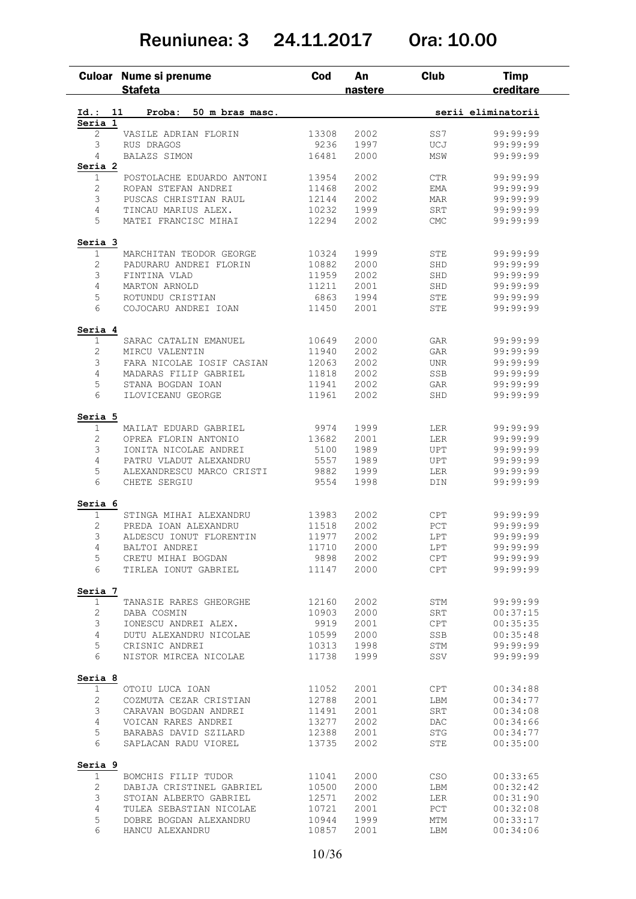## Reuniunea: 3 24.11.2017 Ora: 10.00

|                         | Culoar Nume si prenume<br><b>Stafeta</b>   | Cod           | An<br>nastere | <b>Club</b> | <b>Timp</b><br>creditare |
|-------------------------|--------------------------------------------|---------------|---------------|-------------|--------------------------|
| Id.: 11                 | Proba:<br>50 m bras masc.                  |               |               |             | serii eliminatorii       |
| Seria 1                 |                                            |               |               |             |                          |
| $\overline{2}$          | VASILE ADRIAN FLORIN                       | 13308         | 2002          | SS7         | 99:99:99                 |
| 3                       | RUS DRAGOS                                 | 9236          | 1997          | UCJ         | 99:99:99                 |
| 4                       | BALAZS SIMON                               | 16481         | 2000          | MSW         | 99:99:99                 |
| Seria 2                 |                                            |               |               |             |                          |
| $\mathbf{1}$            | POSTOLACHE EDUARDO ANTONI                  | 13954         | 2002          | <b>CTR</b>  | 99:99:99                 |
| 2                       | ROPAN STEFAN ANDREI                        | 11468         | 2002          | EMA         | 99:99:99                 |
| 3                       | PUSCAS CHRISTIAN RAUL                      | 12144         | 2002          | MAR         | 99:99:99                 |
| 4                       | TINCAU MARIUS ALEX.                        | 10232         | 1999          | SRT         | 99:99:99                 |
| 5                       | MATEI FRANCISC MIHAI                       | 12294         | 2002          | CMC         | 99:99:99                 |
| Seria 3                 |                                            |               |               |             |                          |
| 1                       | MARCHITAN TEODOR GEORGE                    | 10324         | 1999          | STE         | 99:99:99                 |
| $\overline{c}$          | PADURARU ANDREI FLORIN                     | 10882         | 2000          | SHD         | 99:99:99                 |
| 3                       | FINTINA VLAD                               | 11959         | 2002          | SHD         | 99:99:99                 |
| 4                       | MARTON ARNOLD                              | 11211         | 2001          | SHD         | 99:99:99                 |
| 5                       | ROTUNDU CRISTIAN                           | 6863          | 1994          | ${\tt STE}$ | 99:99:99                 |
| 6                       | COJOCARU ANDREI IOAN                       | 11450         | 2001          | STE         | 99:99:99                 |
| Seria 4                 |                                            |               |               |             |                          |
| $\mathbf 1$             | SARAC CATALIN EMANUEL                      | 10649         | 2000          | GAR         | 99:99:99                 |
| 2                       | MIRCU VALENTIN                             | 11940         | 2002          | GAR         | 99:99:99                 |
| 3                       | FARA NICOLAE IOSIF CASIAN                  | 12063         | 2002          | <b>UNR</b>  | 99:99:99                 |
| 4                       | MADARAS FILIP GABRIEL                      | 11818         | 2002          | SSB         | 99:99:99                 |
| 5                       | STANA BOGDAN IOAN                          | 11941         | 2002          | GAR         | 99:99:99                 |
| 6                       | ILOVICEANU GEORGE                          | 11961         | 2002          | SHD         | 99:99:99                 |
| Seria 5                 |                                            |               |               |             |                          |
| $\mathbf 1$             | MAILAT EDUARD GABRIEL                      | 9974          | 1999          | LER         | 99:99:99                 |
| $\overline{2}$          | OPREA FLORIN ANTONIO                       | 13682         | 2001          | <b>LER</b>  | 99:99:99                 |
| 3                       | IONITA NICOLAE ANDREI                      | 5100          | 1989          | UPT         | 99:99:99                 |
| 4                       | PATRU VLADUT ALEXANDRU                     | 5557          | 1989          | UPT         | 99:99:99                 |
| 5<br>6                  | ALEXANDRESCU MARCO CRISTI                  | 9882          | 1999          | <b>LER</b>  | 99:99:99                 |
|                         | CHETE SERGIU                               | 9554          | 1998          | DIN         | 99:99:99                 |
| Seria 6<br>$\mathbf 1$  | STINGA MIHAI ALEXANDRU                     | 13983         | 2002          |             | 99:99:99                 |
|                         |                                            |               |               | CPT         |                          |
| 2                       | PREDA IOAN ALEXANDRU                       | 11518         | 2002          | PCT         | 99:99:99                 |
| 3                       | ALDESCU IONUT FLORENTIN                    | 11977         | 2002          | LPT         | 99:99:99                 |
| $\overline{4}$          | BALTOI ANDREI                              | 11710         | 2000          | LPT         | 99:99:99                 |
| 5<br>6                  | CRETU MIHAI BOGDAN<br>TIRLEA IONUT GABRIEL | 9898<br>11147 | 2002<br>2000  | CPT<br>CPT  | 99:99:99<br>99:99:99     |
|                         |                                            |               |               |             |                          |
| Seria 7<br>$\mathbf{1}$ | TANASIE RARES GHEORGHE                     | 12160         | 2002          | STM         | 99:99:99                 |
| 2                       | DABA COSMIN                                | 10903         | 2000          | SRT         | 00:37:15                 |
| 3                       | IONESCU ANDREI ALEX.                       | 9919          | 2001          | CPT         | 00:35:35                 |
| 4                       | DUTU ALEXANDRU NICOLAE                     | 10599         | 2000          | SSB         | 00:35:48                 |
| 5                       | CRISNIC ANDREI                             | 10313         | 1998          | STM         | 99:99:99                 |
| 6                       | NISTOR MIRCEA NICOLAE                      | 11738         | 1999          | SSV         | 99:99:99                 |
| Seria 8                 |                                            |               |               |             |                          |
| 1                       | OTOIU LUCA IOAN                            | 11052         | 2001          | CPT         | 00:34:88                 |
| 2                       | COZMUTA CEZAR CRISTIAN                     | 12788         | 2001          | LBM         | 00:34:77                 |
| 3                       | CARAVAN BOGDAN ANDREI                      | 11491         | 2001          | SRT         | 00:34:08                 |
| $\overline{4}$          | VOICAN RARES ANDREI                        | 13277         | 2002          | DAC         | 00:34:66                 |
| 5                       | BARABAS DAVID SZILARD                      | 12388         | 2001          | STG         | 00:34:77                 |
| 6                       | SAPLACAN RADU VIOREL                       | 13735         | 2002          | STE         | 00:35:00                 |
| Seria 9                 |                                            |               |               |             |                          |
| $\mathbf{1}$            | BOMCHIS FILIP TUDOR                        | 11041         | 2000          | CSO         | 00:33:65                 |
| 2                       | DABIJA CRISTINEL GABRIEL                   | 10500         | 2000          | LBM         | 00:32:42                 |
| 3                       | STOIAN ALBERTO GABRIEL                     | 12571         | 2002          | LER         | 00:31:90                 |
| 4                       | TULEA SEBASTIAN NICOLAE                    | 10721         | 2001          | PCT         | 00:32:08                 |
|                         |                                            | 10944         | 1999          | MTM         | 00:33:17                 |
| 5                       | DOBRE BOGDAN ALEXANDRU                     |               |               |             |                          |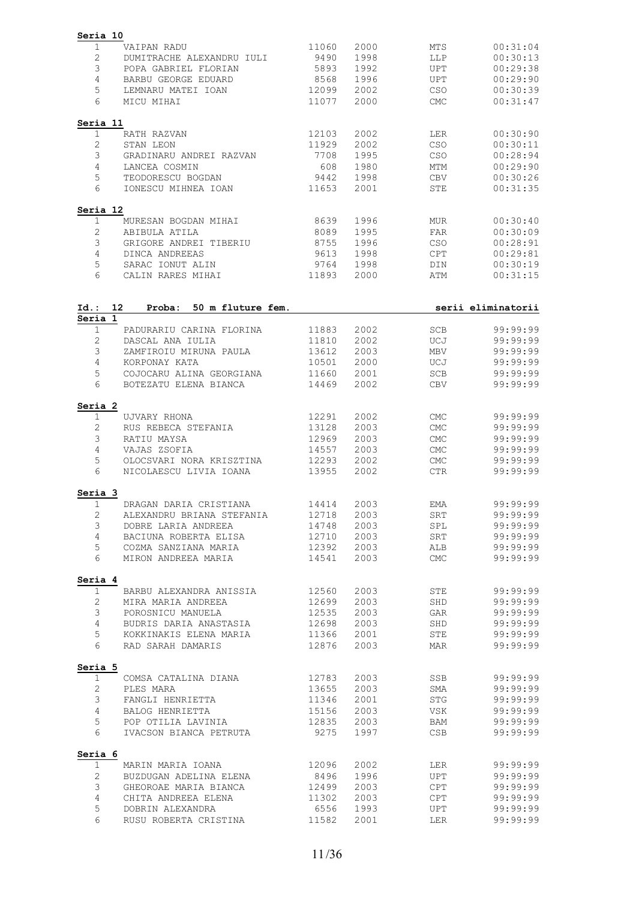| Seria 10                                                              |                |              |                          |                      |
|-----------------------------------------------------------------------|----------------|--------------|--------------------------|----------------------|
| 1<br>VAIPAN RADU                                                      | 11060          | 2000         | MTS                      | 00:31:04             |
| $\mathbf{2}$<br>DUMITRACHE ALEXANDRU IULI                             | 9490           | 1998         | LLP                      | 00:30:13             |
| 3<br>POPA GABRIEL FLORIAN                                             | 5893           | 1992         | <b>UPT</b>               | 00:29:38             |
| 4<br>BARBU GEORGE EDUARD                                              | 8568           | 1996         | <b>UPT</b>               | 00:29:90             |
| 5<br>LEMNARU MATEI IOAN<br>6<br>MICU MIHAI                            | 12099<br>11077 | 2002<br>2000 | CSO<br><b>CMC</b>        | 00:30:39<br>00:31:47 |
|                                                                       |                |              |                          |                      |
| Seria 11<br>1<br>RATH RAZVAN                                          | 12103          | 2002         | LER                      | 00:30:90             |
| $\mathbf{2}$<br>STAN LEON                                             | 11929          | 2002         | CSO                      | 00:30:11             |
| $\mathfrak{Z}$<br>GRADINARU ANDREI RAZVAN                             | 7708           | 1995         | <b>CSO</b>               | 00:28:94             |
| 4<br>LANCEA COSMIN                                                    | 608            | 1980         | MTM                      | 00:29:90             |
| 5<br>TEODORESCU BOGDAN                                                | 9442           | 1998         | CBV                      | 00:30:26             |
| 6<br>IONESCU MIHNEA IOAN                                              | 11653          | 2001         | STE                      | 00:31:35             |
| Seria 12                                                              |                |              |                          |                      |
| $\mathbf 1$<br>MURESAN BOGDAN MIHAI<br>$\mathbf{2}$                   | 8639           | 1996         | <b>MUR</b>               | 00:30:40             |
| ABIBULA ATILA<br>3<br>GRIGORE ANDREI TIBERIU                          | 8089<br>8755   | 1995<br>1996 | FAR<br><b>CSO</b>        | 00:30:09<br>00:28:91 |
| 4<br>DINCA ANDREEAS                                                   | 9613           | 1998         | <b>CPT</b>               | 00:29:81             |
| 5<br>SARAC IONUT ALIN                                                 | 9764           | 1998         | DIN                      | 00:30:19             |
| 6<br>CALIN RARES MIHAI                                                | 11893          | 2000         | ATM                      | 00:31:15             |
|                                                                       |                |              |                          |                      |
| 12 <sup>12</sup><br>50 m fluture fem.<br>$Id.$ :<br>Proba:<br>Seria 1 |                |              |                          | serii eliminatorii   |
| $\mathbf 1$<br>PADURARIU CARINA FLORINA                               | 11883          | 2002         | <b>SCB</b>               | 99:99:99             |
| $\mathbf{2}$<br>DASCAL ANA IULIA                                      | 11810          | 2002         | UCJ                      | 99:99:99             |
| 3<br>ZAMFIROIU MIRUNA PAULA                                           | 13612          | 2003         | MBV                      | 99:99:99             |
| 4<br>KORPONAY KATA                                                    | 10501          | 2000         | UCJ                      | 99:99:99             |
| 5<br>COJOCARU ALINA GEORGIANA                                         | 11660          | 2001         | <b>SCB</b>               | 99:99:99             |
| 6<br>BOTEZATU ELENA BIANCA                                            | 14469          | 2002         | CBV                      | 99:99:99             |
| Seria 2                                                               |                |              |                          |                      |
| 1<br>UJVARY RHONA<br>2<br>RUS REBECA STEFANIA                         | 12291<br>13128 | 2002<br>2003 | <b>CMC</b><br><b>CMC</b> | 99:99:99<br>99:99:99 |
| 3<br>RATIU MAYSA                                                      | 12969          | 2003         | CMC                      | 99:99:99             |
| $\overline{4}$<br>VAJAS ZSOFIA                                        | 14557          | 2003         | <b>CMC</b>               | 99:99:99             |
| 5<br>OLOCSVARI NORA KRISZTINA                                         | 12293          | 2002         | <b>CMC</b>               | 99:99:99             |
| 6<br>NICOLAESCU LIVIA IOANA                                           | 13955          | 2002         | $_{\rm CTR}$             | 99:99:99             |
| Seria 3                                                               |                |              |                          |                      |
| 1<br>DRAGAN DARIA CRISTIANA                                           | 14414          | 2003         | EMA                      | 99:99:99             |
| ALEXANDRU BRIANA STEFANIA 12718<br>2                                  |                | 2003         | SRT                      | 99:99:99             |
| $\mathfrak{Z}$<br>DOBRE LARIA ANDREEA                                 |                | 14748 2003   | SPL                      | 99:99:99             |
| BACIUNA ROBERTA ELISA<br>4                                            | 12710          | 2003         | SRT                      | 99:99:99             |
| 5<br>COZMA SANZIANA MARIA 12392                                       |                | 2003         | ALB                      | 99:99:99             |
| 6<br>MIRON ANDREEA MARIA                                              | 14541          | 2003         | CMC                      | 99:99:99             |
| Seria 4<br>$\mathbf{1}$                                               |                | 2003         | STE                      | 99:99:99             |
| BARBU ALEXANDRA ANISSIA 12560<br>$\overline{2}$<br>MIRA MARIA ANDREEA | 12699          | 2003         | SHD                      | 99:99:99             |
| POROSNICU MANUELA<br>3                                                | 12535          | 2003         | GAR                      | 99:99:99             |
| $\overline{4}$<br>BUDRIS DARIA ANASTASIA                              | 12698          | 2003         | SHD                      | 99:99:99             |
| 5<br>KOKKINAKIS ELENA MARIA                                           | 11366          | 2001         | STE                      | 99:99:99             |
| 6<br>RAD SARAH DAMARIS                                                | 12876          | 2003         | MAR                      | 99:99:99             |
| Seria 5                                                               |                |              |                          |                      |
| $\mathbf{1}$<br>COMSA CATALINA DIANA                                  | 12783          | 2003         | SSB                      | 99:99:99             |
| $\mathbf{2}$<br>PLES MARA                                             | 13655          | 2003         | SMA                      | 99:99:99             |
| 3<br>FANGLI HENRIETTA                                                 | 11346          | 2001         | STG                      | 99:99:99             |
| $\overline{4}$<br>BALOG HENRIETTA                                     | 15156          | 2003         | VSK                      | 99:99:99             |
| POP OTILIA LAVINIA<br>5<br>6<br>IVACSON BIANCA PETRUTA                | 12835<br>9275  | 2003<br>1997 | BAM<br>CSB               | 99:99:99<br>99:99:99 |
|                                                                       |                |              |                          |                      |
| Seria 6<br>$\mathbf{1}$<br>MARIN MARIA IOANA                          | 12096          | 2002         | LER                      | 99:99:99             |
| $\overline{2}$<br>BUZDUGAN ADELINA ELENA                              | 8496<br>12499  | 1996         | UPT                      | 99:99:99             |
| 3<br>GHEOROAE MARIA BIANCA                                            |                | 2003         | CPT                      | 99:99:99             |
| 4<br>CHITA ANDREEA ELENA                                              | 11302          | 2003         | CPT                      | 99:99:99             |
| 5<br>DOBRIN ALEXANDRA                                                 | 6556           | 1993         | UPT                      | 99:99:99             |
| 6<br>RUSU ROBERTA CRISTINA                                            | 11582          | 2001         | LER                      | 99:99:99             |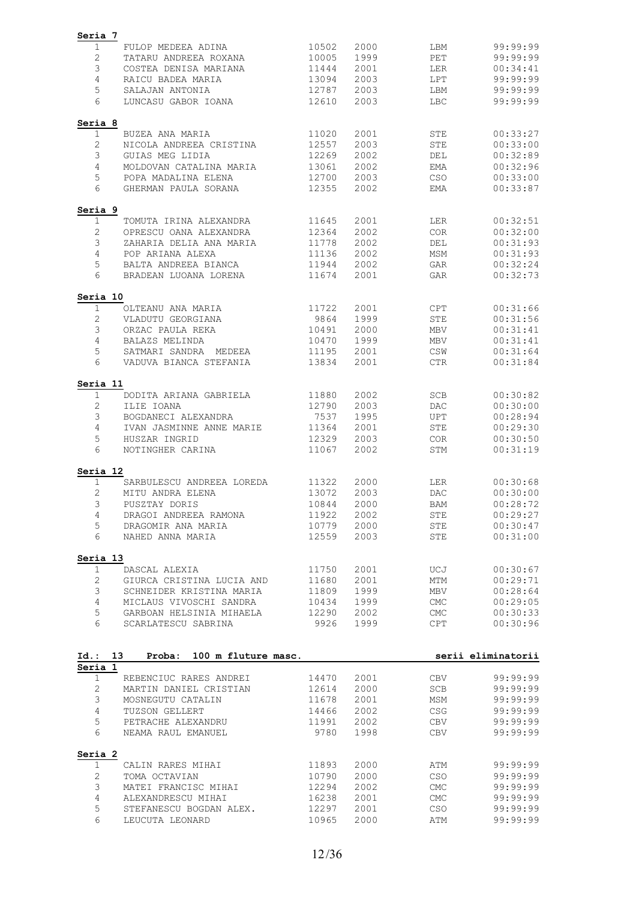| Seria 7        |                                            |                |              |                   |                                                                                                                                                                                                        |
|----------------|--------------------------------------------|----------------|--------------|-------------------|--------------------------------------------------------------------------------------------------------------------------------------------------------------------------------------------------------|
| $\mathbf 1$    | FULOP MEDEEA ADINA                         | 10502          | 2000         | LBM               | 99:99:99                                                                                                                                                                                               |
| $\sqrt{2}$     | TATARU ANDREEA ROXANA                      | 10005          | 1999         | PET               | 99:99:99                                                                                                                                                                                               |
| 3              | COSTEA DENISA MARIANA                      | 11444          | 2001         | LER               | 00:34:41                                                                                                                                                                                               |
| 4              | RAICU BADEA MARIA                          | 13094          | 2003         | LPT               | 99:99:99                                                                                                                                                                                               |
| 5              | SALAJAN ANTONIA                            | 12787          | 2003         | LBM               | 99:99:99                                                                                                                                                                                               |
| 6              | LUNCASU GABOR IOANA                        | 12610          | 2003         | LBC               | 99:99:99                                                                                                                                                                                               |
| Seria 8        |                                            |                |              |                   |                                                                                                                                                                                                        |
| $\mathbf 1$    | BUZEA ANA MARIA                            | 11020          | 2001         | STE               | 00:33:27                                                                                                                                                                                               |
| $\mathbf{2}$   | NICOLA ANDREEA CRISTINA                    | 12557          | 2003         | <b>STE</b>        | 00:33:00                                                                                                                                                                                               |
| 3              | GUIAS MEG LIDIA                            | 12269          | 2002         | DEL               | 00:32:89                                                                                                                                                                                               |
| $\overline{4}$ | MOLDOVAN CATALINA MARIA                    | 13061          | 2002         | EMA               | 00:32:96                                                                                                                                                                                               |
| 5              | POPA MADALINA ELENA                        | 12700          | 2003         | <b>CSO</b>        | 00:33:00                                                                                                                                                                                               |
| 6              | GHERMAN PAULA SORANA                       | 12355          | 2002         | EMA               | 00:33:87                                                                                                                                                                                               |
| Seria 9        |                                            |                |              |                   |                                                                                                                                                                                                        |
| 1              | TOMUTA IRINA ALEXANDRA                     | 11645          | 2001         | LER               | 00:32:51                                                                                                                                                                                               |
| 2              | OPRESCU OANA ALEXANDRA                     | 12364          | 2002         | <b>COR</b>        | 00:32:00                                                                                                                                                                                               |
| 3              | ZAHARIA DELIA ANA MARIA                    | 11778          | 2002         | DEL               | 00:31:93                                                                                                                                                                                               |
| 4              | POP ARIANA ALEXA                           | 11136          | 2002         | MSM               | 00:31:93                                                                                                                                                                                               |
| 5<br>6         | BALTA ANDREEA BIANCA                       | 11944          | 2002<br>2001 | GAR               | 00:32:24<br>00:32:73                                                                                                                                                                                   |
|                | BRADEAN LUOANA LORENA                      | 11674          |              | GAR               |                                                                                                                                                                                                        |
| Seria 10       |                                            |                |              |                   |                                                                                                                                                                                                        |
| 1<br>2         | OLTEANU ANA MARIA<br>VLADUTU GEORGIANA     | 11722<br>9864  | 2001<br>1999 | <b>CPT</b><br>STE | 00:31:66<br>00:31:56                                                                                                                                                                                   |
| 3              | ORZAC PAULA REKA                           | 10491          | 2000         | <b>MBV</b>        | 00:31:41                                                                                                                                                                                               |
| 4              | BALAZS MELINDA                             | 10470          | 1999         | MBV               | 00:31:41                                                                                                                                                                                               |
| 5              | SATMARI SANDRA MEDEEA                      | 11195          | 2001         | CSW               | 00:31:64                                                                                                                                                                                               |
| 6              | VADUVA BIANCA STEFANIA                     | 13834          | 2001         | <b>CTR</b>        | 00:31:84                                                                                                                                                                                               |
|                |                                            |                |              |                   |                                                                                                                                                                                                        |
| Seria 11<br>1  | DODITA ARIANA GABRIELA                     | 11880          | 2002         | SCB               | 00:30:82                                                                                                                                                                                               |
| 2              | ILIE IOANA                                 | 12790          | 2003         | DAC               | 00:30:00                                                                                                                                                                                               |
| 3              | BOGDANECI ALEXANDRA                        | 7537           | 1995         | UPT               | 00:28:94                                                                                                                                                                                               |
| $\overline{4}$ | IVAN JASMINNE ANNE MARIE                   | 11364          | 2001         | STE               | 00:29:30                                                                                                                                                                                               |
| 5              | HUSZAR INGRID                              | 12329          | 2003         | <b>COR</b>        | 00:30:50                                                                                                                                                                                               |
| 6              | NOTINGHER CARINA                           | 11067          | 2002         | STM               | 00:31:19                                                                                                                                                                                               |
| Seria 12       |                                            |                |              |                   |                                                                                                                                                                                                        |
| $\mathbf 1$    | SARBULESCU ANDREEA LOREDA                  | 11322          | 2000         | <b>LER</b>        | 00:30:68                                                                                                                                                                                               |
| 2              | MITU ANDRA ELENA                           | 13072          | 2003         | <b>DAC</b>        | 00:30:00                                                                                                                                                                                               |
| 3              | PUSZTAY DORIS                              | 10844          | 2000         | BAM               | 00:28:72                                                                                                                                                                                               |
| 4              | DRAGOI ANDREEA RAMONA                      | 11922          | 2002         | STE               | 00:29:27                                                                                                                                                                                               |
| 5              | DRAGOMIR ANA MARIA                         | 10779          | 2000         | <b>STE</b>        | 00:30:47                                                                                                                                                                                               |
| 6              |                                            |                |              |                   |                                                                                                                                                                                                        |
|                | NAHED ANNA MARIA                           | 12559          | 2003         | STE               |                                                                                                                                                                                                        |
| Seria 13       |                                            |                |              |                   |                                                                                                                                                                                                        |
| 1              | DASCAL ALEXIA                              | 11750          | 2001         | UCJ               |                                                                                                                                                                                                        |
| 2              | GIURCA CRISTINA LUCIA AND                  | 11680          | 2001         | MTM               |                                                                                                                                                                                                        |
| 3              | SCHNEIDER KRISTINA MARIA                   | 11809          | 1999         | MBV               |                                                                                                                                                                                                        |
| $\overline{4}$ | MICLAUS VIVOSCHI SANDRA                    | 10434          | 1999         | <b>CMC</b>        |                                                                                                                                                                                                        |
| 5              | GARBOAN HELSINIA MIHAELA                   | 12290          | 2002         | <b>CMC</b>        |                                                                                                                                                                                                        |
| 6              | SCARLATESCU SABRINA                        | 9926           | 1999         | <b>CPT</b>        |                                                                                                                                                                                                        |
|                |                                            |                |              |                   |                                                                                                                                                                                                        |
| $Id.$ :        | Proba: 100 m fluture masc.<br>13           |                |              |                   |                                                                                                                                                                                                        |
| $\mathbf 1$    | REBENCIUC RARES ANDREI                     | 14470          | 2001         | CBV               |                                                                                                                                                                                                        |
| $\mathbf{2}$   | MARTIN DANIEL CRISTIAN                     | 12614          | 2000         | SCB               |                                                                                                                                                                                                        |
| 3              | MOSNEGUTU CATALIN                          | 11678          | 2001         | MSM               |                                                                                                                                                                                                        |
| Seria 1<br>4   | TUZSON GELLERT                             | 14466          | 2002         | <b>CSG</b>        |                                                                                                                                                                                                        |
| 5              | PETRACHE ALEXANDRU                         | 11991          | 2002         | CBV               |                                                                                                                                                                                                        |
| 6              | NEAMA RAUL EMANUEL                         | 9780           | 1998         | CBV               |                                                                                                                                                                                                        |
| Seria 2        |                                            |                |              |                   |                                                                                                                                                                                                        |
| $\mathbf 1$    | CALIN RARES MIHAI                          | 11893          | 2000         | ATM               |                                                                                                                                                                                                        |
| 2              | TOMA OCTAVIAN                              | 10790          | 2000         | <b>CSO</b>        | 00:31:00<br>00:30:67<br>00:29:71<br>00:28:64<br>00:29:05<br>00:30:33<br>00:30:96<br>serii eliminatorii<br>99:99:99<br>99:99:99<br>99:99:99<br>99:99:99<br>99:99:99<br>99:99:99<br>99:99:99<br>99:99:99 |
| 3              | MATEI FRANCISC MIHAI                       | 12294          | 2002         | <b>CMC</b>        |                                                                                                                                                                                                        |
| 4              | ALEXANDRESCU MIHAI                         | 16238          | 2001         | ${\rm CMC}$       | 99:99:99<br>99:99:99                                                                                                                                                                                   |
| 5<br>6         | STEFANESCU BOGDAN ALEX.<br>LEUCUTA LEONARD | 12297<br>10965 | 2001<br>2000 | CSO<br>ATM        | 99:99:99<br>99:99:99                                                                                                                                                                                   |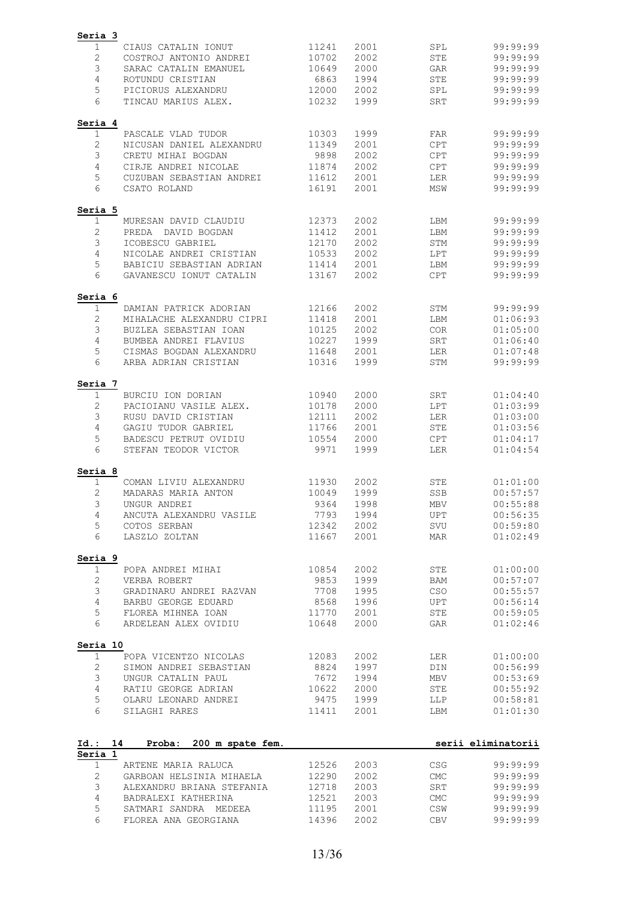| Seria 3         |                                          |                |              |                |                      |
|-----------------|------------------------------------------|----------------|--------------|----------------|----------------------|
| 1               | CIAUS CATALIN IONUT                      | 11241          | 2001         | SPL            | 99:99:99             |
| $\mathbf{2}$    | COSTROJ ANTONIO ANDREI                   | 10702          | 2002         | <b>STE</b>     | 99:99:99             |
| 3               | SARAC CATALIN EMANUEL                    | 10649          | 2000         | GAR            | 99:99:99             |
| 4               | ROTUNDU CRISTIAN                         | 6863           | 1994         | STE            | 99:99:99             |
| 5               | PICIORUS ALEXANDRU                       | 12000          | 2002         | SPL            | 99:99:99             |
| 6               | TINCAU MARIUS ALEX.                      | 10232          | 1999         | <b>SRT</b>     | 99:99:99             |
|                 |                                          |                |              |                |                      |
| Seria 4<br>1    | PASCALE VLAD TUDOR                       | 10303          | 1999         | FAR            | 99:99:99             |
| $\mathbf{2}$    | NICUSAN DANIEL ALEXANDRU                 | 11349          | 2001         | <b>CPT</b>     | 99:99:99             |
| 3               | CRETU MIHAI BOGDAN                       | 9898           | 2002         | <b>CPT</b>     | 99:99:99             |
|                 | CIRJE ANDREI NICOLAE                     |                |              |                |                      |
| 4               |                                          | 11874          | 2002         | <b>CPT</b>     | 99:99:99             |
| 5<br>6          | CUZUBAN SEBASTIAN ANDREI<br>CSATO ROLAND | 11612<br>16191 | 2001<br>2001 | LER<br>MSW     | 99:99:99<br>99:99:99 |
|                 |                                          |                |              |                |                      |
| Seria 5         |                                          |                |              |                |                      |
| 1               | MURESAN DAVID CLAUDIU                    | 12373          | 2002         | LBM            | 99:99:99             |
| 2               | DAVID BOGDAN<br>PREDA                    | 11412          | 2001         | LBM            | 99:99:99             |
| 3               | ICOBESCU GABRIEL                         | 12170          | 2002         | STM            | 99:99:99             |
| 4               | NICOLAE ANDREI CRISTIAN                  | 10533          | 2002         | LPT            | 99:99:99             |
| 5               | BABICIU SEBASTIAN ADRIAN                 | 11414          | 2001         | LBM            | 99:99:99             |
| 6               | GAVANESCU IONUT CATALIN                  | 13167          | 2002         | CPT            | 99:99:99             |
| Seria 6         |                                          |                |              |                |                      |
| 1               | DAMIAN PATRICK ADORIAN                   | 12166          | 2002         | STM            | 99:99:99             |
| 2               | MIHALACHE ALEXANDRU CIPRI                | 11418          | 2001         | LBM            | 01:06:93             |
| 3               | BUZLEA SEBASTIAN IOAN                    | 10125          | 2002         | COR            | 01:05:00             |
| 4               | BUMBEA ANDREI FLAVIUS                    | 10227          | 1999         | SRT            | 01:06:40             |
| 5               | CISMAS BOGDAN ALEXANDRU                  | 11648          | 2001         | LER            | 01:07:48             |
| 6               | ARBA ADRIAN CRISTIAN                     | 10316          | 1999         | STM            | 99:99:99             |
| Seria 7         |                                          |                |              |                |                      |
| 1               | BURCIU ION DORIAN                        | 10940          | 2000         | SRT            | 01:04:40             |
| 2               | PACIOIANU VASILE ALEX.                   | 10178          | 2000         | LPT            | 01:03:99             |
| 3               | RUSU DAVID CRISTIAN                      | 12111          | 2002         | LER            | 01:03:00             |
| 4               | GAGIU TUDOR GABRIEL                      | 11766          | 2001         | <b>STE</b>     | 01:03:56             |
| 5               | BADESCU PETRUT OVIDIU                    | 10554          | 2000         | <b>CPT</b>     | 01:04:17             |
| 6               | STEFAN TEODOR VICTOR                     | 9971           | 1999         | LER            | 01:04:54             |
|                 |                                          |                |              |                |                      |
| Seria 8         |                                          |                |              |                |                      |
| 1               | COMAN LIVIU ALEXANDRU                    | 11930          | 2002         | <b>STE</b>     | 01:01:00             |
| 2               | MADARAS MARIA ANTON                      | 10049          | 1999         | SSB            | 00:57:57             |
| 3               | UNGUR ANDREI                             | 9364           | 1998         | MBV            | 00:55:88             |
| 4               | ANCUTA ALEXANDRU VASILE                  | 7793           | 1994         | UPT            | 00:56:35             |
| 5<br>6          | COTOS SERBAN<br>LASZLO ZOLTAN            | 12342<br>11667 | 2002<br>2001 | SVU<br>MAR     | 00:59:80<br>01:02:49 |
|                 |                                          |                |              |                |                      |
| Seria 9         |                                          |                |              |                |                      |
| 1               | POPA ANDREI MIHAI                        | 10854          | 2002         | STE            | 01:00:00             |
| $\mathbf{2}$    | VERBA ROBERT                             | 9853           | 1999         | BAM            | 00:57:07             |
| 3               | GRADINARU ANDREI RAZVAN                  | 7708           | 1995         | CSO            | 00:55:57             |
| 4               | BARBU GEORGE EDUARD                      | 8568           | 1996         | UPT            | 00:56:14             |
| 5               | FLOREA MIHNEA IOAN                       | 11770          | 2001         | STE            | 00:59:05             |
| 6               | ARDELEAN ALEX OVIDIU                     | 10648          | 2000         | GAR            | 01:02:46             |
| Seria 10        |                                          |                |              |                |                      |
| $\mathbf 1$     | POPA VICENTZO NICOLAS                    | 12083          | 2002         | LER            | 01:00:00             |
| $\mathbf{2}$    | SIMON ANDREI SEBASTIAN                   | 8824           | 1997         | DIN            | 00:56:99             |
| 3               | UNGUR CATALIN PAUL                       | 7672           | 1994         | MBV            | 00:53:69             |
| $\overline{4}$  | RATIU GEORGE ADRIAN                      | 10622          | 2000         | STE            | 00:55:92             |
| 5               | OLARU LEONARD ANDREI                     | 9475           | 1999         | LLP            | 00:58:81             |
| 6               | SILAGHI RARES                            | 11411          | 2001         | LBM            | 01:01:30             |
|                 |                                          |                |              |                |                      |
| Id.:<br>Seria 1 | 14<br>Proba:<br>200 m spate fem.         |                |              |                | serii eliminatorii   |
| $\mathbf{1}$    | ARTENE MARIA RALUCA                      | 12526          | 2003         | <b>CSG</b>     | 99:99:99             |
| 2               | GARBOAN HELSINIA MIHAELA                 | 12290          | 2002         | <b>CMC</b>     | 99:99:99             |
| 3               | ALEXANDRU BRIANA STEFANIA                | 12718          | 2003         | SRT            | 99:99:99             |
| 4               | BADRALEXI KATHERINA                      | 12521          | 2003         | ${\rm CMC}$    | 99:99:99             |
| 5               | SATMARI SANDRA MEDEEA                    | 11195          | 2001         | $\mathbb{CSW}$ | 99:99:99             |
| 6               | FLOREA ANA GEORGIANA                     | 14396          | 2002         | <b>CBV</b>     | 99:99:99             |
|                 |                                          |                |              |                |                      |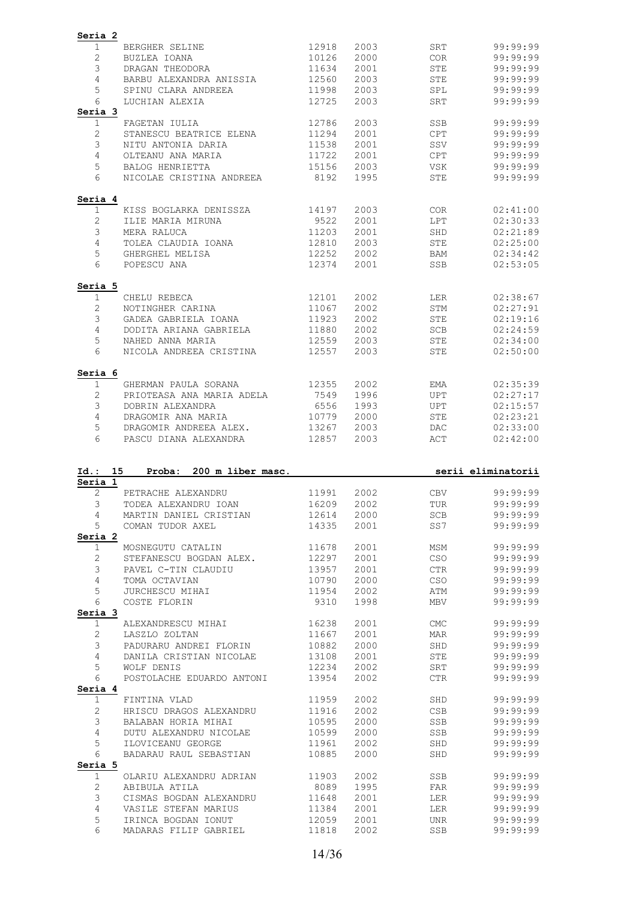| Seria 2<br>1                                                                     | BERGHER SELINE                                    | 12918          | 2003         | SRT        | 99:99:99                                                                                                                                                                                                                                                                                                             |
|----------------------------------------------------------------------------------|---------------------------------------------------|----------------|--------------|------------|----------------------------------------------------------------------------------------------------------------------------------------------------------------------------------------------------------------------------------------------------------------------------------------------------------------------|
| $\mathbf{2}$                                                                     |                                                   |                | 2000         | COR        | 99:99:99                                                                                                                                                                                                                                                                                                             |
| 3                                                                                | BUZLEA IOANA<br>DRAGAN THEODORA                   | 10126<br>11634 | 2001         | <b>STE</b> | 99:99:99                                                                                                                                                                                                                                                                                                             |
| 4                                                                                | BARBU ALEXANDRA ANISSIA                           | 12560          | 2003         | STE        | 99:99:99                                                                                                                                                                                                                                                                                                             |
|                                                                                  |                                                   |                |              |            |                                                                                                                                                                                                                                                                                                                      |
| 5                                                                                | SPINU CLARA ANDREEA                               | 11998          | 2003         | SPL        | 99:99:99                                                                                                                                                                                                                                                                                                             |
| 6                                                                                | LUCHIAN ALEXIA                                    | 12725          | 2003         | SRT        | 99:99:99                                                                                                                                                                                                                                                                                                             |
| Seria 3                                                                          |                                                   |                |              |            |                                                                                                                                                                                                                                                                                                                      |
| 1                                                                                | FAGETAN IULIA                                     | 12786          | 2003         | SSB        | 99:99:99                                                                                                                                                                                                                                                                                                             |
| $\mathbf{2}$                                                                     | STANESCU BEATRICE ELENA                           | 11294          | 2001         | CPT        | 99:99:99                                                                                                                                                                                                                                                                                                             |
| 3                                                                                | NITU ANTONIA DARIA                                | 11538          | 2001         | SSV        | 99:99:99                                                                                                                                                                                                                                                                                                             |
| 4                                                                                | OLTEANU ANA MARIA                                 | 11722          | 2001         | <b>CPT</b> | 99:99:99                                                                                                                                                                                                                                                                                                             |
| 5                                                                                | BALOG HENRIETTA                                   | 15156          | 2003         | VSK        | 99:99:99                                                                                                                                                                                                                                                                                                             |
| 6                                                                                | NICOLAE CRISTINA ANDREEA                          | 8192           | 1995         | STE        | 99:99:99                                                                                                                                                                                                                                                                                                             |
| Seria 4                                                                          |                                                   |                |              |            |                                                                                                                                                                                                                                                                                                                      |
| 1                                                                                | KISS BOGLARKA DENISSZA                            | 14197          | 2003         | COR        | 02:41:00                                                                                                                                                                                                                                                                                                             |
| $\mathbf{2}$                                                                     | ILIE MARIA MIRUNA                                 | 9522           | 2001         | LPT        | 02:30:33                                                                                                                                                                                                                                                                                                             |
| 3                                                                                | MERA RALUCA                                       | 11203          | 2001         | SHD        | 02:21:89                                                                                                                                                                                                                                                                                                             |
| $\overline{4}$                                                                   | TOLEA CLAUDIA IOANA                               | 12810          | 2003         | STE        | 02:25:00                                                                                                                                                                                                                                                                                                             |
| 5                                                                                | GHERGHEL MELISA                                   | 12252          | 2002         | BAM        | 02:34:42                                                                                                                                                                                                                                                                                                             |
| 6                                                                                | POPESCU ANA                                       | 12374          | 2001         | SSB        | 02:53:05                                                                                                                                                                                                                                                                                                             |
| Seria 5                                                                          |                                                   |                |              |            |                                                                                                                                                                                                                                                                                                                      |
| $\mathbf 1$                                                                      | CHELU REBECA                                      | 12101          | 2002         | LER        | 02:38:67                                                                                                                                                                                                                                                                                                             |
| $\mathbf{2}$                                                                     | NOTINGHER CARINA                                  | 11067          | 2002         | STM        | 02:27:91                                                                                                                                                                                                                                                                                                             |
| 3                                                                                | GADEA GABRIELA IOANA                              | 11923          | 2002         | STE        | 02:19:16                                                                                                                                                                                                                                                                                                             |
| 4                                                                                | DODITA ARIANA GABRIELA                            | 11880          | 2002         | SCB        | 02:24:59                                                                                                                                                                                                                                                                                                             |
| 5                                                                                | NAHED ANNA MARIA                                  | 12559          | 2003         | STE        | 02:34:00                                                                                                                                                                                                                                                                                                             |
| 6                                                                                | NICOLA ANDREEA CRISTINA                           | 12557          | 2003         | STE        | 02:50:00                                                                                                                                                                                                                                                                                                             |
| Seria 6                                                                          |                                                   |                |              |            |                                                                                                                                                                                                                                                                                                                      |
| 1                                                                                | GHERMAN PAULA SORANA                              | 12355          | 2002         | EMA        | 02:35:39                                                                                                                                                                                                                                                                                                             |
| $\mathbf{2}$                                                                     | PRIOTEASA ANA MARIA ADELA                         | 7549           | 1996         | UPT        | 02:27:17                                                                                                                                                                                                                                                                                                             |
| 3                                                                                | DOBRIN ALEXANDRA                                  | 6556           | 1993         | UPT        | 02:15:57                                                                                                                                                                                                                                                                                                             |
|                                                                                  |                                                   |                |              |            |                                                                                                                                                                                                                                                                                                                      |
| 4                                                                                | DRAGOMIR ANA MARIA                                | 10779          | 2000         | STE        |                                                                                                                                                                                                                                                                                                                      |
| 5                                                                                | DRAGOMIR ANDREEA ALEX.                            | 13267          | 2003         | <b>DAC</b> |                                                                                                                                                                                                                                                                                                                      |
| 6                                                                                | PASCU DIANA ALEXANDRA                             | 12857          | 2003         | ACT        |                                                                                                                                                                                                                                                                                                                      |
|                                                                                  |                                                   |                |              |            | 02:23:21<br>02:33:00<br>02:42:00                                                                                                                                                                                                                                                                                     |
|                                                                                  | Proba: 200 m liber masc.                          |                |              |            |                                                                                                                                                                                                                                                                                                                      |
| 2                                                                                | PETRACHE ALEXANDRU                                | 11991          | 2002         | <b>CBV</b> | serii eliminatorii<br>99:99:99                                                                                                                                                                                                                                                                                       |
| 3                                                                                | TODEA ALEXANDRU IOAN                              | 16209          | 2002         | TUR        |                                                                                                                                                                                                                                                                                                                      |
| 4                                                                                | MARTIN DANIEL CRISTIAN 12614                      |                | 2000         | SCB        |                                                                                                                                                                                                                                                                                                                      |
| 5                                                                                |                                                   |                |              |            |                                                                                                                                                                                                                                                                                                                      |
|                                                                                  | COMAN TUDOR AXEL 14335                            |                | 2001         | SS7        |                                                                                                                                                                                                                                                                                                                      |
| $\mathbf{1}$                                                                     | MOSNEGUTU CATALIN 11678                           |                | 2001         | MSM        |                                                                                                                                                                                                                                                                                                                      |
| $\mathbf{2}$                                                                     |                                                   |                | 2001         | CSO        |                                                                                                                                                                                                                                                                                                                      |
| 3                                                                                | STEFANESCU BOGDAN ALEX. 12297                     |                | 2001         | <b>CTR</b> |                                                                                                                                                                                                                                                                                                                      |
| $\overline{4}$                                                                   | PAVEL C-TIN CLAUDIU<br>TOMA OCTAVIAN              | 13957<br>10790 | 2000         | CSO        |                                                                                                                                                                                                                                                                                                                      |
| 5                                                                                | JURCHESCU MIHAI 11954                             |                | 2002         | ATM        |                                                                                                                                                                                                                                                                                                                      |
| 6                                                                                | COSTE FLORIN                                      | 9310           | 1998         | MBV        |                                                                                                                                                                                                                                                                                                                      |
|                                                                                  |                                                   |                |              |            |                                                                                                                                                                                                                                                                                                                      |
| $\mathbf{1}$                                                                     | ALEXANDRESCU MIHAI 16238                          |                | 2001         | CMC        |                                                                                                                                                                                                                                                                                                                      |
| $\mathbf{2}$                                                                     | LASZLO ZOLTAN                                     |                | 2001         | MAR        |                                                                                                                                                                                                                                                                                                                      |
| 3                                                                                |                                                   |                | 2000         | SHD        |                                                                                                                                                                                                                                                                                                                      |
| $\overline{4}$                                                                   |                                                   |                | 2001         | STE        |                                                                                                                                                                                                                                                                                                                      |
| 5                                                                                | WOLF DENIS                                        | 12234          | 2002         | SRT        |                                                                                                                                                                                                                                                                                                                      |
| 6                                                                                | POSTOLACHE EDUARDO ANTONI 13954                   |                | 2002         | CTR        |                                                                                                                                                                                                                                                                                                                      |
| $\mathbf{1}$                                                                     | FINTINA VLAD                                      | 11959          | 2002         | SHD        |                                                                                                                                                                                                                                                                                                                      |
| $\overline{c}$                                                                   |                                                   |                | 2002         | CSB        |                                                                                                                                                                                                                                                                                                                      |
| 3                                                                                |                                                   |                | 2000         | SSB        |                                                                                                                                                                                                                                                                                                                      |
| $\overline{4}$                                                                   |                                                   |                | 2000         | SSB        |                                                                                                                                                                                                                                                                                                                      |
| 5                                                                                | DUTU ALEXANDRU NICOLAE 10599<br>ILOVICEANU GEORGE | 11961          |              | SHD        |                                                                                                                                                                                                                                                                                                                      |
| 6                                                                                | BADARAU RAUL SEBASTIAN                            | 10885          | 2002<br>2000 | SHD        |                                                                                                                                                                                                                                                                                                                      |
|                                                                                  |                                                   |                |              |            |                                                                                                                                                                                                                                                                                                                      |
| $\mathbf{1}$                                                                     | OLARIU ALEXANDRU ADRIAN 11903                     |                | 2002         | SSB        |                                                                                                                                                                                                                                                                                                                      |
| Id.: 15<br>Seria 1<br>Seria 2<br>Seria 3<br>Seria 4<br>Seria 5<br>$\overline{c}$ | ABIBULA ATILA                                     | 8089           | 1995         | FAR        |                                                                                                                                                                                                                                                                                                                      |
| 3                                                                                | CISMAS BOGDAN ALEXANDRU 11648                     |                | 2001         | LER        |                                                                                                                                                                                                                                                                                                                      |
| 4                                                                                | VASILE STEFAN MARIUS                              | 11384          | 2001         | LER        |                                                                                                                                                                                                                                                                                                                      |
| 5                                                                                | IRINCA BOGDAN IONUT                               |                | 2001         | UNR        | 99:99:99<br>99:99:99<br>99:99:99<br>99:99:99<br>99:99:99<br>99:99:99<br>99:99:99<br>99:99:99<br>99:99:99<br>99:99:99<br>99:99:99<br>99:99:99<br>99:99:99<br>99:99:99<br>99:99:99<br>99:99:99<br>99:99:99<br>99:99:99<br>99:99:99<br>99:99:99<br>99:99:99<br>99:99:99<br>99:99:99<br>99:99:99<br>99:99:99<br>99:99:99 |
| 6                                                                                | MADARAS FILIP GABRIEL                             | 12059<br>11818 | 2002         | SSB        | 99:99:99                                                                                                                                                                                                                                                                                                             |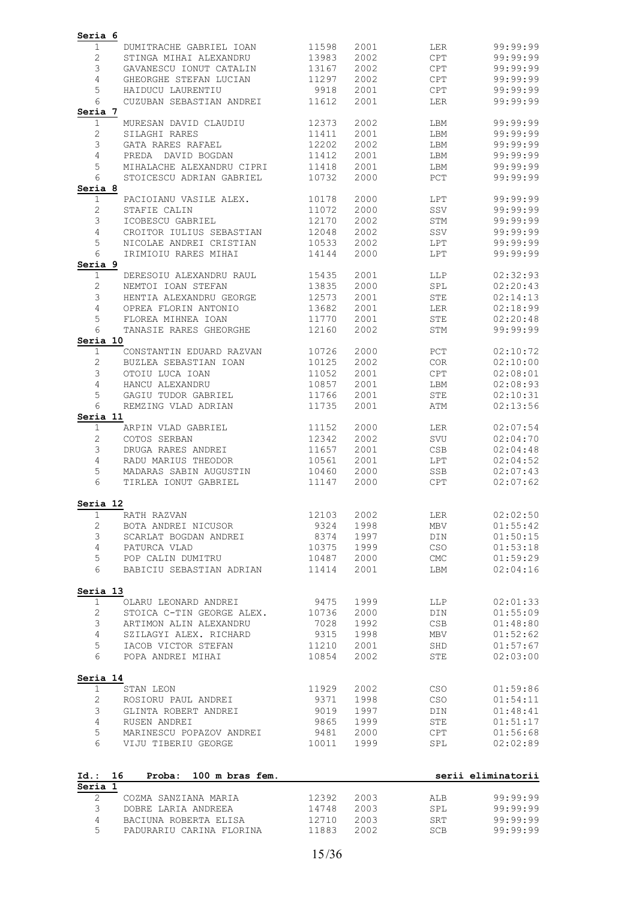| Seria 6        |                                 |       |      |                                 |                    |
|----------------|---------------------------------|-------|------|---------------------------------|--------------------|
| 1              | DUMITRACHE GABRIEL IOAN         | 11598 | 2001 | LER                             | 99:99:99           |
| $\mathbf{2}$   | STINGA MIHAI ALEXANDRU          | 13983 | 2002 | CPT                             | 99:99:99           |
| 3              | GAVANESCU IONUT CATALIN         | 13167 | 2002 | CPT                             | 99:99:99           |
| 4              | GHEORGHE STEFAN LUCIAN          | 11297 | 2002 | CPT                             | 99:99:99           |
| 5              | HAIDUCU LAURENTIU               | 9918  | 2001 | CPT                             | 99:99:99           |
| 6              | CUZUBAN SEBASTIAN ANDREI        | 11612 | 2001 | LER                             | 99:99:99           |
| Seria 7        |                                 |       |      |                                 |                    |
| $\mathbf 1$    | MURESAN DAVID CLAUDIU           | 12373 | 2002 | LBM                             | 99:99:99           |
| $\mathbf{2}$   | SILAGHI RARES                   | 11411 | 2001 | LBM                             | 99:99:99           |
| 3              | GATA RARES RAFAEL               | 12202 | 2002 | LBM                             | 99:99:99           |
| 4              | PREDA DAVID BOGDAN              | 11412 | 2001 | LBM                             | 99:99:99           |
| 5              | MIHALACHE ALEXANDRU CIPRI       | 11418 | 2001 | LBM                             | 99:99:99           |
| 6              | STOICESCU ADRIAN GABRIEL        | 10732 | 2000 | PCT                             | 99:99:99           |
| Seria 8        |                                 |       |      |                                 |                    |
| $\mathbf 1$    | PACIOIANU VASILE ALEX.          | 10178 | 2000 | LPT                             | 99:99:99           |
| 2              | STAFIE CALIN                    | 11072 | 2000 | SSV                             | 99:99:99           |
| 3              | ICOBESCU GABRIEL                | 12170 | 2002 | STM                             | 99:99:99           |
| $\overline{4}$ | CROITOR IULIUS SEBASTIAN        | 12048 | 2002 | SSV                             | 99:99:99           |
| 5              | NICOLAE ANDREI CRISTIAN         | 10533 | 2002 | LPT                             | 99:99:99           |
| 6              | IRIMIOIU RARES MIHAI            | 14144 | 2000 | LPT                             | 99:99:99           |
| Seria 9        |                                 |       |      |                                 |                    |
| $\mathbf 1$    | DERESOIU ALEXANDRU RAUL         | 15435 | 2001 | LLP                             | 02:32:93           |
| $\mathbf{2}$   | NEMTOI IOAN STEFAN              | 13835 | 2000 | SPL                             | 02:20:43           |
| 3              | HENTIA ALEXANDRU GEORGE         | 12573 | 2001 | <b>STE</b>                      | 02:14:13           |
| 4              | OPREA FLORIN ANTONIO            | 13682 | 2001 | LER                             | 02:18:99           |
| 5              | FLOREA MIHNEA IOAN              | 11770 | 2001 | STE                             | 02:20:48           |
| 6              | TANASIE RARES GHEORGHE          | 12160 | 2002 | STM                             | 99:99:99           |
| Seria 10       |                                 |       |      |                                 |                    |
| $\mathbf{1}$   | CONSTANTIN EDUARD RAZVAN        | 10726 | 2000 | PCT                             | 02:10:72           |
| 2              | BUZLEA SEBASTIAN IOAN           | 10125 | 2002 | <b>COR</b>                      | 02:10:00           |
| 3              | OTOIU LUCA IOAN                 | 11052 | 2001 | CPT                             | 02:08:01           |
| 4              | HANCU ALEXANDRU                 | 10857 | 2001 | LBM                             | 02:08:93           |
| 5              | GAGIU TUDOR GABRIEL             | 11766 | 2001 | STE                             | 02:10:31           |
| 6              | REMZING VLAD ADRIAN             | 11735 | 2001 | ATM                             | 02:13:56           |
| Seria 11       |                                 |       |      |                                 |                    |
| $\mathbf 1$    | ARPIN VLAD GABRIEL              | 11152 | 2000 | LER                             | 02:07:54           |
| $\mathbf{2}$   | COTOS SERBAN                    | 12342 | 2002 | SVU                             | 02:04:70           |
| 3              | DRUGA RARES ANDREI              | 11657 | 2001 | <b>CSB</b>                      | 02:04:48           |
| 4              | RADU MARIUS THEODOR             | 10561 | 2001 | LPT                             | 02:04:52           |
| 5              | MADARAS SABIN AUGUSTIN          | 10460 | 2000 | SSB                             | 02:07:43           |
| 6              |                                 |       | 2000 |                                 |                    |
|                | TIRLEA IONUT GABRIEL            | 11147 |      | <b>CPT</b>                      | 02:07:62           |
| Seria 12       |                                 |       |      |                                 |                    |
| $\mathbf{1}$   | RATH RAZVAN                     | 12103 | 2002 | LER                             | 02:02:50           |
| $\mathbf{2}$   | BOTA ANDREI NICUSOR             | 9324  | 1998 | <b>MBV</b>                      | 01:55:42           |
| 3              | SCARLAT BOGDAN ANDREI           | 8374  | 1997 | DIN                             | 01:50:15           |
| $\overline{4}$ | PATURCA VLAD                    | 10375 | 1999 | $_{\tiny{\mbox{\textsf{CSO}}}}$ | 01:53:18           |
|                | POP CALIN DUMITRU               |       |      |                                 |                    |
| 5<br>6         |                                 | 10487 | 2000 | $\ensuremath{\mathrm{CMC}}$     | 01:59:29           |
|                | BABICIU SEBASTIAN ADRIAN        | 11414 | 2001 | LBM                             | 02:04:16           |
| Seria 13       |                                 |       |      |                                 |                    |
| $\mathbf{1}$   | OLARU LEONARD ANDREI            | 9475  | 1999 | LLP                             | 02:01:33           |
| $\mathbf{2}$   | STOICA C-TIN GEORGE ALEX.       | 10736 | 2000 | DIN                             | 01:55:09           |
|                |                                 |       |      |                                 |                    |
| 3              | ARTIMON ALIN ALEXANDRU          | 7028  | 1992 | CSB                             | 01:48:80           |
| 4              | SZILAGYI ALEX. RICHARD          | 9315  | 1998 | MBV                             | 01:52:62           |
| 5              | IACOB VICTOR STEFAN             | 11210 | 2001 | SHD                             | 01:57:67           |
| 6              | POPA ANDREI MIHAI               | 10854 | 2002 | STE                             | 02:03:00           |
|                |                                 |       |      |                                 |                    |
| Seria 14       |                                 |       |      |                                 |                    |
| $\mathbf{1}$   | STAN LEON                       | 11929 | 2002 | <b>CSO</b>                      | 01:59:86           |
| 2              | ROSIORU PAUL ANDREI             | 9371  | 1998 | CSO                             | 01:54:11           |
| 3              | GLINTA ROBERT ANDREI            | 9019  | 1997 | DIN                             | 01:48:41           |
| 4              | RUSEN ANDREI                    | 9865  | 1999 | STE                             | 01:51:17           |
| 5              | MARINESCU POPAZOV ANDREI        | 9481  | 2000 | CPT                             | 01:56:68           |
| 6              | VIJU TIBERIU GEORGE             | 10011 | 1999 | SPL                             | 02:02:89           |
|                |                                 |       |      |                                 |                    |
| Id.:           | 16<br>Proba:<br>100 m bras fem. |       |      |                                 | serii eliminatorii |
| Seria 1        |                                 |       |      |                                 |                    |
| $\mathbf{2}$   | COZMA SANZIANA MARIA            | 12392 | 2003 | ALB                             | 99:99:99           |
| 3              | DOBRE LARIA ANDREEA             | 14748 | 2003 | SPL                             | 99:99:99           |
| 4              | BACIUNA ROBERTA ELISA           | 12710 | 2003 | SRT                             | 99:99:99           |
| 5              | PADURARIU CARINA FLORINA        | 11883 | 2002 | SCB                             | 99:99:99           |
|                |                                 |       |      |                                 |                    |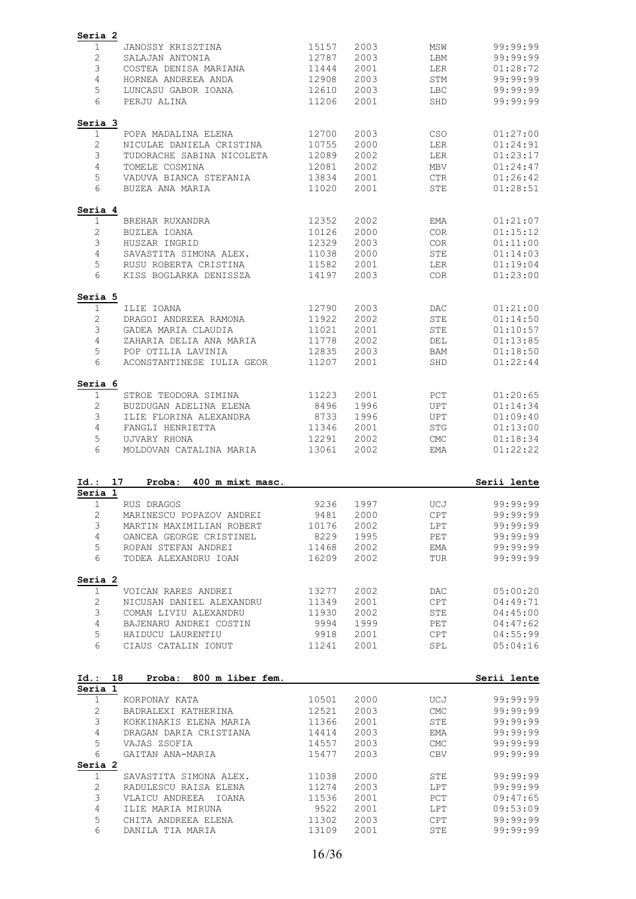| Seria 2                      |                                         |                |              |                                          |                      |
|------------------------------|-----------------------------------------|----------------|--------------|------------------------------------------|----------------------|
| 1                            | JANOSSY KRISZTINA                       | 15157          | 2003         | MSW                                      | 99:99:99             |
| $\mathbf{2}$                 | SALAJAN ANTONIA                         | 12787          | 2003         | LBM                                      | 99:99:99             |
| $\mathfrak{Z}$               | COSTEA DENISA MARIANA                   | 11444          | 2001         | LER                                      | 01:28:72             |
| 4                            | HORNEA ANDREEA ANDA                     | 12908          | 2003         | STM                                      | 99:99:99             |
| 5                            | LUNCASU GABOR IOANA                     | 12610          | 2003         | LBC                                      | 99:99:99             |
| 6                            | PERJU ALINA                             | 11206          | 2001         | SHD                                      | 99:99:99             |
| Seria 3                      |                                         |                |              |                                          |                      |
| 1                            | POPA MADALINA ELENA                     | 12700          | 2003         | <b>CSO</b>                               | 01:27:00             |
| $\mathbf{2}$                 | NICULAE DANIELA CRISTINA                | 10755          | 2000         | LER                                      | 01:24:91             |
| 3                            | TUDORACHE SABINA NICOLETA               | 12089          | 2002         | LER                                      | 01:23:17             |
| 4                            | TOMELE COSMINA                          | 12081          | 2002         | <b>MBV</b>                               | 01:24:47             |
| 5                            | VADUVA BIANCA STEFANIA                  | 13834          | 2001         | <b>CTR</b>                               | 01:26:42             |
| 6                            | BUZEA ANA MARIA                         | 11020          | 2001         | STE                                      | 01:28:51             |
| Seria 4                      |                                         |                |              |                                          |                      |
| 1                            | BREHAR RUXANDRA                         | 12352          | 2002         | EMA                                      | 01:21:07             |
| 2                            | BUZLEA IOANA                            | 10126          | 2000         | <b>COR</b>                               | 01:15:12             |
| 3                            | HUSZAR INGRID                           | 12329          | 2003         | COR.                                     | 01:11:00             |
| 4                            | SAVASTITA SIMONA ALEX.                  | 11038          | 2000         | <b>STE</b>                               | 01:14:03             |
| 5                            | RUSU ROBERTA CRISTINA                   | 11582          | 2001         | LER                                      | 01:19:04             |
| 6                            | KISS BOGLARKA DENISSZA                  | 14197          | 2003         | <b>COR</b>                               | 01:23:00             |
| Seria 5                      |                                         |                |              |                                          |                      |
| 1                            | ILIE IOANA                              | 12790          | 2003         | DAC                                      | 01:21:00             |
| 2                            | DRAGOI ANDREEA RAMONA                   | 11922          | 2002         | <b>STE</b>                               | 01:14:50             |
| 3                            | GADEA MARIA CLAUDIA                     | 11021          | 2001         | <b>STE</b>                               | 01:10:57             |
| $\overline{4}$               | ZAHARIA DELIA ANA MARIA                 | 11778          | 2002         | DEL                                      | 01:13:85             |
| 5                            | POP OTILIA LAVINIA                      | 12835          | 2003         | BAM                                      | 01:18:50             |
| 6                            | ACONSTANTINESE IULIA GEOR               | 11207          | 2001         | SHD                                      | 01:22:44             |
| Seria 6                      |                                         |                |              |                                          |                      |
| 1                            | STROE TEODORA SIMINA                    | 11223          | 2001         | PCT                                      | 01:20:65             |
| $\mathbf{2}$                 | BUZDUGAN ADELINA ELENA                  | 8496           | 1996         | UPT                                      | 01:14:34             |
| 3                            | ILIE FLORINA ALEXANDRA                  | 8733           | 1996         | UPT                                      | 01:09:40             |
| 4                            | FANGLI HENRIETTA                        | 11346          | 2001         | $\operatorname{STG}$                     | 01:13:00             |
| 5                            | UJVARY RHONA                            | 12291          | 2002         | <b>CMC</b>                               | 01:18:34             |
|                              |                                         |                |              |                                          |                      |
| 6                            | MOLDOVAN CATALINA MARIA                 | 13061          | 2002         | <b>EMA</b>                               | 01:22:22             |
|                              |                                         |                |              |                                          |                      |
| 17                           | Proba:<br>400 m mixt masc.              |                |              |                                          | Serii lente          |
| 1                            | RUS DRAGOS                              | 9236           | 1997         | UCJ                                      | 99:99:99             |
| 2                            | MARINESCU POPAZOV ANDREI                | 9481           | 2000         | CPT                                      | 99:99:99             |
| 3                            | MARTIN MAXIMILIAN ROBERT                | 10176          | 2002         | LPT                                      | 99:99:99             |
| 4                            | OANCEA GEORGE CRISTINEL                 | 8229           | 1995         | $\ensuremath{\mathop{\rm PET}\nolimits}$ | 99:99:99             |
| 5                            | ROPAN STEFAN ANDREI                     | 11468          | 2002         | EMA                                      | 99:99:99             |
| 6                            | TODEA ALEXANDRU IOAN                    | 16209          | 2002         | TUR                                      | 99:99:99             |
|                              |                                         |                |              |                                          |                      |
| $\mathbf{1}$                 | VOICAN RARES ANDREI                     | 13277          | 2002         | DAC.                                     | 05:00:20             |
| 2                            | NICUSAN DANIEL ALEXANDRU                | 11349          | 2001         | <b>CPT</b>                               | 04:49:71             |
| 3                            | COMAN LIVIU ALEXANDRU                   | 11930          | 2002         | STE                                      | 04:45:00             |
| 4                            | BAJENARU ANDREI COSTIN                  | 9994           | 1999         | PET                                      | 04:47:62             |
| 5                            | HAIDUCU LAURENTIU                       | 9918           | 2001         | CPT                                      | 04:55:99             |
| Id.:<br>Seria 1<br>6         | CIAUS CATALIN IONUT                     | 11241          | 2001         | SPL                                      | 05:04:16             |
|                              |                                         |                |              |                                          |                      |
| Id.:                         | 18<br>Proba: 800 m liber fem.           |                |              |                                          | Serii lente          |
| $\mathbf 1$                  | KORPONAY KATA                           | 10501          | 2000         | UCJ                                      | 99:99:99             |
| 2                            | BADRALEXI KATHERINA                     | 12521          | 2003         | CMC                                      | 99:99:99             |
| 3                            | KOKKINAKIS ELENA MARIA                  | 11366          | 2001         | STE                                      | 99:99:99             |
| 4                            | DRAGAN DARIA CRISTIANA                  | 14414          | 2003         | EMA                                      | 99:99:99             |
| 5                            | VAJAS ZSOFIA                            | 14557          | 2003         | $\ensuremath{\mathrm{CMC}}$              | 99:99:99             |
| 6                            | GAITAN ANA-MARIA                        | 15477          | 2003         | <b>CBV</b>                               | 99:99:99             |
|                              |                                         |                |              |                                          |                      |
| Seria 2<br>1                 | SAVASTITA SIMONA ALEX.                  | 11038          | 2000         | STE                                      | 99:99:99             |
| $\mathbf{2}$                 | RADULESCU RAISA ELENA                   | 11274          | 2003         | LPT                                      | 99:99:99             |
| 3                            | VLAICU ANDREEA IOANA                    | 11536          | 2001         | $_{\rm PCT}$                             | 09:47:65             |
| 4                            | ILIE MARIA MIRUNA                       | 9522           | 2001         | LPT                                      | 09:53:09             |
| Seria 2<br>Seria 1<br>5<br>6 | CHITA ANDREEA ELENA<br>DANILA TIA MARIA | 11302<br>13109 | 2003<br>2001 | CPT<br>STE                               | 99:99:99<br>99:99:99 |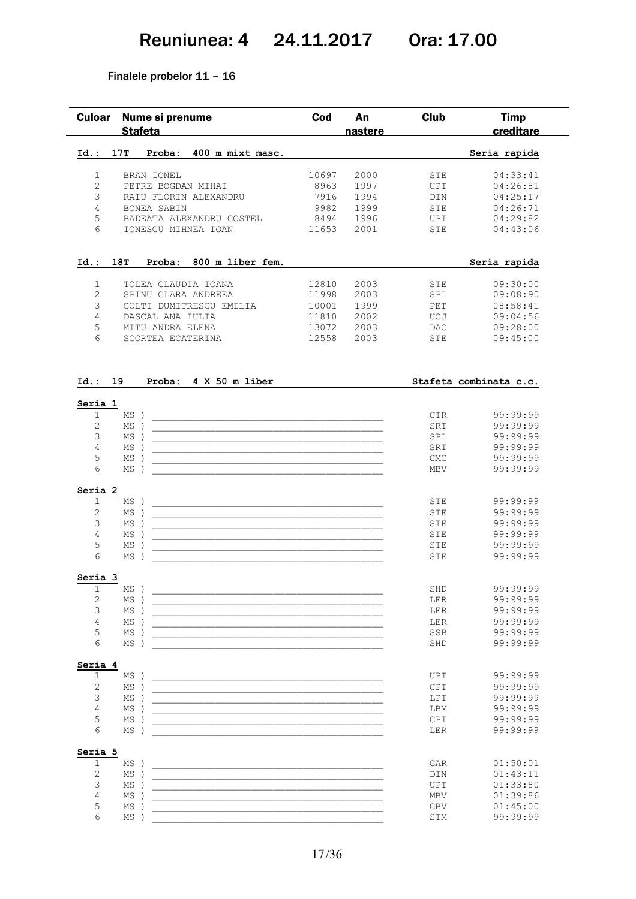### Reuniunea: 4 24.11.2017 Ora: 17.00

#### Finalele probelor 11 – 16

| <b>Culoar</b>           | Nume si prenume<br><b>Stafeta</b> | Cod   | An<br>nastere | <b>Club</b> | <b>Timp</b><br>creditare |
|-------------------------|-----------------------------------|-------|---------------|-------------|--------------------------|
| $Id.$ :                 | 17T<br>400 m mixt masc.<br>Proba: |       |               |             | Seria rapida             |
| $\mathbf{1}$            | BRAN IONEL                        | 10697 | 2000          | <b>STE</b>  | 04:33:41                 |
| $\overline{2}$          | PETRE BOGDAN MIHAI                | 8963  | 1997          | <b>UPT</b>  | 04:26:81                 |
| 3                       | RAIU FLORIN ALEXANDRU             | 7916  | 1994          | <b>DIN</b>  | 04:25:17                 |
| 4                       | <b>BONEA SABIN</b>                | 9982  | 1999          | <b>STE</b>  | 04:26:71                 |
| 5                       | BADEATA ALEXANDRU COSTEL          | 8494  | 1996          | <b>UPT</b>  | 04:29:82                 |
| 6                       | IONESCU MIHNEA IOAN               | 11653 | 2001          | <b>STE</b>  | 04:43:06                 |
| Id.: 18T                | Proba: 800 m liber fem.           |       |               |             | Seria rapida             |
| 1                       | TOLEA CLAUDIA IOANA               | 12810 | 2003          | <b>STE</b>  | 09:30:00                 |
| $\overline{2}$          | SPINU CLARA ANDREEA               | 11998 | 2003          | SPL         | 09:08:90                 |
| 3                       | COLTI DUMITRESCU EMILIA           | 10001 | 1999          | PET         | 08:58:41                 |
| 4                       | DASCAL ANA IULIA                  | 11810 | 2002          | UCJ         | 09:04:56                 |
| 5                       | MITU ANDRA ELENA                  | 13072 | 2003          | <b>DAC</b>  | 09:28:00                 |
| 6                       | SCORTEA ECATERINA                 | 12558 | 2003          | <b>STE</b>  | 09:45:00                 |
| Id.: 19                 | Proba: 4 X 50 m liber             |       |               |             | Stafeta combinata c.c.   |
| Seria 1<br>$\mathbf{1}$ | MS                                |       |               | <b>CTR</b>  | 99:99:99                 |
| $\overline{2}$          | MS                                |       |               | SRT         | 99:99:99                 |
| 3                       | MS                                |       |               | SPL         | 99:99:99                 |
|                         |                                   |       |               | SRT         | 99:99:99                 |
| 4                       | MS                                |       |               |             |                          |
| 5                       | MS                                |       |               | <b>CMC</b>  | 99:99:99                 |

### **Seria 2**

| Seria | 2  |     |          |
|-------|----|-----|----------|
|       | ΜS | STE | 99:99:99 |
|       | ΜS | STE | 99:99:99 |
|       | МS | STE | 99:99:99 |
|       | MS | STE | 99:99:99 |
|       | MS | STE | 99:99:99 |
|       | МS | STE | 99:99:99 |

#### **Seria 3**

|  | ΜS | SHD        | 99:99:99 |
|--|----|------------|----------|
|  | ΜS | LER        | 99:99:99 |
|  | ΜS | LER        | 99:99:99 |
|  | MS | LER        | 99:99:99 |
|  | ΜS | <b>SSB</b> | 99:99:99 |
|  | MS | SHD        | 99:99:99 |
|  |    |            |          |

#### **Seria 4**

| ΜS | <b>UPT</b> | 99:99:99 |
|----|------------|----------|
| ΜS | <b>CPT</b> | 99:99:99 |
| ΜS | LPT        | 99:99:99 |
| ΜS | LBM        | 99:99:99 |
| МS | <b>CPT</b> | 99:99:99 |
| МS | LER        | 99:99:99 |

### **Seria 5**

| . |    |            |          |
|---|----|------------|----------|
|   | МS | GAR        | 01:50:01 |
|   | MS | DIN        | 01:43:11 |
|   | ΜS | <b>UPT</b> | 01:33:80 |
|   | MS | MBV        | 01:39:86 |
|   | MS | <b>CBV</b> | 01:45:00 |
|   | MS | <b>STM</b> | 99:99:99 |
|   |    |            |          |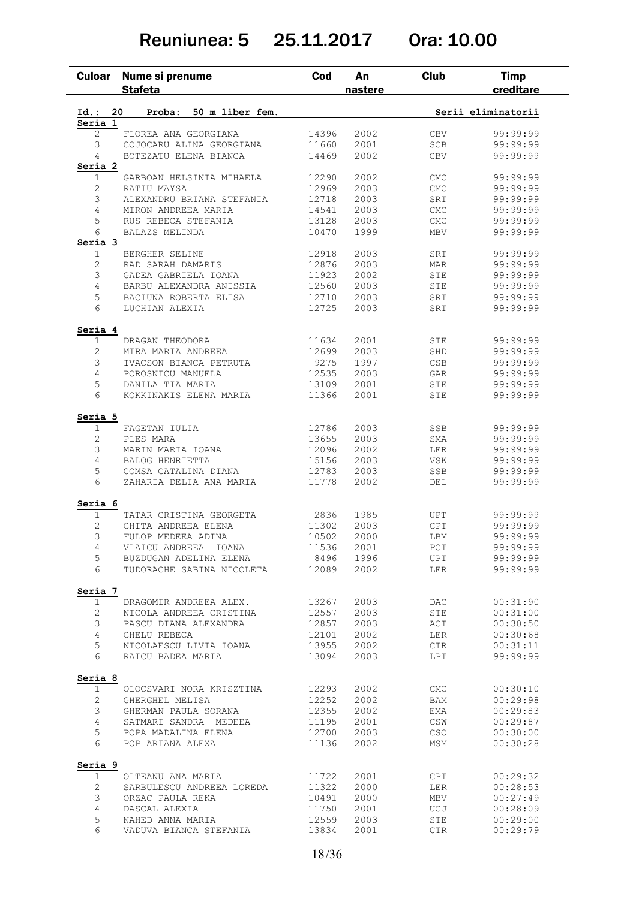### Reuniunea: 5 25.11.2017 Ora: 10.00

| <b>Culoar</b>  | Nume si prenume<br><b>Stafeta</b> | Cod   | An<br>nastere | Club       | <b>Timp</b><br>creditare |
|----------------|-----------------------------------|-------|---------------|------------|--------------------------|
| Id.:           | Proba:<br>50 m liber fem.<br>20   |       |               |            | Serii eliminatorii       |
| Seria 1        |                                   |       |               |            |                          |
| $\overline{2}$ | FLOREA ANA GEORGIANA              | 14396 | 2002          | <b>CBV</b> | 99:99:99                 |
| 3              | COJOCARU ALINA GEORGIANA          | 11660 | 2001          | <b>SCB</b> | 99:99:99                 |
| 4              | BOTEZATU ELENA BIANCA             | 14469 | 2002          | <b>CBV</b> | 99:99:99                 |
| Seria 2        |                                   |       |               |            |                          |
| 1              | GARBOAN HELSINIA MIHAELA          | 12290 | 2002          | <b>CMC</b> | 99:99:99                 |
| 2              | RATIU MAYSA                       | 12969 | 2003          | <b>CMC</b> | 99:99:99                 |
| 3              | ALEXANDRU BRIANA STEFANIA         | 12718 | 2003          | <b>SRT</b> | 99:99:99                 |
| 4              | MIRON ANDREEA MARIA               | 14541 | 2003          | <b>CMC</b> | 99:99:99                 |
| 5              | RUS REBECA STEFANIA               | 13128 | 2003          | <b>CMC</b> | 99:99:99                 |
| 6              | BALAZS MELINDA                    | 10470 | 1999          | MBV        | 99:99:99                 |
| Seria 3        |                                   |       |               |            |                          |
| 1              | BERGHER SELINE                    | 12918 | 2003          | SRT        | 99:99:99                 |
| $\overline{2}$ | RAD SARAH DAMARIS                 | 12876 | 2003          | <b>MAR</b> | 99:99:99                 |
| 3              | GADEA GABRIELA IOANA              | 11923 | 2002          | <b>STE</b> | 99:99:99                 |
| 4              | BARBU ALEXANDRA ANISSIA           | 12560 | 2003          | <b>STE</b> | 99:99:99                 |
| 5              | BACIUNA ROBERTA ELISA             | 12710 | 2003          | SRT        | 99:99:99                 |
| 6              | LUCHIAN ALEXIA                    | 12725 | 2003          | SRT        | 99:99:99                 |
|                |                                   |       |               |            |                          |
| Seria 4        |                                   |       |               |            |                          |
| 1              | DRAGAN THEODORA                   | 11634 | 2001          | STE        | 99:99:99                 |
| 2              | MIRA MARIA ANDREEA                | 12699 | 2003          | SHD        | 99:99:99                 |
| 3              | IVACSON BIANCA PETRUTA            | 9275  | 1997          | CSB        | 99:99:99                 |
| $\overline{4}$ | POROSNICU MANUELA                 | 12535 | 2003          | GAR        | 99:99:99                 |
| 5              | DANILA TIA MARIA                  | 13109 | 2001          | STE        | 99:99:99                 |
| 6              | KOKKINAKIS ELENA MARIA            | 11366 | 2001          | <b>STE</b> | 99:99:99                 |
| Seria 5        |                                   |       |               |            |                          |
| 1              | FAGETAN IULIA                     | 12786 | 2003          | SSB        | 99:99:99                 |
| $\overline{c}$ | PLES MARA                         | 13655 | 2003          | <b>SMA</b> | 99:99:99                 |
| 3              | MARIN MARIA IOANA                 | 12096 | 2002          | LER        | 99:99:99                 |
| 4              | BALOG HENRIETTA                   | 15156 | 2003          | <b>VSK</b> | 99:99:99                 |
| 5              | COMSA CATALINA DIANA              | 12783 | 2003          | SSB        | 99:99:99                 |
| 6              | ZAHARIA DELIA ANA MARIA           | 11778 | 2002          | DEL        | 99:99:99                 |
| Seria 6        |                                   |       |               |            |                          |
| 1              | TATAR CRISTINA GEORGETA           | 2836  | 1985          | UPT        | 99:99:99                 |
| 2              | CHITA ANDREEA ELENA               | 11302 | 2003          | <b>CPT</b> | 99:99:99                 |
| 3              |                                   |       |               |            | 99:99:99                 |
|                | FULOP MEDEEA ADINA                | 10502 | 2000          | LBM        |                          |
| 4              | VLAICU ANDREEA IOANA              | 11536 | 2001          | PCT        | 99:99:99                 |
| 5              | BUZDUGAN ADELINA ELENA            | 8496  | 1996          | UPT        | 99:99:99                 |
| 6              | TUDORACHE SABINA NICOLETA         | 12089 | 2002          | LER        | 99:99:99                 |
| Seria 7        |                                   |       |               |            |                          |
| $\mathbf 1$    | DRAGOMIR ANDREEA ALEX.            | 13267 | 2003          | DAC.       | 00:31:90                 |
| 2              | NICOLA ANDREEA CRISTINA           | 12557 | 2003          | STE        | 00:31:00                 |
| 3              | PASCU DIANA ALEXANDRA             | 12857 | 2003          | ACT        | 00:30:50                 |
| $\overline{4}$ | CHELU REBECA                      | 12101 | 2002          | LER        | 00:30:68                 |
| 5              | NICOLAESCU LIVIA IOANA            | 13955 | 2002          | CTR        | 00:31:11                 |
| 6              | RAICU BADEA MARIA                 | 13094 | 2003          | LPT        | 99:99:99                 |
| Seria 8        |                                   |       |               |            |                          |
| 1              | OLOCSVARI NORA KRISZTINA          | 12293 | 2002          | <b>CMC</b> | 00:30:10                 |
| 2              | GHERGHEL MELISA                   | 12252 | 2002          | BAM        | 00:29:98                 |
| 3              | GHERMAN PAULA SORANA              | 12355 | 2002          | EMA        | 00:29:83                 |
| 4              | SATMARI SANDRA MEDEEA             | 11195 | 2001          | CSW        | 00:29:87                 |
| 5              | POPA MADALINA ELENA               | 12700 | 2003          | <b>CSO</b> | 00:30:00                 |
| 6              | POP ARIANA ALEXA                  | 11136 | 2002          | MSM        | 00:30:28                 |
| Seria 9        |                                   |       |               |            |                          |
| 1              | OLTEANU ANA MARIA                 | 11722 | 2001          | CPT        | 00:29:32                 |
| 2              | SARBULESCU ANDREEA LOREDA         | 11322 | 2000          | LER        | 00:28:53                 |
| 3              | ORZAC PAULA REKA                  | 10491 | 2000          | MBV        | 00:27:49                 |
| 4              |                                   |       |               |            |                          |
|                | DASCAL ALEXIA                     | 11750 | 2001          | UCJ        | 00:28:09                 |
| 5              | NAHED ANNA MARIA                  | 12559 | 2003          | STE        | 00:29:00                 |
| 6              | VADUVA BIANCA STEFANIA            | 13834 | 2001          | CTR        | 00:29:79                 |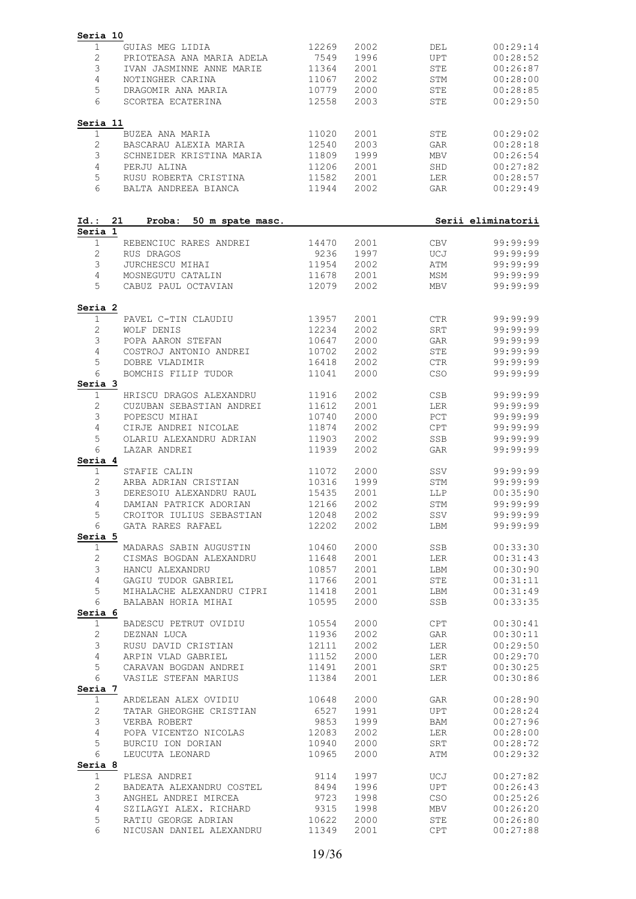| Seria 10                |                                                            |                |              |            |                      |
|-------------------------|------------------------------------------------------------|----------------|--------------|------------|----------------------|
| 1                       | GUIAS MEG LIDIA                                            | 12269          | 2002         | DEL        | 00:29:14             |
| $\mathbf{2}$<br>3       | PRIOTEASA ANA MARIA ADELA                                  | 7549           | 1996         | <b>UPT</b> | 00:28:52             |
| 4                       | IVAN JASMINNE ANNE MARIE<br>NOTINGHER CARINA               | 11364<br>11067 | 2001<br>2002 | STE<br>STM | 00:26:87<br>00:28:00 |
| 5                       | DRAGOMIR ANA MARIA                                         | 10779          | 2000         | STE        | 00:28:85             |
| 6                       | SCORTEA ECATERINA                                          | 12558          | 2003         | <b>STE</b> | 00:29:50             |
| Seria 11                |                                                            |                |              |            |                      |
| 1                       | BUZEA ANA MARIA                                            | 11020          | 2001         | STE        | 00:29:02             |
| $\mathbf{2}$            | BASCARAU ALEXIA MARIA                                      | 12540          | 2003         | GAR        | 00:28:18             |
| 3                       | SCHNEIDER KRISTINA MARIA                                   | 11809          | 1999         | MBV        | 00:26:54             |
| 4<br>5                  | PERJU ALINA                                                | 11206          | 2001         | SHD        | 00:27:82             |
| 6                       | RUSU ROBERTA CRISTINA<br>BALTA ANDREEA BIANCA              | 11582<br>11944 | 2001<br>2002 | LER<br>GAR | 00:28:57<br>00:29:49 |
| Id.:                    | 21<br>Proba:<br>50 m spate masc.                           |                |              |            | Serii eliminatorii   |
| Seria 1                 |                                                            |                |              |            |                      |
| $\mathbf{1}$            | REBENCIUC RARES ANDREI                                     | 14470          | 2001         | CBV        | 99:99:99             |
| $\mathbf{2}$            | RUS DRAGOS                                                 | 9236           | 1997         | UCJ        | 99:99:99             |
| 3                       | JURCHESCU MIHAI                                            | 11954          | 2002         | ATM        | 99:99:99             |
| 4<br>5                  | MOSNEGUTU CATALIN<br>CABUZ PAUL OCTAVIAN                   | 11678<br>12079 | 2001<br>2002 | MSM<br>MBV | 99:99:99<br>99:99:99 |
|                         |                                                            |                |              |            |                      |
| Seria 2<br>$\mathbf{1}$ | PAVEL C-TIN CLAUDIU                                        | 13957          | 2001         | <b>CTR</b> | 99:99:99             |
| $\mathbf{2}$            | WOLF DENIS                                                 | 12234          | 2002         | SRT        | 99:99:99             |
| 3                       | POPA AARON STEFAN                                          | 10647          | 2000         | GAR        | 99:99:99             |
| 4                       | COSTROJ ANTONIO ANDREI                                     | 10702          | 2002         | STE        | 99:99:99             |
| 5                       | DOBRE VLADIMIR                                             | 16418          | 2002         | CTR        | 99:99:99             |
| 6<br>Seria 3            | BOMCHIS FILIP TUDOR                                        | 11041          | 2000         | <b>CSO</b> | 99:99:99             |
| $\mathbf{1}$            | HRISCU DRAGOS ALEXANDRU                                    | 11916          | 2002         | CSB        | 99:99:99             |
| $\mathbf{2}$            | CUZUBAN SEBASTIAN ANDREI                                   | 11612          | 2001         | LER        | 99:99:99             |
| 3                       | POPESCU MIHAI                                              | 10740          | 2000         | PCT        | 99:99:99             |
| 4                       | CIRJE ANDREI NICOLAE                                       | 11874          | 2002         | <b>CPT</b> | 99:99:99             |
| 5<br>6                  | OLARIU ALEXANDRU ADRIAN<br>LAZAR ANDREI                    | 11903          | 2002         | SSB        | 99:99:99             |
| Seria 4                 |                                                            | 11939          | 2002         | GAR        | 99:99:99             |
| $\mathbf 1$             | STAFIE CALIN                                               | 11072          | 2000         | SSV        | 99:99:99             |
| $\mathbf{2}$            | ARBA ADRIAN CRISTIAN                                       | 10316          | 1999         | STM        | 99:99:99             |
| 3                       | DERESOIU ALEXANDRU RAUL                                    | 15435          | 2001         | LLP        | 00:35:90             |
| 4                       | DAMIAN PATRICK ADORIAN                                     | 12166          | 2002         | STM        | 99:99:99             |
| 5 <sup>5</sup>          | CROITOR IULIUS SEBASTIAN 12048                             |                | 2002         | SSV        | 99:99:99             |
| 6<br>Seria 5            | GATA RARES RAFAEL                                          | 12202          | 2002         | LBM        | 99:99:99             |
| $\mathbf 1$             | MADARAS SABIN AUGUSTIN 10460                               |                | 2000         | SSB        | 00:33:30             |
| $\mathbf{2}$            | CISMAS BOGDAN ALEXANDRU                                    | 11648<br>10857 | 2001         | LER        | 00:31:43             |
| 3                       | HANCU ALEXANDRU                                            |                | 2001         | LBM        | 00:30:90             |
| $\overline{4}$<br>5     | GAGIU TUDOR GABRIEL 11766                                  |                | 2001<br>2001 | STE<br>LBM | 00:31:11<br>00:31:49 |
| 6                       | MIHALACHE ALEXANDRU CIPRI 11418<br>BALABAN HORIA MIHAI     | 10595          | 2000         | SSB        | 00:33:35             |
| Seria 6                 |                                                            |                |              |            |                      |
| $\mathbf{1}$            | BADESCU PETRUT OVIDIU 10554                                | 11936          | 2000         | CPT        | 00:30:41             |
| $\overline{2}$<br>3     | DEZNAN LUCA<br>RUSU DAVID CRISTIAN                         | 12111          | 2002<br>2002 | GAR<br>LER | 00:30:11<br>00:29:50 |
| $\overline{4}$          | ARPIN VLAD GABRIEL                                         | 11152          | 2000         | LER        | 00:29:70             |
| 5                       |                                                            |                | 2001         | SRT        | 00:30:25             |
| 6                       | CARAVAN BOGDAN ANDREI<br>VASILE STEFAN MARIUS              | 11491<br>11384 | 2001         | LER        | 00:30:86             |
| Seria 7<br>$\mathbf 1$  |                                                            |                | 2000         | GAR        | 00:28:90             |
| $\mathbf{2}$            | ARDELEAN ALEX OVIDIU 10648<br>TATAR GHEORGHE CRISTIAN 6527 |                | 1991         | UPT        | 00:28:24             |
| 3                       | VERBA ROBERT                                               | 9853           | 1999         | BAM        | 00:27:96             |
| 4                       | POPA VICENTZO NICOLAS 12083<br>RIIRCIII ION DORIAN 10940   |                | 2002         | LER        | 00:28:00             |
| 5                       |                                                            |                | 2000         | SRT        | 00:28:72             |
| 6                       | LEUCUTA LEONARD                                            | 10965          | 2000         | ATM        | 00:29:32             |
| Seria 8<br>1            | PLESA ANDREI                                               | 9114           | 1997         | UCJ        | 00:27:82             |
| $\overline{2}$          | BADEATA ALEXANDRU COSTEL 8494 1996                         |                |              | UPT        | 00:26:43             |
| 3                       | ANGHEL ANDREI MIRCEA                                       | 9723           | 1998         | CSO        | 00:25:26             |
| $\overline{4}$          | SZILAGYI ALEX. RICHARD<br>RATIU GEORGE ADRIAN              | 9315<br>10622  | 1998         | MBV        | 00:26:20             |
| 5                       | RATIU GEORGE ADRIAN                                        |                | 2000         | STE        | 00:26:80             |
| 6                       | NICUSAN DANIEL ALEXANDRU 11349                             |                | 2001         | CPT        | 00:27:88             |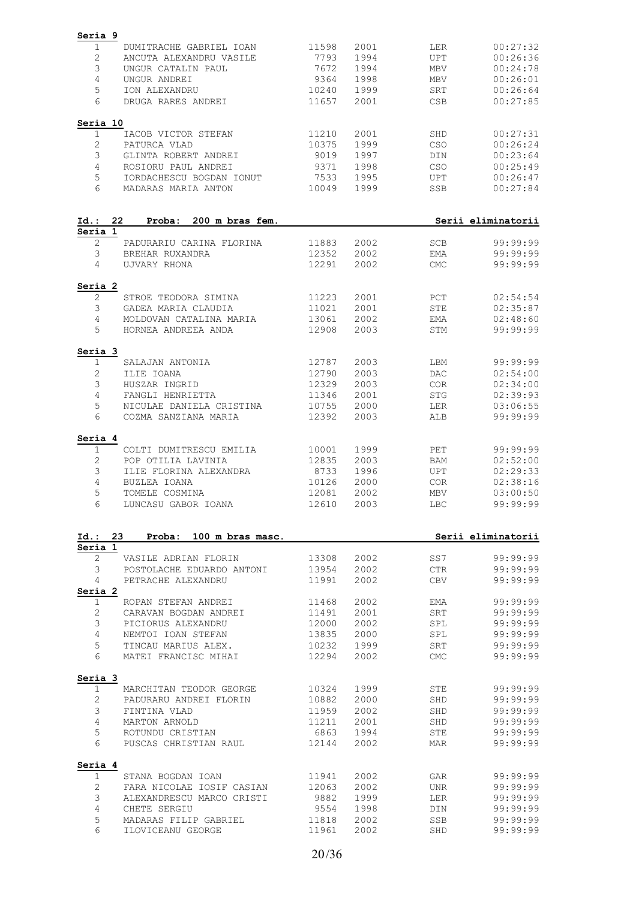| Seria 9               |                           |       |      |             |                                              |
|-----------------------|---------------------------|-------|------|-------------|----------------------------------------------|
| $\mathbf 1$           | DUMITRACHE GABRIEL IOAN   | 11598 | 2001 | LER         | 00:27:32                                     |
| $\sqrt{2}$            | ANCUTA ALEXANDRU VASILE   | 7793  | 1994 | <b>UPT</b>  | 00:26:36                                     |
| 3                     | UNGUR CATALIN PAUL        | 7672  | 1994 | <b>MBV</b>  | 00:24:78                                     |
| 4                     |                           | 9364  |      |             |                                              |
|                       | UNGUR ANDREI              |       | 1998 | <b>MBV</b>  | 00:26:01                                     |
| 5                     | ION ALEXANDRU             | 10240 | 1999 | SRT         | 00:26:64                                     |
| 6                     | DRUGA RARES ANDREI        | 11657 | 2001 | CSB         | 00:27:85                                     |
| Seria 10              |                           |       |      |             |                                              |
| $\mathbf 1$           | IACOB VICTOR STEFAN       | 11210 | 2001 | SHD         | 00:27:31                                     |
| $\mathbf{2}$          | PATURCA VLAD              | 10375 | 1999 | CSO         | 00:26:24                                     |
| 3                     | GLINTA ROBERT ANDREI      | 9019  | 1997 | DIN         | 00:23:64                                     |
| 4                     | ROSIORU PAUL ANDREI       | 9371  | 1998 | CSO         | 00:25:49                                     |
| 5                     | IORDACHESCU BOGDAN IONUT  | 7533  | 1995 | <b>UPT</b>  | 00:26:47                                     |
| 6                     | MADARAS MARIA ANTON       | 10049 | 1999 | SSB         | 00:27:84                                     |
|                       |                           |       |      |             |                                              |
| 22<br>Id.:<br>Seria 1 | Proba:<br>200 m bras fem. |       |      |             | Serii eliminatorii                           |
| $\mathbf{2}$          | PADURARIU CARINA FLORINA  | 11883 | 2002 | <b>SCB</b>  | 99:99:99                                     |
| 3                     | BREHAR RUXANDRA           | 12352 | 2002 | EMA         | 99:99:99                                     |
| 4                     | UJVARY RHONA              | 12291 | 2002 | <b>CMC</b>  | 99:99:99                                     |
| Seria 2               |                           |       |      |             |                                              |
| 2                     | STROE TEODORA SIMINA      | 11223 | 2001 | PCT         | 02:54:54                                     |
| 3                     | GADEA MARIA CLAUDIA       | 11021 | 2001 | STE         | 02:35:87                                     |
| 4                     | MOLDOVAN CATALINA MARIA   | 13061 | 2002 | <b>EMA</b>  | 02:48:60                                     |
| 5                     | HORNEA ANDREEA ANDA       | 12908 | 2003 | STM         | 99:99:99                                     |
| Seria 3               |                           |       |      |             |                                              |
| 1                     | SALAJAN ANTONIA           | 12787 | 2003 | LBM         | 99:99:99                                     |
| $\mathbf{2}$          | ILIE IOANA                | 12790 | 2003 | DAC         | 02:54:00                                     |
| 3                     | HUSZAR INGRID             | 12329 | 2003 | COR         | 02:34:00                                     |
| 4                     | FANGLI HENRIETTA          | 11346 | 2001 | <b>STG</b>  | 02:39:93                                     |
| 5                     | NICULAE DANIELA CRISTINA  | 10755 | 2000 | LER         | 03:06:55                                     |
| 6                     | COZMA SANZIANA MARIA      | 12392 | 2003 | ALB         | 99:99:99                                     |
|                       |                           |       |      |             |                                              |
| Seria 4<br>1          | COLTI DUMITRESCU EMILIA   | 10001 | 1999 | PET         | 99:99:99                                     |
|                       |                           |       |      |             |                                              |
| 2                     | POP OTILIA LAVINIA        | 12835 | 2003 | BAM         | 02:52:00                                     |
| 3                     | ILIE FLORINA ALEXANDRA    | 8733  | 1996 | <b>UPT</b>  | 02:29:33                                     |
| 4                     | BUZLEA IOANA              | 10126 | 2000 | <b>COR</b>  | 02:38:16                                     |
| 5                     | TOMELE COSMINA            | 12081 | 2002 | MBV         | 03:00:50                                     |
| 6                     | LUNCASU GABOR IOANA       | 12610 | 2003 | LBC         | 99:99:99                                     |
| Id.: 23               | Proba: 100 m bras masc.   |       |      |             | Serii eliminatorii                           |
| Seria 1               |                           |       |      |             |                                              |
| 2                     | VASILE ADRIAN FLORIN      | 13308 | 2002 | SS7         | 99:99:99                                     |
| 3                     | POSTOLACHE EDUARDO ANTONI | 13954 | 2002 | ${\rm CTR}$ | 99:99:99                                     |
| 4                     | PETRACHE ALEXANDRU        | 11991 | 2002 | <b>CBV</b>  | 99:99:99                                     |
| Seria 2               |                           |       |      |             |                                              |
| 1                     | ROPAN STEFAN ANDREI       | 11468 | 2002 | EMA         | 99:99:99                                     |
| 2                     | CARAVAN BOGDAN ANDREI     | 11491 | 2001 | SRT         | 99:99:99                                     |
| 3                     | PICIORUS ALEXANDRU        | 12000 | 2002 | SPL         | 99:99:99                                     |
| 4                     | NEMTOI IOAN STEFAN        | 13835 | 2000 | SPL         | 99:99:99                                     |
|                       |                           |       |      |             |                                              |
| 5                     | TINCAU MARIUS ALEX.       | 10232 | 1999 | SRT         | 99:99:99                                     |
| 6                     | MATEI FRANCISC MIHAI      | 12294 | 2002 | <b>CMC</b>  | 99:99:99                                     |
| Seria 3               |                           |       |      |             |                                              |
| $\mathbf{1}$          | MARCHITAN TEODOR GEORGE   | 10324 | 1999 | STE         | 99:99:99                                     |
| 2                     | PADURARU ANDREI FLORIN    | 10882 | 2000 | SHD         | 99:99:99                                     |
| 3                     | FINTINA VLAD              | 11959 | 2002 | SHD         | 99:99:99                                     |
| $\overline{4}$        | MARTON ARNOLD             | 11211 | 2001 | SHD         | 99:99:99                                     |
| 5                     | ROTUNDU CRISTIAN          | 6863  | 1994 | <b>STE</b>  | 99:99:99                                     |
| 6                     | PUSCAS CHRISTIAN RAUL     | 12144 | 2002 | <b>MAR</b>  | 99:99:99                                     |
|                       |                           |       |      |             |                                              |
|                       |                           |       |      |             |                                              |
| 1                     | STANA BOGDAN IOAN         | 11941 | 2002 | GAR         |                                              |
|                       |                           |       |      |             |                                              |
| $\mathbf{2}$          | FARA NICOLAE IOSIF CASIAN | 12063 | 2002 | <b>UNR</b>  |                                              |
| 3                     | ALEXANDRESCU MARCO CRISTI | 9882  | 1999 | <b>LER</b>  |                                              |
| Seria 4<br>4          | CHETE SERGIU              | 9554  | 1998 | DIN         | 99:99:99<br>99:99:99<br>99:99:99<br>99:99:99 |
| 5                     | MADARAS FILIP GABRIEL     | 11818 | 2002 | SSB         | 99:99:99                                     |
| 6                     | ILOVICEANU GEORGE         | 11961 | 2002 | SHD         | 99:99:99                                     |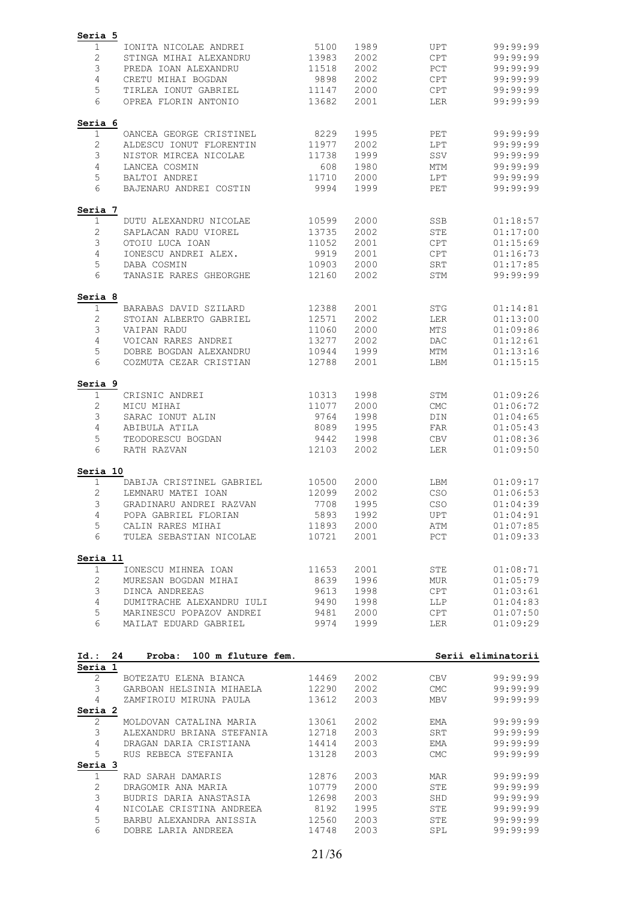| Seria 5         |                                                   |                |              |                   |                      |
|-----------------|---------------------------------------------------|----------------|--------------|-------------------|----------------------|
| 1               | IONITA NICOLAE ANDREI                             | 5100           | 1989         | UPT               | 99:99:99             |
| $\sqrt{2}$      | STINGA MIHAI ALEXANDRU                            | 13983          | 2002         | <b>CPT</b>        | 99:99:99             |
| 3               | PREDA IOAN ALEXANDRU                              | 11518          | 2002         | PCT               | 99:99:99             |
| 4               | CRETU MIHAI BOGDAN                                | 9898           | 2002         | <b>CPT</b>        | 99:99:99             |
| 5               | TIRLEA IONUT GABRIEL                              | 11147          | 2000         | <b>CPT</b>        | 99:99:99             |
| 6               | OPREA FLORIN ANTONIO                              | 13682          | 2001         | LER               | 99:99:99             |
| Seria 6         |                                                   |                |              |                   |                      |
| 1               | OANCEA GEORGE CRISTINEL                           | 8229           | 1995         | PET               | 99:99:99             |
| 2               | ALDESCU IONUT FLORENTIN                           | 11977          | 2002         | LPT               | 99:99:99             |
| 3               | NISTOR MIRCEA NICOLAE                             | 11738          | 1999         | SSV               | 99:99:99             |
| $\overline{4}$  | LANCEA COSMIN                                     | 608            | 1980         | MTM               | 99:99:99             |
| 5<br>6          | BALTOI ANDREI<br>BAJENARU ANDREI COSTIN           | 11710<br>9994  | 2000<br>1999 | LPT<br>PET        | 99:99:99<br>99:99:99 |
| Seria 7         |                                                   |                |              |                   |                      |
| $\mathbf{1}$    | DUTU ALEXANDRU NICOLAE                            | 10599          | 2000         | <b>SSB</b>        | 01:18:57             |
| 2               | SAPLACAN RADU VIOREL                              | 13735          | 2002         | <b>STE</b>        | 01:17:00             |
| 3               | OTOIU LUCA IOAN                                   | 11052          | 2001         | <b>CPT</b>        | 01:15:69             |
| $\overline{4}$  | IONESCU ANDREI ALEX.                              | 9919           | 2001         | <b>CPT</b>        | 01:16:73             |
| 5               | DABA COSMIN                                       | 10903          | 2000         | SRT               | 01:17:85             |
| 6               | TANASIE RARES GHEORGHE                            | 12160          | 2002         | STM               | 99:99:99             |
| Seria 8         |                                                   |                |              |                   |                      |
| 1<br>2          | BARABAS DAVID SZILARD<br>STOIAN ALBERTO GABRIEL   | 12388<br>12571 | 2001<br>2002 | <b>STG</b><br>LER | 01:14:81<br>01:13:00 |
| 3               | VAIPAN RADU                                       | 11060          | 2000         | <b>MTS</b>        | 01:09:86             |
| 4               | VOICAN RARES ANDREI                               | 13277          | 2002         | DAC               | 01:12:61             |
| 5               | DOBRE BOGDAN ALEXANDRU                            | 10944          | 1999         | <b>MTM</b>        | 01:13:16             |
| 6               | COZMUTA CEZAR CRISTIAN                            | 12788          | 2001         | LBM               | 01:15:15             |
| Seria 9         |                                                   |                |              |                   |                      |
| $\mathbf 1$     | CRISNIC ANDREI                                    | 10313          | 1998         | STM               | 01:09:26             |
| $\sqrt{2}$      | MICU MIHAI                                        | 11077          | 2000         | <b>CMC</b>        | 01:06:72             |
| 3               | SARAC IONUT ALIN                                  | 9764           | 1998         | DIN               | 01:04:65             |
| $\overline{4}$  | ABIBULA ATILA                                     | 8089           | 1995         | FAR               | 01:05:43             |
| 5<br>6          | TEODORESCU BOGDAN<br>RATH RAZVAN                  | 9442<br>12103  | 1998<br>2002 | <b>CBV</b><br>LER | 01:08:36<br>01:09:50 |
| Seria 10        |                                                   |                |              |                   |                      |
| $\mathbf 1$     | DABIJA CRISTINEL GABRIEL                          | 10500          | 2000         | LBM               | 01:09:17             |
| $\sqrt{2}$      | LEMNARU MATEI IOAN                                | 12099          | 2002         | CSO               | 01:06:53             |
| 3               | GRADINARU ANDREI RAZVAN                           | 7708           | 1995         | CSO               | 01:04:39             |
| 4               | POPA GABRIEL FLORIAN                              | 5893           | 1992         | UPT               | 01:04:91             |
| 5               | CALIN RARES MIHAI                                 | 11893          | 2000         | ATM               | 01:07:85             |
| 6               | TULEA SEBASTIAN NICOLAE                           | 10721          | 2001         | PCT               | 01:09:33             |
| Seria 11        |                                                   |                |              |                   |                      |
| 1               | IONESCU MIHNEA IOAN                               | 11653          | 2001         | STE               | 01:08:71             |
| 2               | MURESAN BOGDAN MIHAI                              | 8639           | 1996         | <b>MUR</b>        | 01:05:79             |
| 3               | DINCA ANDREEAS                                    | 9613           | 1998         | <b>CPT</b>        | 01:03:61             |
| 4               | DUMITRACHE ALEXANDRU IULI                         | 9490           | 1998         | LLP               | 01:04:83             |
| 5<br>6          | MARINESCU POPAZOV ANDREI<br>MAILAT EDUARD GABRIEL | 9481<br>9974   | 2000<br>1999 | CPT<br>LER        | 01:07:50<br>01:09:29 |
|                 |                                                   |                |              |                   |                      |
| Id.:<br>Seria 1 | 24<br>Proba:<br>100 m fluture fem.                |                |              |                   | Serii eliminatorii   |
| 2               | BOTEZATU ELENA BIANCA                             | 14469          | 2002         | CBV               | 99:99:99             |
| 3<br>4          | GARBOAN HELSINIA MIHAELA                          | 12290          | 2002         | <b>CMC</b>        | 99:99:99             |
| Seria 2         | ZAMFIROIU MIRUNA PAULA                            | 13612          | 2003         | MBV               | 99:99:99             |
| 2               | MOLDOVAN CATALINA MARIA                           | 13061          | 2002         | EMA               | 99:99:99             |
| 3               | ALEXANDRU BRIANA STEFANIA                         | 12718          | 2003         | SRT               | 99:99:99             |
| 4               | DRAGAN DARIA CRISTIANA                            | 14414          | 2003         | EMA               | 99:99:99             |
| 5<br>Seria 3    | RUS REBECA STEFANIA                               | 13128          | 2003         | <b>CMC</b>        | 99:99:99             |
| 1               | RAD SARAH DAMARIS                                 | 12876          | 2003         | MAR               | 99:99:99             |
| $\mathbf{2}$    | DRAGOMIR ANA MARIA                                | 10779          | 2000         | <b>STE</b>        | 99:99:99             |
| 3               | BUDRIS DARIA ANASTASIA                            | 12698          | 2003         | SHD               | 99:99:99             |
| 4               | NICOLAE CRISTINA ANDREEA                          | 8192           | 1995         | <b>STE</b>        | 99:99:99             |
| 5               | BARBU ALEXANDRA ANISSIA                           | 12560          | 2003         | STE               | 99:99:99             |
| 6               | DOBRE LARIA ANDREEA                               | 14748          | 2003         | SPL               | 99:99:99             |
|                 |                                                   |                |              |                   |                      |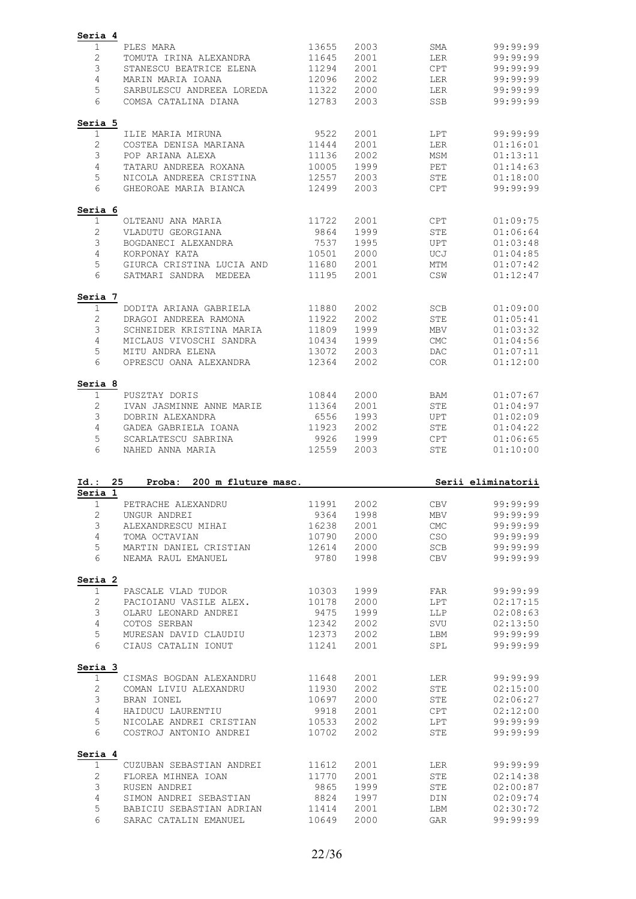| Seria 4                 |                                                   |                |              |                    |                                                                                                          |
|-------------------------|---------------------------------------------------|----------------|--------------|--------------------|----------------------------------------------------------------------------------------------------------|
| 1                       | PLES MARA                                         | 13655          | 2003         | SMA                | 99:99:99                                                                                                 |
| $\mathbf{2}$            | TOMUTA IRINA ALEXANDRA                            | 11645          | 2001         | <b>LER</b>         | 99:99:99                                                                                                 |
| 3                       | STANESCU BEATRICE ELENA                           | 11294          | 2001         | <b>CPT</b>         | 99:99:99                                                                                                 |
| 4                       | MARIN MARIA IOANA                                 | 12096          | 2002         | LER                | 99:99:99                                                                                                 |
| 5                       | SARBULESCU ANDREEA LOREDA                         | 11322          | 2000         | LER                | 99:99:99                                                                                                 |
| 6                       | COMSA CATALINA DIANA                              | 12783          | 2003         | SSB                | 99:99:99                                                                                                 |
|                         |                                                   |                |              |                    |                                                                                                          |
| Seria 5                 |                                                   |                |              |                    |                                                                                                          |
| 1                       | ILIE MARIA MIRUNA                                 | 9522           | 2001         | LPT                | 99:99:99                                                                                                 |
| $\mathbf{2}$            | COSTEA DENISA MARIANA                             | 11444          | 2001         | LER                | 01:16:01                                                                                                 |
| 3                       | POP ARIANA ALEXA                                  | 11136          | 2002         | MSM                | 01:13:11                                                                                                 |
| 4                       | TATARU ANDREEA ROXANA                             | 10005          | 1999         | PET                | 01:14:63                                                                                                 |
| 5                       | NICOLA ANDREEA CRISTINA                           | 12557          | 2003         | <b>STE</b>         | 01:18:00                                                                                                 |
| 6                       | GHEOROAE MARIA BIANCA                             | 12499          | 2003         | <b>CPT</b>         | 99:99:99                                                                                                 |
| Seria 6                 |                                                   |                |              |                    |                                                                                                          |
| 1                       | OLTEANU ANA MARIA                                 | 11722          | 2001         | <b>CPT</b>         | 01:09:75                                                                                                 |
| $\mathbf{2}$            | VLADUTU GEORGIANA                                 | 9864           | 1999         | <b>STE</b>         | 01:06:64                                                                                                 |
| 3                       | BOGDANECI ALEXANDRA                               | 7537           | 1995         | <b>UPT</b>         | 01:03:48                                                                                                 |
| 4                       | KORPONAY KATA                                     | 10501          | 2000         | UCJ                | 01:04:85                                                                                                 |
| 5                       | GIURCA CRISTINA LUCIA AND                         | 11680          | 2001         | <b>MTM</b>         | 01:07:42                                                                                                 |
| 6                       | SATMARI SANDRA MEDEEA                             | 11195          | 2001         | CSW                | 01:12:47                                                                                                 |
| Seria 7                 |                                                   |                |              |                    |                                                                                                          |
| 1                       | DODITA ARIANA GABRIELA                            | 11880          | 2002         | SCB                | 01:09:00                                                                                                 |
| $\mathbf{2}$            | DRAGOI ANDREEA RAMONA                             | 11922          | 2002         | <b>STE</b>         | 01:05:41                                                                                                 |
| 3                       | SCHNEIDER KRISTINA MARIA                          | 11809          | 1999         | <b>MBV</b>         | 01:03:32                                                                                                 |
| 4                       | MICLAUS VIVOSCHI SANDRA                           | 10434          | 1999         | <b>CMC</b>         | 01:04:56                                                                                                 |
| 5                       | MITU ANDRA ELENA                                  | 13072          | 2003         | DAC                | 01:07:11                                                                                                 |
| 6                       |                                                   |                |              |                    |                                                                                                          |
|                         | OPRESCU OANA ALEXANDRA                            | 12364          | 2002         | COR                | 01:12:00                                                                                                 |
| Seria 8                 |                                                   |                |              |                    |                                                                                                          |
| 1                       | PUSZTAY DORIS                                     | 10844          | 2000         | BAM                | 01:07:67                                                                                                 |
| $\mathbf{2}$            | IVAN JASMINNE ANNE MARIE                          | 11364          | 2001         | <b>STE</b>         | 01:04:97                                                                                                 |
| $\mathfrak{Z}$          | DOBRIN ALEXANDRA                                  | 6556           | 1993         | <b>UPT</b>         | 01:02:09                                                                                                 |
| 4                       | GADEA GABRIELA IOANA                              | 11923          | 2002         | STE                | 01:04:22                                                                                                 |
| 5                       | SCARLATESCU SABRINA                               | 9926           | 1999         | <b>CPT</b>         | 01:06:65                                                                                                 |
|                         |                                                   |                |              |                    |                                                                                                          |
| 6                       | NAHED ANNA MARIA                                  | 12559          | 2003         | <b>STE</b>         | 01:10:00                                                                                                 |
|                         |                                                   |                |              |                    |                                                                                                          |
| Id.:<br>Seria 1         | 25<br>200 m fluture masc.<br>Proba:               |                |              |                    | Serii eliminatorii                                                                                       |
| $\mathbf{1}$            | PETRACHE ALEXANDRU                                | 11991          | 2002         | <b>CBV</b>         | 99:99:99                                                                                                 |
|                         | UNGUR ANDREI                                      | 9364           |              | MBV                |                                                                                                          |
| $\mathbf{2}$            |                                                   |                | 1998         |                    | 99:99:99                                                                                                 |
| $\mathfrak{Z}$          | ALEXANDRESCU MIHAI                                | 16238          | 2001         | $\mathop{\rm CMC}$ | 99:99:99                                                                                                 |
| $\overline{4}$          | TOMA OCTAVIAN                                     | 10790          | 2000         | <b>CSO</b>         | 99:99:99                                                                                                 |
| 5                       | MARTIN DANIEL CRISTIAN                            | 12614          | 2000         | SCB                | 99:99:99                                                                                                 |
| 6                       | NEAMA RAUL EMANUEL                                | 9780           | 1998         | CBV                |                                                                                                          |
|                         |                                                   |                |              |                    |                                                                                                          |
| Seria 2<br>$\mathbf{1}$ | PASCALE VLAD TUDOR                                | 10303          | 1999         | FAR                |                                                                                                          |
| 2                       | PACIOIANU VASILE ALEX.                            | 10178          | 2000         | LPT                |                                                                                                          |
| 3                       | OLARU LEONARD ANDREI                              | 9475           | 1999         | <b>LLP</b>         |                                                                                                          |
| 4                       | COTOS SERBAN                                      | 12342          | 2002         | SVU                |                                                                                                          |
| 5                       | MURESAN DAVID CLAUDIU                             | 12373          | 2002         | LBM                | 99:99:99<br>99:99:99<br>02:17:15<br>02:08:63<br>02:13:50<br>99:99:99                                     |
| 6                       | CIAUS CATALIN IONUT                               | 11241          | 2001         | SPL                |                                                                                                          |
| Seria 3                 |                                                   |                |              |                    |                                                                                                          |
| $\mathbf{1}$            | CISMAS BOGDAN ALEXANDRU                           | 11648          | 2001         | LER                |                                                                                                          |
| $\mathbf{2}$            | COMAN LIVIU ALEXANDRU                             | 11930          | 2002         | STE                |                                                                                                          |
| 3                       | BRAN IONEL                                        | 10697          | 2000         | STE                |                                                                                                          |
| $\overline{4}$          | HAIDUCU LAURENTIU                                 | 9918           | 2001         | <b>CPT</b>         |                                                                                                          |
|                         |                                                   | 10533          |              |                    |                                                                                                          |
| 5<br>6                  | NICOLAE ANDREI CRISTIAN<br>COSTROJ ANTONIO ANDREI | 10702          | 2002<br>2002 | LPT<br>STE         |                                                                                                          |
|                         |                                                   |                |              |                    |                                                                                                          |
| Seria 4<br>$\mathbf{1}$ | CUZUBAN SEBASTIAN ANDREI                          | 11612          | 2001         | LER                |                                                                                                          |
|                         |                                                   |                |              |                    |                                                                                                          |
| $\mathbf{2}$            | FLOREA MIHNEA IOAN                                | 11770          | 2001         | STE                | 99:99:99<br>99:99:99<br>02:15:00<br>02:06:27<br>02:12:00<br>99:99:99<br>99:99:99<br>99:99:99<br>02:14:38 |
| 3                       | RUSEN ANDREI                                      | 9865           | 1999         | STE                | 02:00:87                                                                                                 |
| 4                       | SIMON ANDREI SEBASTIAN                            | 8824           | 1997         | DIN                | 02:09:74                                                                                                 |
| 5<br>6                  | BABICIU SEBASTIAN ADRIAN<br>SARAC CATALIN EMANUEL | 11414<br>10649 | 2001<br>2000 | LBM<br>GAR         | 02:30:72<br>99:99:99                                                                                     |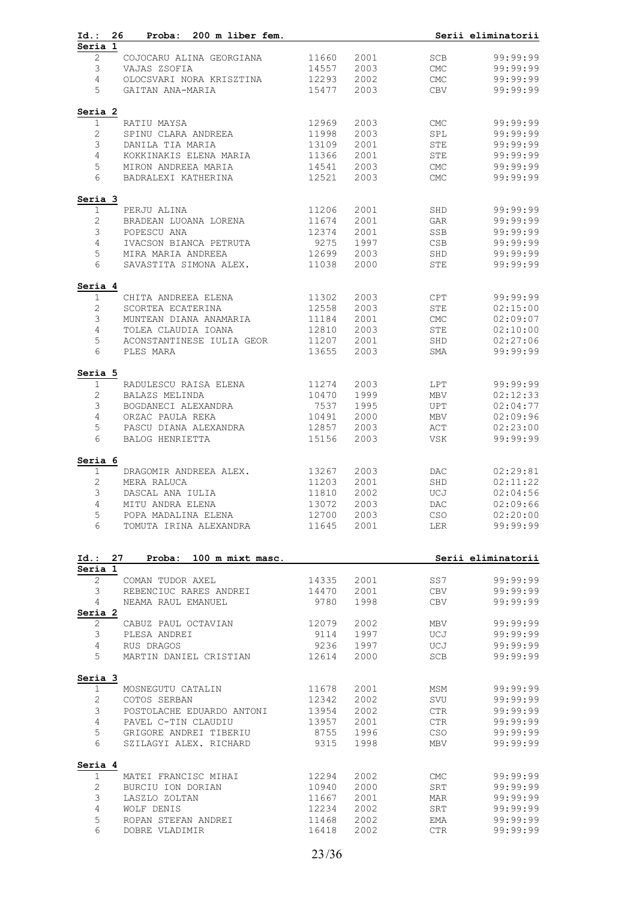| 26<br>Proba: 200 m liber fem.<br>Id.:                       |               |              |                             | Serii eliminatorii   |
|-------------------------------------------------------------|---------------|--------------|-----------------------------|----------------------|
| Seria 1<br>2<br>COJOCARU ALINA GEORGIANA                    | 11660         | 2001         | SCB                         | 99:99:99             |
|                                                             | 14557         | 2003         | CMC                         |                      |
| 3<br>VAJAS ZSOFIA<br>$\overline{4}$                         | 12293         | 2002         |                             | 99:99:99<br>99:99:99 |
| OLOCSVARI NORA KRISZTINA                                    |               |              | CMC                         |                      |
| 5<br>GAITAN ANA-MARIA                                       | 15477         | 2003         | CBV                         | 99:99:99             |
| Seria 2                                                     |               |              |                             |                      |
| $\mathbf{1}$<br>RATIU MAYSA                                 | 12969         | 2003         | <b>CMC</b>                  | 99:99:99             |
| $\overline{c}$<br>SPINU CLARA ANDREEA                       | 11998         | 2003         | SPL                         | 99:99:99             |
| 3<br>DANILA TIA MARIA                                       | 13109         | 2001         | STE                         | 99:99:99             |
| $\overline{4}$<br>KOKKINAKIS ELENA MARIA                    | 11366         | 2001         | STE                         | 99:99:99             |
| 5<br>MIRON ANDREEA MARIA                                    | 14541         | 2003         | CMC                         | 99:99:99             |
| 6<br>BADRALEXI KATHERINA                                    | 12521         | 2003         | <b>CMC</b>                  | 99:99:99             |
| Seria 3                                                     |               |              |                             |                      |
| $\mathbf{1}$<br>PERJU ALINA                                 | 11206         | 2001         | SHD                         | 99:99:99             |
| $\mathbf{2}$<br>BRADEAN LUOANA LORENA                       | 11674         | 2001         | GAR                         | 99:99:99             |
| 3<br>POPESCU ANA                                            | 12374         | 2001         | SSB                         | 99:99:99             |
| $\overline{4}$<br>IVACSON BIANCA PETRUTA                    | 9275          | 1997         | CSB                         | 99:99:99             |
| 5<br>MIRA MARIA ANDREEA                                     | 12699         | 2003         | SHD                         | 99:99:99             |
| 6<br>SAVASTITA SIMONA ALEX.                                 | 11038         | 2000         | STE                         | 99:99:99             |
| Seria 4                                                     |               |              |                             |                      |
| $\mathbf{1}$<br>CHITA ANDREEA ELENA                         | 11302         | 2003         | CPT                         | 99:99:99             |
| $\mathbf{2}$<br>SCORTEA ECATERINA                           | 12558         | 2003         | STE                         | 02:15:00             |
| 3<br>MUNTEAN DIANA ANAMARIA                                 | 11184         | 2001         | $\ensuremath{\mathsf{CMC}}$ | 02:09:07             |
| $\overline{4}$<br>TOLEA CLAUDIA IOANA                       | 12810         | 2003         | STE                         | 02:10:00             |
| 5<br>ACONSTANTINESE IULIA GEOR 11207                        |               | 2001         | SHD                         | 02:27:06             |
| 6<br>PLES MARA                                              | 13655         | 2003         | SMA                         | 99:99:99             |
| Seria 5                                                     |               |              |                             |                      |
| RADULESCU RAISA ELENA<br>1                                  | 11274         | 2003         | LPT                         | 99:99:99             |
| $\mathbf{2}$<br>BALAZS MELINDA                              | 10470         | 1999         | MBV                         | 02:12:33             |
| 3<br>BOGDANECI ALEXANDRA                                    | 7537          | 1995         | UPT                         | 02:04:77             |
| $\overline{4}$<br>ORZAC PAULA REKA                          | 10491         | 2000         | MBV                         | 02:09:96             |
| 5<br>PASCU DIANA ALEXANDRA                                  | 12857         | 2003         | ACT                         | 02:23:00             |
| 6<br>BALOG HENRIETTA                                        | 15156         | 2003         | VSK                         | 99:99:99             |
|                                                             |               |              |                             |                      |
| Seria 6<br>$\mathbf 1$<br>DRAGOMIR ANDREEA ALEX.            | 13267         | 2003         | DAC                         | 02:29:81             |
| $\mathbf{2}$<br>MERA RALUCA                                 | 11203         | 2001         | SHD                         | 02:11:22             |
| 3<br>DASCAL ANA IULIA                                       | 11810         | 2002         | UCJ                         | 02:04:56             |
| 4<br>MITU ANDRA ELENA                                       | 13072         | 2003         | DAC                         | 02:09:66             |
| 5<br>POPA MADALINA ELENA                                    | 12700         | 2003         | CSO                         | 02:20:00             |
| 6<br>TOMUTA IRINA ALEXANDRA                                 | 11645         | 2001         | LER                         | 99:99:99             |
|                                                             |               |              |                             |                      |
| Id.: 27<br>Proba: 100 m mixt masc.<br>Seria 1               |               |              |                             | Serii eliminatorii   |
| $\mathbf{2}^{\prime}$<br>COMAN TUDOR AXEL                   | 14335         | 2001         | SS7                         | 99:99:99             |
| 3<br>REBENCIUC RARES ANDREI                                 | 14470         | 2001         | CBV                         | 99:99:99             |
| NEAMA RAUL EMANUEL<br>4<br>Seria 2                          | 9780          | 1998         | CBV                         | 99:99:99             |
| 2<br>CABUZ PAUL OCTAVIAN                                    | 12079         | 2002         | MBV                         | 99:99:99             |
| 3<br>PLESA ANDREI                                           | 9114          | 1997         | UCJ                         | 99:99:99             |
|                                                             |               |              |                             |                      |
| $\overline{4}$<br>RUS DRAGOS<br>5<br>MARTIN DANIEL CRISTIAN | 9236<br>12614 | 1997<br>2000 | UCJ<br>SCB                  | 99:99:99<br>99:99:99 |
|                                                             |               |              |                             |                      |
| Seria 3                                                     |               |              |                             |                      |
| $\mathbf 1$<br>MOSNEGUTU CATALIN                            | 11678         | 2001         | MSM                         | 99:99:99             |
| $\mathbf{2}$<br>COTOS SERBAN                                | 12342         | 2002         | SVU                         | 99:99:99             |
| 3<br>POSTOLACHE EDUARDO ANTONI                              | 13954         | 2002         | CTR                         | 99:99:99             |
| 4<br>PAVEL C-TIN CLAUDIU                                    | 13957         | 2001         | CTR                         | 99:99:99             |
| 5<br>GRIGORE ANDREI TIBERIU<br>6<br>SZILAGYI ALEX. RICHARD  | 8755<br>9315  | 1996<br>1998 | <b>CSO</b><br>MBV           | 99:99:99<br>99:99:99 |
|                                                             |               |              |                             |                      |
| Seria 4<br>MATEI FRANCISC MIHAI<br>1                        | 12294         | 2002         | CMC                         | 99:99:99             |
| $\mathbf{2}$<br>BURCIU ION DORIAN                           | 10940         | 2000         | SRT                         | 99:99:99             |
| 3<br>LASZLO ZOLTAN                                          | 11667         | 2001         | MAR                         | 99:99:99             |
| 4<br>WOLF DENIS                                             | 12234         | 2002         | SRT                         | 99:99:99             |
|                                                             |               |              |                             |                      |
| 5<br>ROPAN STEFAN ANDREI                                    | 11468         | 2002         | EMA                         | 99:99:99             |
| 6<br>DOBRE VLADIMIR                                         | 16418         | 2002         | CTR                         | 99:99:99             |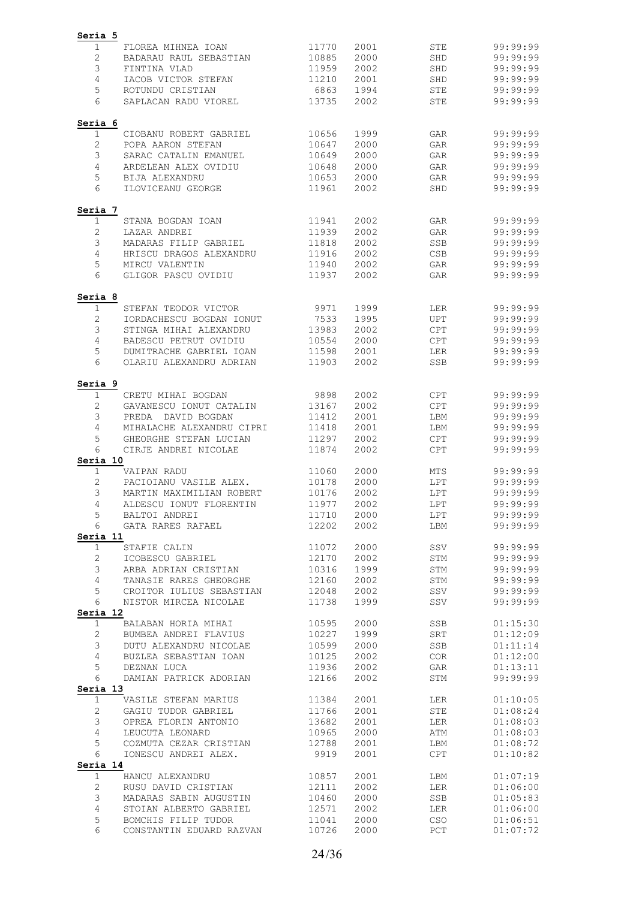| Seria 5               |                                               |                |              |                   |                      |
|-----------------------|-----------------------------------------------|----------------|--------------|-------------------|----------------------|
| 1                     | FLOREA MIHNEA IOAN                            | 11770          | 2001         | <b>STE</b>        | 99:99:99             |
| $\mathbf{2}$          | BADARAU RAUL SEBASTIAN                        | 10885          | 2000         | SHD               | 99:99:99             |
| 3                     | FINTINA VLAD                                  | 11959          | 2002         | SHD               | 99:99:99             |
| 4                     | IACOB VICTOR STEFAN                           | 11210          | 2001         | SHD               | 99:99:99             |
| 5                     | ROTUNDU CRISTIAN                              | 6863           | 1994         | STE               | 99:99:99             |
| 6                     | SAPLACAN RADU VIOREL                          | 13735          | 2002         | STE               | 99:99:99             |
| Seria 6               |                                               |                |              |                   |                      |
| 1                     | CIOBANU ROBERT GABRIEL                        | 10656          | 1999         | GAR               | 99:99:99             |
| $\mathbf{2}$<br>3     | POPA AARON STEFAN<br>SARAC CATALIN EMANUEL    | 10647<br>10649 | 2000<br>2000 | GAR<br>GAR        | 99:99:99<br>99:99:99 |
| 4                     | ARDELEAN ALEX OVIDIU                          | 10648          | 2000         | GAR               | 99:99:99             |
| 5                     | <b>BIJA ALEXANDRU</b>                         | 10653          | 2000         | GAR               | 99:99:99             |
| 6                     | ILOVICEANU GEORGE                             | 11961          | 2002         | SHD               | 99:99:99             |
| Seria 7               |                                               |                |              |                   |                      |
| $\mathbf{1}$          | STANA BOGDAN IOAN                             | 11941          | 2002         | GAR               | 99:99:99             |
| 2                     | LAZAR ANDREI                                  | 11939          | 2002         | GAR               | 99:99:99             |
| 3                     | MADARAS FILIP GABRIEL                         | 11818          | 2002         | SSB               | 99:99:99             |
| 4                     | HRISCU DRAGOS ALEXANDRU                       | 11916          | 2002         | <b>CSB</b>        | 99:99:99             |
| 5<br>6                | MIRCU VALENTIN<br>GLIGOR PASCU OVIDIU         | 11940<br>11937 | 2002<br>2002 | GAR<br>GAR        | 99:99:99<br>99:99:99 |
| Seria 8               |                                               |                |              |                   |                      |
| 1                     | STEFAN TEODOR VICTOR                          | 9971           | 1999         | LER               | 99:99:99             |
| 2                     | IORDACHESCU BOGDAN IONUT                      | 7533           | 1995         | UPT               | 99:99:99             |
| 3                     | STINGA MIHAI ALEXANDRU                        | 13983          | 2002         | <b>CPT</b>        | 99:99:99             |
| 4                     | BADESCU PETRUT OVIDIU                         | 10554          | 2000         | <b>CPT</b>        | 99:99:99             |
| 5                     | DUMITRACHE GABRIEL IOAN                       | 11598          | 2001         | <b>LER</b>        | 99:99:99             |
| 6                     | OLARIU ALEXANDRU ADRIAN                       | 11903          | 2002         | SSB               | 99:99:99             |
| Seria 9               |                                               |                |              |                   |                      |
| 1<br>$\mathbf{2}$     | CRETU MIHAI BOGDAN<br>GAVANESCU IONUT CATALIN | 9898<br>13167  | 2002<br>2002 | CPT<br><b>CPT</b> | 99:99:99<br>99:99:99 |
| 3                     | PREDA DAVID BOGDAN                            | 11412          | 2001         | LBM               | 99:99:99             |
| 4                     | MIHALACHE ALEXANDRU CIPRI                     | 11418          | 2001         | LBM               | 99:99:99             |
| 5                     | GHEORGHE STEFAN LUCIAN                        | 11297          | 2002         | <b>CPT</b>        | 99:99:99             |
| 6                     | CIRJE ANDREI NICOLAE                          | 11874          | 2002         | <b>CPT</b>        | 99:99:99             |
| Seria 10<br>1         | VAIPAN RADU                                   | 11060          | 2000         | MTS               | 99:99:99             |
| 2                     | PACIOIANU VASILE ALEX.                        | 10178          | 2000         | LPT               | 99:99:99             |
| 3                     | MARTIN MAXIMILIAN ROBERT                      | 10176          | 2002         | LPT               | 99:99:99             |
| 4                     | ALDESCU IONUT FLORENTIN                       | 11977          | 2002         | LPT               | 99:99:99             |
| 5                     | BALTOI ANDREI                                 | 11710          | 2000         | LPT               | 99:99:99             |
| 6<br>Seria 11         | GATA RARES RAFAEL                             | 12202          | 2002         | LBM               | 99:99:99             |
| $\mathbf 1$           | STAFIE CALIN                                  | 11072          | 2000         | SSV               | 99:99:99             |
| $\mathbf{2}$          | ICOBESCU GABRIEL                              | 12170          | 2002         | STM               | 99:99:99             |
| 3                     | ARBA ADRIAN CRISTIAN                          | 10316          | 1999         | STM               | 99:99:99             |
| $\overline{4}$        | TANASIE RARES GHEORGHE                        | 12160          | 2002         | STM               | 99:99:99             |
| 5                     | CROITOR IULIUS SEBASTIAN 12048                |                | 2002         | SSV               | 99:99:99             |
| 6<br>Seria 12         | NISTOR MIRCEA NICOLAE                         | 11738          | 1999         | SSV               | 99:99:99             |
| $\mathbf{1}$          | BALABAN HORIA MIHAI 10595                     |                | 2000         | SSB               | 01:15:30             |
| $\mathbf{2}$          | BUMBEA ANDREI FLAVIUS                         | 10227          | 1999         | SRT               | 01:12:09             |
| $\mathsf 3$           | DUTU ALEXANDRU NICOLAE                        | 10599          | 2000         | SSB               | 01:11:14             |
| 4                     | BUZLEA SEBASTIAN IOAN 10125                   |                | 2002         | COR               | 01:12:00             |
| 5                     | DEZNAN LUCA                                   | 11936          | 2002         | GAR               | 01:13:11             |
| 6<br>Seria 13         | DAMIAN PATRICK ADORIAN                        | 12166          | 2002         | STM               | 99:99:99             |
| $\mathbf{1}$          | VASILE STEFAN MARIUS 11384                    |                | 2001         | LER               | 01:10:05             |
| $\mathbf{2}^{\prime}$ | GAGIU TUDOR GABRIEL                           | 11766          | 2001         | STE               | 01:08:24             |
| 3                     | OPREA FLORIN ANTONIO                          | 13682          | 2001         | LER               | 01:08:03             |
| $\overline{4}$        | LEUCUTA LEONARD                               | 10965          | 2000         | ATM               | 01:08:03             |
| 5                     | COZMUTA CEZAR CRISTIAN                        | 12788          | 2001         | LBM               | 01:08:72             |
| 6<br>Seria 14         | IONESCU ANDREI ALEX.                          | 9919           | 2001         | CPT               | 01:10:82             |
| $\mathbf 1$           | HANCU ALEXANDRU                               | 10857          | 2001         | LBM               | 01:07:19             |
| 2                     | RUSU DAVID CRISTIAN                           | 12111          | 2002         | LER               | 01:06:00             |
| 3                     | MADARAS SABIN AUGUSTIN 10460                  |                | 2000         | SSB               | 01:05:83             |
| 4                     | STOIAN ALBERTO GABRIEL 12571                  |                | 2002         | LER               | 01:06:00             |
| 5                     | BOMCHIS FILIP TUDOR                           | 11041<br>10726 | 2000         | CSO               | 01:06:51             |
| 6                     | CONSTANTIN EDUARD RAZVAN                      |                | 2000         | PCT               | 01:07:72             |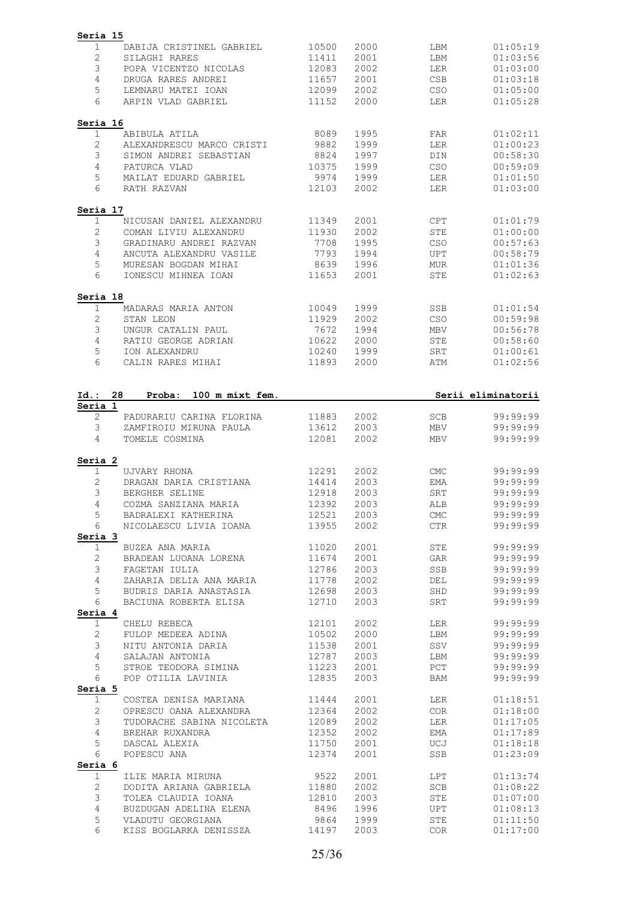| 1<br>$\mathbf{2}$<br>3  |                                 |                |              |                          |                                                                                                                                                                                                                                                                                                                                  |
|-------------------------|---------------------------------|----------------|--------------|--------------------------|----------------------------------------------------------------------------------------------------------------------------------------------------------------------------------------------------------------------------------------------------------------------------------------------------------------------------------|
|                         | DABIJA CRISTINEL GABRIEL        | 10500          | 2000         | LBM                      | 01:05:19                                                                                                                                                                                                                                                                                                                         |
|                         | SILAGHI RARES                   | 11411          | 2001         | LBM                      | 01:03:56                                                                                                                                                                                                                                                                                                                         |
|                         | POPA VICENTZO NICOLAS           | 12083          | 2002         | LER                      | 01:03:00                                                                                                                                                                                                                                                                                                                         |
| 4                       | DRUGA RARES ANDREI              | 11657          | 2001         | <b>CSB</b>               | 01:03:18                                                                                                                                                                                                                                                                                                                         |
|                         |                                 |                |              |                          |                                                                                                                                                                                                                                                                                                                                  |
| 5                       | LEMNARU MATEI IOAN              | 12099          | 2002         | <b>CSO</b>               | 01:05:00                                                                                                                                                                                                                                                                                                                         |
| 6                       | ARPIN VLAD GABRIEL              | 11152          | 2000         | LER                      | 01:05:28                                                                                                                                                                                                                                                                                                                         |
| Seria 16                |                                 |                |              |                          |                                                                                                                                                                                                                                                                                                                                  |
| $\mathbf 1$             | ABIBULA ATILA                   | 8089           | 1995         | FAR                      | 01:02:11                                                                                                                                                                                                                                                                                                                         |
| $\mathbf{2}$            | ALEXANDRESCU MARCO CRISTI       | 9882           | 1999         | LER                      | 01:00:23                                                                                                                                                                                                                                                                                                                         |
| 3                       | SIMON ANDREI SEBASTIAN          | 8824           | 1997         | DIN                      | 00:58:30                                                                                                                                                                                                                                                                                                                         |
| 4                       | PATURCA VLAD                    | 10375          | 1999         | CSO                      | 00:59:09                                                                                                                                                                                                                                                                                                                         |
| 5                       | MAILAT EDUARD GABRIEL           | 9974           | 1999         | LER                      | 01:01:50                                                                                                                                                                                                                                                                                                                         |
| 6                       | RATH RAZVAN                     | 12103          | 2002         | LER                      | 01:03:00                                                                                                                                                                                                                                                                                                                         |
| Seria 17                |                                 |                |              |                          |                                                                                                                                                                                                                                                                                                                                  |
| $\mathbf{1}$            | NICUSAN DANIEL ALEXANDRU        | 11349          | 2001         | CPT                      | 01:01:79                                                                                                                                                                                                                                                                                                                         |
| 2                       | COMAN LIVIU ALEXANDRU           | 11930          | 2002         | <b>STE</b>               | 01:00:00                                                                                                                                                                                                                                                                                                                         |
| 3                       | GRADINARU ANDREI RAZVAN         | 7708           | 1995         | CSO                      | 00:57:63                                                                                                                                                                                                                                                                                                                         |
| 4                       | ANCUTA ALEXANDRU VASILE         | 7793           | 1994         | <b>UPT</b>               | 00:58:79                                                                                                                                                                                                                                                                                                                         |
| 5                       | MURESAN BOGDAN MIHAI            |                |              |                          |                                                                                                                                                                                                                                                                                                                                  |
| 6                       | IONESCU MIHNEA IOAN             | 8639<br>11653  | 1996<br>2001 | <b>MUR</b><br><b>STE</b> | 01:01:36<br>01:02:63                                                                                                                                                                                                                                                                                                             |
|                         |                                 |                |              |                          |                                                                                                                                                                                                                                                                                                                                  |
| Seria 18<br>1           | MADARAS MARIA ANTON             | 10049          | 1999         | SSB                      | 01:01:54                                                                                                                                                                                                                                                                                                                         |
| 2                       | STAN LEON                       | 11929          | 2002         | CSO                      | 00:59:98                                                                                                                                                                                                                                                                                                                         |
| 3                       | UNGUR CATALIN PAUL              | 7672           | 1994         | <b>MBV</b>               | 00:56:78                                                                                                                                                                                                                                                                                                                         |
| 4                       | RATIU GEORGE ADRIAN             | 10622          | 2000         | <b>STE</b>               | 00:58:60                                                                                                                                                                                                                                                                                                                         |
|                         |                                 |                |              |                          |                                                                                                                                                                                                                                                                                                                                  |
| 5                       | ION ALEXANDRU                   | 10240          | 1999         | SRT                      | 01:00:61                                                                                                                                                                                                                                                                                                                         |
| 6                       | CALIN RARES MIHAI               | 11893          | 2000         | ATM                      | 01:02:56                                                                                                                                                                                                                                                                                                                         |
| Id.:<br>Seria 1         | 28<br>Proba:<br>100 m mixt fem. |                |              |                          | Serii eliminatorii                                                                                                                                                                                                                                                                                                               |
| $\sqrt{2}$              | PADURARIU CARINA FLORINA        | 11883          | 2002         | SCB                      | 99:99:99                                                                                                                                                                                                                                                                                                                         |
| 3                       | ZAMFIROIU MIRUNA PAULA          | 13612          | 2003         | MBV                      | 99:99:99                                                                                                                                                                                                                                                                                                                         |
| 4                       | TOMELE COSMINA                  | 12081          | 2002         | <b>MBV</b>               | 99:99:99                                                                                                                                                                                                                                                                                                                         |
| Seria 2                 |                                 |                |              |                          |                                                                                                                                                                                                                                                                                                                                  |
| 1                       | UJVARY RHONA                    | 12291          | 2002         | <b>CMC</b>               | 99:99:99                                                                                                                                                                                                                                                                                                                         |
| 2                       | DRAGAN DARIA CRISTIANA          | 14414          | 2003         | <b>EMA</b>               | 99:99:99                                                                                                                                                                                                                                                                                                                         |
|                         | BERGHER SELINE                  |                |              |                          |                                                                                                                                                                                                                                                                                                                                  |
|                         |                                 |                |              |                          |                                                                                                                                                                                                                                                                                                                                  |
| 3                       |                                 | 12918          | 2003         | SRT                      |                                                                                                                                                                                                                                                                                                                                  |
| 4                       | COZMA SANZIANA MARIA            | 12392          | 2003         | ALB                      |                                                                                                                                                                                                                                                                                                                                  |
| 5                       | BADRALEXI KATHERINA             | 12521          | 2003         | ${\rm CMC}$              |                                                                                                                                                                                                                                                                                                                                  |
| 6                       | NICOLAESCU LIVIA IOANA          | 13955          | 2002         | CTR                      |                                                                                                                                                                                                                                                                                                                                  |
| Seria 3<br>$\mathbf{1}$ | BUZEA ANA MARIA                 | 11020          | 2001         | STE                      |                                                                                                                                                                                                                                                                                                                                  |
|                         | BRADEAN LUOANA LORENA           | 11674          |              |                          |                                                                                                                                                                                                                                                                                                                                  |
| $\mathbf{2}$            |                                 |                | 2001         | GAR                      |                                                                                                                                                                                                                                                                                                                                  |
| 3                       | FAGETAN IULIA                   | 12786          | 2003         | SSB                      |                                                                                                                                                                                                                                                                                                                                  |
| 4                       | ZAHARIA DELIA ANA MARIA         | 11778          | 2002         | DEL                      |                                                                                                                                                                                                                                                                                                                                  |
| 5                       | BUDRIS DARIA ANASTASIA          | 12698          | 2003         | SHD                      |                                                                                                                                                                                                                                                                                                                                  |
| 6                       | BACIUNA ROBERTA ELISA           | 12710          | 2003         | SRT                      |                                                                                                                                                                                                                                                                                                                                  |
| Seria 4<br>$\mathbf{1}$ | CHELU REBECA                    | 12101          | 2002         | LER                      |                                                                                                                                                                                                                                                                                                                                  |
|                         | FULOP MEDEEA ADINA              |                | 2000         | LBM                      |                                                                                                                                                                                                                                                                                                                                  |
| $\mathbf{2}$            |                                 | 10502          |              |                          |                                                                                                                                                                                                                                                                                                                                  |
| 3                       | NITU ANTONIA DARIA              | 11538          | 2001         | SSV                      |                                                                                                                                                                                                                                                                                                                                  |
| 4                       | SALAJAN ANTONIA                 | 12787          | 2003         | LBM                      |                                                                                                                                                                                                                                                                                                                                  |
| 5                       | STROE TEODORA SIMINA            | 11223          | 2001         | PCT                      |                                                                                                                                                                                                                                                                                                                                  |
| 6<br>Seria 5            | POP OTILIA LAVINIA              | 12835          | 2003         | BAM                      |                                                                                                                                                                                                                                                                                                                                  |
| 1                       | COSTEA DENISA MARIANA           | 11444          | 2001         | LER                      |                                                                                                                                                                                                                                                                                                                                  |
| $\mathbf{2}$            | OPRESCU OANA ALEXANDRA          | 12364          | 2002         | COR                      |                                                                                                                                                                                                                                                                                                                                  |
| 3                       | TUDORACHE SABINA NICOLETA       | 12089          | 2002         | LER                      |                                                                                                                                                                                                                                                                                                                                  |
| 4                       | BREHAR RUXANDRA                 | 12352          | 2002         | EMA                      |                                                                                                                                                                                                                                                                                                                                  |
|                         |                                 |                |              |                          |                                                                                                                                                                                                                                                                                                                                  |
| 5<br>6                  | DASCAL ALEXIA<br>POPESCU ANA    | 11750<br>12374 | 2001<br>2001 | UCJ<br>SSB               |                                                                                                                                                                                                                                                                                                                                  |
| Seria 6                 |                                 |                |              |                          |                                                                                                                                                                                                                                                                                                                                  |
| 1                       | ILIE MARIA MIRUNA               | 9522           | 2001         | LPT                      |                                                                                                                                                                                                                                                                                                                                  |
| $\mathbf{2}$            | DODITA ARIANA GABRIELA          | 11880          | 2002         | SCB                      |                                                                                                                                                                                                                                                                                                                                  |
| 3                       | TOLEA CLAUDIA IOANA             | 12810          | 2003         | STE                      |                                                                                                                                                                                                                                                                                                                                  |
| 4                       | BUZDUGAN ADELINA ELENA          | 8496           | 1996         | <b>UPT</b>               |                                                                                                                                                                                                                                                                                                                                  |
| 5                       | VLADUTU GEORGIANA               | 9864           | 1999         | STE                      | 99:99:99<br>99:99:99<br>99:99:99<br>99:99:99<br>99:99:99<br>99:99:99<br>99:99:99<br>99:99:99<br>99:99:99<br>99:99:99<br>99:99:99<br>99:99:99<br>99:99:99<br>99:99:99<br>99:99:99<br>99:99:99<br>01:18:51<br>01:18:00<br>01:17:05<br>01:17:89<br>01:18:18<br>01:23:09<br>01:13:74<br>01:08:22<br>01:07:00<br>01:08:13<br>01:11:50 |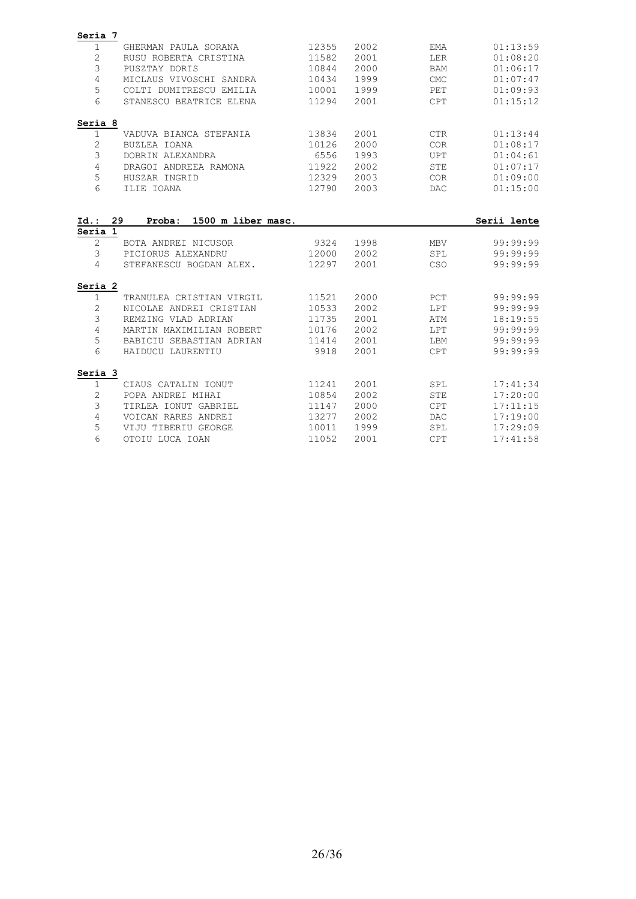| Seria 7           |                                                |                |              |            |                      |
|-------------------|------------------------------------------------|----------------|--------------|------------|----------------------|
| 1                 | GHERMAN PAULA SORANA                           | 12355          | 2002         | <b>EMA</b> | 01:13:59             |
| 2                 | RUSU ROBERTA CRISTINA                          | 11582          | 2001         | LER        | 01:08:20             |
| 3                 | PUSZTAY DORIS                                  | 10844          | 2000         | <b>BAM</b> | 01:06:17             |
| 4                 | MICLAUS VIVOSCHI SANDRA                        | 10434          | 1999         | <b>CMC</b> | 01:07:47             |
| 5                 | COLTI DUMITRESCU EMILIA                        | 10001          | 1999         | PET        | 01:09:93             |
| 6                 | STANESCU BEATRICE ELENA                        | 11294          | 2001         | <b>CPT</b> | 01:15:12             |
| Seria 8           |                                                |                |              |            |                      |
| 1                 | VADUVA BIANCA STEFANIA                         | 13834          | 2001         | <b>CTR</b> | 01:13:44             |
| 2                 | BUZLEA IOANA                                   | 10126          | 2000         | COR        | 01:08:17             |
| 3                 | DOBRIN ALEXANDRA                               | 6556           | 1993         | <b>UPT</b> | 01:04:61             |
| $\overline{4}$    | DRAGOI ANDREEA RAMONA                          | 11922          | 2002         | <b>STE</b> | 01:07:17             |
| 5                 | HUSZAR INGRID                                  | 12329          | 2003         | <b>COR</b> | 01:09:00             |
| 6                 | ILIE IOANA                                     | 12790          | 2003         | <b>DAC</b> | 01:15:00             |
| $\overline{2}$    | BOTA ANDREI NICUSOR                            | 9324           | 1998         | <b>MBV</b> | 99:99:99             |
| Seria 1           |                                                |                |              |            |                      |
|                   |                                                |                |              |            |                      |
| 3<br>4            | PICIORUS ALEXANDRU<br>STEFANESCU BOGDAN ALEX.  | 12000<br>12297 | 2002<br>2001 | SPL<br>CSO | 99:99:99<br>99:99:99 |
|                   |                                                |                |              |            |                      |
| Seria 2           |                                                |                |              |            |                      |
| $\mathbf{1}$<br>2 | TRANULEA CRISTIAN VIRGIL                       | 11521<br>10533 | 2000<br>2002 | PCT<br>LPT | 99:99:99<br>99:99:99 |
| 3                 | NICOLAE ANDREI CRISTIAN<br>REMZING VLAD ADRIAN | 11735          | 2001         | ATM        | 18:19:55             |
| 4                 | MARTIN MAXIMILIAN ROBERT                       | 10176          | 2002         | LPT        | 99:99:99             |
| 5                 | BABICIU SEBASTIAN ADRIAN                       | 11414          | 2001         | LBM        | 99:99:99             |
| 6                 | HAIDUCU LAURENTIU                              | 9918           | 2001         | <b>CPT</b> | 99:99:99             |
|                   |                                                |                |              |            |                      |
| Seria 3<br>1      | CIAUS CATALIN IONUT                            | 11241          | 2001         | SPL        | 17:41:34             |
| $\sqrt{2}$        | POPA ANDREI MIHAI                              | 10854          | 2002         | <b>STE</b> | 17:20:00             |
| 3                 | TIRLEA IONUT GABRIEL                           | 11147          | 2000         | <b>CPT</b> | 17:11:15             |
| 4                 | VOICAN RARES ANDREI                            | 13277          | 2002         | <b>DAC</b> | 17:19:00             |
| 5                 | VIJU TIBERIU GEORGE                            | 10011          | 1999         | SPL        | 17:29:09             |
|                   |                                                |                |              |            |                      |
| 6                 | OTOIU LUCA IOAN                                | 11052          | 2001         | CPT        | 17:41:58             |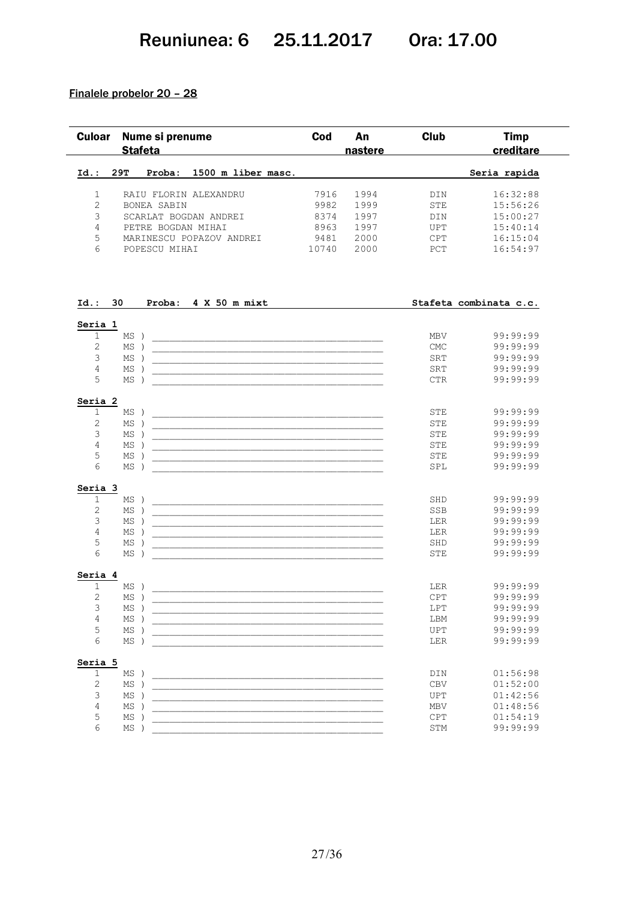## Reuniunea: 6 25.11.2017 Ora: 17.00

#### Finalele probelor 20 – 28

| Id.:<br>$\mathbf 1$<br>$\overline{2}$<br>3<br>$\overline{4}$<br>5<br>$6\overline{6}$<br>Id.: 30<br>Seria 1<br>$\mathbf{1}$<br>2<br>3<br>$\overline{4}$<br>5<br>Seria 2<br>$\mathbf 1$<br>$\overline{2}$<br>3<br>$\overline{4}$<br>5<br>6<br>Seria 3<br>1<br>$\overline{c}$<br>3 | 29T<br>$MS$ )<br>$MS$ )<br>$MS$ )<br>ΜS<br>$\rightarrow$<br>$MS$ )<br>$MS$ )<br>$MS$ )<br>$MS$ ) | Proba:<br>RAIU FLORIN ALEXANDRU<br>BONEA SABIN<br>SCARLAT BOGDAN ANDREI<br>PETRE BOGDAN MIHAI<br>MARINESCU POPAZOV ANDREI<br>POPESCU MIHAI<br>Proba: 4 X 50 m mixt | 1500 m liber masc.<br><u> 1980 - Johann John Harrison, mars eta bat eta bat eta bat ez arte eta bat ez arte eta bat ez arte eta bat e</u><br><u> 1990 - Johann John Stone, mars eta biztanleria (</u><br><u> 1990 - Jan James James James James James James James James James James James James James James James James J</u> | 7916<br>9982<br>8374<br>8963<br>9481<br>10740 | 1994<br>1999<br>1997<br>1997<br>2000<br>2000 | DIN<br>STE<br>DIN<br>UPT<br><b>CPT</b><br>PCT<br>MBV<br>$\ensuremath{\mathrm{CMC}}$<br>SRT<br>SRT<br>$\mathsf{CTR}$ | Seria rapida<br>16:32:88<br>15:56:26<br>15:00:27<br>15:40:14<br>16:15:04<br>16:54:97<br>Stafeta combinata c.c.<br>99:99:99<br>99:99:99<br>99:99:99<br>99:99:99<br>99:99:99 |
|---------------------------------------------------------------------------------------------------------------------------------------------------------------------------------------------------------------------------------------------------------------------------------|--------------------------------------------------------------------------------------------------|--------------------------------------------------------------------------------------------------------------------------------------------------------------------|-------------------------------------------------------------------------------------------------------------------------------------------------------------------------------------------------------------------------------------------------------------------------------------------------------------------------------|-----------------------------------------------|----------------------------------------------|---------------------------------------------------------------------------------------------------------------------|----------------------------------------------------------------------------------------------------------------------------------------------------------------------------|
|                                                                                                                                                                                                                                                                                 |                                                                                                  |                                                                                                                                                                    |                                                                                                                                                                                                                                                                                                                               |                                               |                                              |                                                                                                                     |                                                                                                                                                                            |
|                                                                                                                                                                                                                                                                                 |                                                                                                  |                                                                                                                                                                    |                                                                                                                                                                                                                                                                                                                               |                                               |                                              |                                                                                                                     |                                                                                                                                                                            |
|                                                                                                                                                                                                                                                                                 |                                                                                                  |                                                                                                                                                                    |                                                                                                                                                                                                                                                                                                                               |                                               |                                              |                                                                                                                     |                                                                                                                                                                            |
|                                                                                                                                                                                                                                                                                 |                                                                                                  |                                                                                                                                                                    |                                                                                                                                                                                                                                                                                                                               |                                               |                                              |                                                                                                                     |                                                                                                                                                                            |
|                                                                                                                                                                                                                                                                                 |                                                                                                  |                                                                                                                                                                    |                                                                                                                                                                                                                                                                                                                               |                                               |                                              |                                                                                                                     |                                                                                                                                                                            |
|                                                                                                                                                                                                                                                                                 |                                                                                                  |                                                                                                                                                                    |                                                                                                                                                                                                                                                                                                                               |                                               |                                              |                                                                                                                     |                                                                                                                                                                            |
|                                                                                                                                                                                                                                                                                 |                                                                                                  |                                                                                                                                                                    |                                                                                                                                                                                                                                                                                                                               |                                               |                                              |                                                                                                                     |                                                                                                                                                                            |
|                                                                                                                                                                                                                                                                                 |                                                                                                  |                                                                                                                                                                    |                                                                                                                                                                                                                                                                                                                               |                                               |                                              |                                                                                                                     |                                                                                                                                                                            |
|                                                                                                                                                                                                                                                                                 |                                                                                                  |                                                                                                                                                                    |                                                                                                                                                                                                                                                                                                                               |                                               |                                              |                                                                                                                     |                                                                                                                                                                            |
|                                                                                                                                                                                                                                                                                 |                                                                                                  |                                                                                                                                                                    |                                                                                                                                                                                                                                                                                                                               |                                               |                                              |                                                                                                                     |                                                                                                                                                                            |
|                                                                                                                                                                                                                                                                                 |                                                                                                  |                                                                                                                                                                    |                                                                                                                                                                                                                                                                                                                               |                                               |                                              |                                                                                                                     |                                                                                                                                                                            |
|                                                                                                                                                                                                                                                                                 |                                                                                                  |                                                                                                                                                                    |                                                                                                                                                                                                                                                                                                                               |                                               |                                              |                                                                                                                     |                                                                                                                                                                            |
|                                                                                                                                                                                                                                                                                 |                                                                                                  |                                                                                                                                                                    |                                                                                                                                                                                                                                                                                                                               |                                               |                                              |                                                                                                                     |                                                                                                                                                                            |
|                                                                                                                                                                                                                                                                                 |                                                                                                  |                                                                                                                                                                    |                                                                                                                                                                                                                                                                                                                               |                                               |                                              |                                                                                                                     |                                                                                                                                                                            |
|                                                                                                                                                                                                                                                                                 |                                                                                                  |                                                                                                                                                                    |                                                                                                                                                                                                                                                                                                                               |                                               |                                              |                                                                                                                     |                                                                                                                                                                            |
|                                                                                                                                                                                                                                                                                 |                                                                                                  |                                                                                                                                                                    |                                                                                                                                                                                                                                                                                                                               |                                               |                                              | <b>STE</b>                                                                                                          | 99:99:99                                                                                                                                                                   |
|                                                                                                                                                                                                                                                                                 |                                                                                                  |                                                                                                                                                                    |                                                                                                                                                                                                                                                                                                                               |                                               |                                              | STE                                                                                                                 | 99:99:99                                                                                                                                                                   |
|                                                                                                                                                                                                                                                                                 |                                                                                                  |                                                                                                                                                                    |                                                                                                                                                                                                                                                                                                                               |                                               |                                              | STE                                                                                                                 | 99:99:99                                                                                                                                                                   |
|                                                                                                                                                                                                                                                                                 | ΜS<br>$\rightarrow$                                                                              |                                                                                                                                                                    |                                                                                                                                                                                                                                                                                                                               |                                               |                                              | STE                                                                                                                 | 99:99:99                                                                                                                                                                   |
|                                                                                                                                                                                                                                                                                 | ΜS                                                                                               |                                                                                                                                                                    | <u> 1990 - Johann John Harrison, markin amerikan bahasa dan berasal dan berasal dalam bahasa dan berasal dan bera</u>                                                                                                                                                                                                         |                                               |                                              | STE                                                                                                                 | 99:99:99                                                                                                                                                                   |
|                                                                                                                                                                                                                                                                                 | $MS$ )                                                                                           |                                                                                                                                                                    |                                                                                                                                                                                                                                                                                                                               |                                               |                                              | SPL                                                                                                                 | 99:99:99                                                                                                                                                                   |
|                                                                                                                                                                                                                                                                                 |                                                                                                  |                                                                                                                                                                    |                                                                                                                                                                                                                                                                                                                               |                                               |                                              |                                                                                                                     |                                                                                                                                                                            |
|                                                                                                                                                                                                                                                                                 | $MS$ )                                                                                           |                                                                                                                                                                    |                                                                                                                                                                                                                                                                                                                               |                                               |                                              | SHD                                                                                                                 | 99:99:99                                                                                                                                                                   |
|                                                                                                                                                                                                                                                                                 | $MS$ )                                                                                           |                                                                                                                                                                    |                                                                                                                                                                                                                                                                                                                               |                                               |                                              | SSB                                                                                                                 | 99:99:99                                                                                                                                                                   |
|                                                                                                                                                                                                                                                                                 | $MS$ )                                                                                           |                                                                                                                                                                    |                                                                                                                                                                                                                                                                                                                               |                                               |                                              | LER                                                                                                                 | 99:99:99                                                                                                                                                                   |
| $\overline{4}$                                                                                                                                                                                                                                                                  | $MS$ )                                                                                           |                                                                                                                                                                    |                                                                                                                                                                                                                                                                                                                               |                                               |                                              | <b>LER</b>                                                                                                          | 99:99:99                                                                                                                                                                   |
| 5                                                                                                                                                                                                                                                                               | $MS$ )                                                                                           |                                                                                                                                                                    | <u> 1990 - Johann John Harry Harry Harry Harry Harry Harry Harry Harry Harry Harry Harry Harry Harry Harry Harry H</u>                                                                                                                                                                                                        |                                               |                                              | SHD                                                                                                                 | 99:99:99                                                                                                                                                                   |
| 6                                                                                                                                                                                                                                                                               | $MS$ )                                                                                           |                                                                                                                                                                    |                                                                                                                                                                                                                                                                                                                               |                                               |                                              | STE                                                                                                                 | 99:99:99                                                                                                                                                                   |
| Seria 4                                                                                                                                                                                                                                                                         |                                                                                                  |                                                                                                                                                                    |                                                                                                                                                                                                                                                                                                                               |                                               |                                              |                                                                                                                     |                                                                                                                                                                            |
| $\mathbf{1}$                                                                                                                                                                                                                                                                    | $MS$ )                                                                                           |                                                                                                                                                                    |                                                                                                                                                                                                                                                                                                                               |                                               |                                              | LER                                                                                                                 | 99:99:99                                                                                                                                                                   |
| $\mathbf{2}$                                                                                                                                                                                                                                                                    | MS)                                                                                              |                                                                                                                                                                    |                                                                                                                                                                                                                                                                                                                               |                                               |                                              | $\mathtt{CPT}$                                                                                                      | 99:99:99                                                                                                                                                                   |
| 3                                                                                                                                                                                                                                                                               | $MS$ )                                                                                           |                                                                                                                                                                    | <u> 1989 - Johann John Stone, markin film yn y system yn y system yn y system yn y system yn y system yn y system</u>                                                                                                                                                                                                         |                                               |                                              | LPT                                                                                                                 | 99:99:99                                                                                                                                                                   |
| $\overline{4}$                                                                                                                                                                                                                                                                  | $MS$ )                                                                                           |                                                                                                                                                                    | <u> 1989 - Johann Stoff, deutscher Stoff, der Stoff, der Stoff, der Stoff, der Stoff, der Stoff, der Stoff, der S</u>                                                                                                                                                                                                         |                                               |                                              | LBM                                                                                                                 | 99:99:99                                                                                                                                                                   |
| 5                                                                                                                                                                                                                                                                               | $MS$ )                                                                                           |                                                                                                                                                                    |                                                                                                                                                                                                                                                                                                                               |                                               |                                              | UPT                                                                                                                 | 99:99:99                                                                                                                                                                   |
| 6                                                                                                                                                                                                                                                                               | $MS$ )                                                                                           |                                                                                                                                                                    |                                                                                                                                                                                                                                                                                                                               |                                               |                                              | LER                                                                                                                 | 99:99:99                                                                                                                                                                   |
| Seria 5                                                                                                                                                                                                                                                                         |                                                                                                  |                                                                                                                                                                    |                                                                                                                                                                                                                                                                                                                               |                                               |                                              |                                                                                                                     |                                                                                                                                                                            |
| 1                                                                                                                                                                                                                                                                               | $MS$ )                                                                                           |                                                                                                                                                                    | <u> 1980 - Johann John Harry, mars and deutscher Amerikaanse kommunister († 1901)</u>                                                                                                                                                                                                                                         |                                               |                                              | DIN                                                                                                                 | 01:56:98                                                                                                                                                                   |
| $\mathbf{2}$                                                                                                                                                                                                                                                                    | $MS$ )                                                                                           |                                                                                                                                                                    |                                                                                                                                                                                                                                                                                                                               |                                               |                                              | ${\tt CBV}$                                                                                                         | 01:52:00                                                                                                                                                                   |
| 3                                                                                                                                                                                                                                                                               | $MS$ )                                                                                           |                                                                                                                                                                    |                                                                                                                                                                                                                                                                                                                               |                                               |                                              | UPT                                                                                                                 | 01:42:56<br>01:48:56                                                                                                                                                       |
| 4                                                                                                                                                                                                                                                                               | $MS$ )<br>$MS$ )                                                                                 |                                                                                                                                                                    | <u> 1989 - Johann John Stoff, deutscher Stoff und der Stoff und der Stoff und der Stoff und der Stoff und der Stoff</u>                                                                                                                                                                                                       |                                               |                                              | MBV                                                                                                                 | 01:54:19                                                                                                                                                                   |
| 5<br>6                                                                                                                                                                                                                                                                          |                                                                                                  |                                                                                                                                                                    |                                                                                                                                                                                                                                                                                                                               |                                               |                                              | CPT<br>STM                                                                                                          | 99:99:99                                                                                                                                                                   |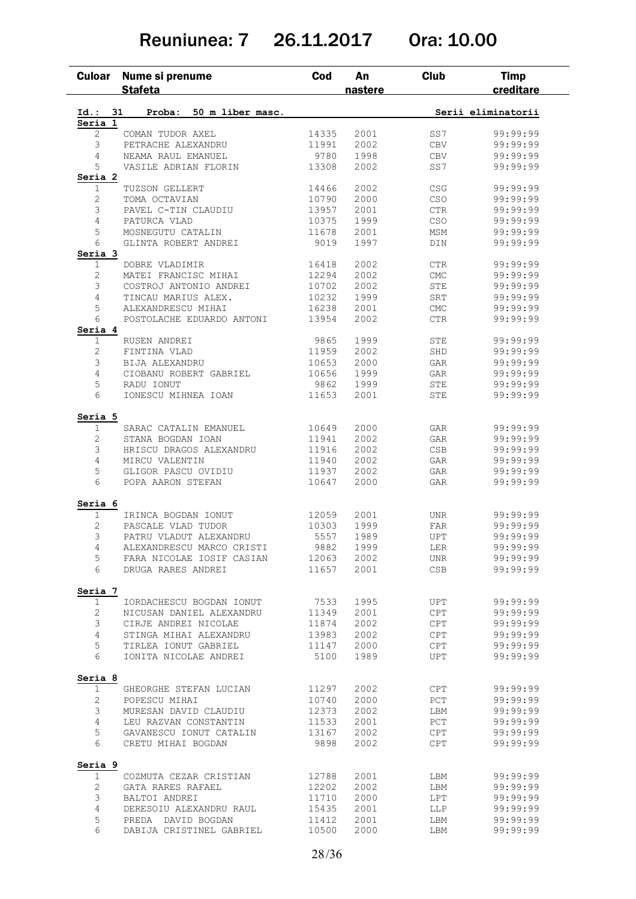## Reuniunea: 7 26.11.2017 Ora: 10.00

| <b>Culoar</b>          | Nume si prenume<br><b>Stafeta</b> | Cod   | An<br>nastere | <b>Club</b>                      | <b>Timp</b><br>creditare |
|------------------------|-----------------------------------|-------|---------------|----------------------------------|--------------------------|
| Id.:                   | 50 m liber masc.<br>31<br>Proba:  |       |               |                                  | Serii eliminatorii       |
| Seria 1                |                                   |       |               |                                  |                          |
| 2                      | COMAN TUDOR AXEL                  | 14335 | 2001          | SS7                              | 99:99:99                 |
| 3                      | PETRACHE ALEXANDRU                | 11991 | 2002          | <b>CBV</b>                       | 99:99:99                 |
| 4                      | NEAMA RAUL EMANUEL                | 9780  | 1998          | CBV                              | 99:99:99                 |
| 5                      | VASILE ADRIAN FLORIN              | 13308 | 2002          | SS7                              | 99:99:99                 |
| Seria 2                |                                   |       |               |                                  |                          |
| 1                      | TUZSON GELLERT                    | 14466 | 2002          | $\mathbb{C}\mathbb{S}\mathbb{G}$ | 99:99:99                 |
| 2                      | TOMA OCTAVIAN                     | 10790 | 2000          | CSO                              | 99:99:99                 |
| 3                      | PAVEL C-TIN CLAUDIU               | 13957 | 2001          | $_{\rm CTR}$                     | 99:99:99                 |
| $\overline{4}$         | PATURCA VLAD                      | 10375 | 1999          | CSO                              | 99:99:99                 |
| 5                      | MOSNEGUTU CATALIN                 | 11678 | 2001          | MSM                              | 99:99:99                 |
| 6<br>Seria 3           | GLINTA ROBERT ANDREI              | 9019  | 1997          | DIN                              | 99:99:99                 |
| 1                      | DOBRE VLADIMIR                    | 16418 | 2002          | $_{\rm CTR}$                     | 99:99:99                 |
| $\overline{c}$         | MATEI FRANCISC MIHAI              | 12294 | 2002          | <b>CMC</b>                       | 99:99:99                 |
| 3                      | COSTROJ ANTONIO ANDREI            | 10702 | 2002          | <b>STE</b>                       | 99:99:99                 |
| 4                      | TINCAU MARIUS ALEX.               | 10232 | 1999          | SRT                              | 99:99:99                 |
| 5                      | ALEXANDRESCU MIHAI                | 16238 | 2001          | ${\rm CMC}$                      | 99:99:99                 |
| 6                      | POSTOLACHE EDUARDO ANTONI         | 13954 | 2002          | CTR                              | 99:99:99                 |
| Seria 4                |                                   |       |               |                                  |                          |
| 1                      | RUSEN ANDREI                      | 9865  | 1999          | STE                              | 99:99:99                 |
| 2                      | FINTINA VLAD                      | 11959 | 2002          | SHD                              | 99:99:99                 |
| 3                      | BIJA ALEXANDRU                    | 10653 | 2000          | GAR                              | 99:99:99                 |
| 4                      | CIOBANU ROBERT GABRIEL            | 10656 | 1999          | GAR                              | 99:99:99                 |
| 5                      | RADU IONUT                        | 9862  | 1999          | STE                              | 99:99:99                 |
| 6                      | IONESCU MIHNEA IOAN               | 11653 | 2001          | STE                              | 99:99:99                 |
|                        |                                   |       |               |                                  |                          |
| Seria 5<br>1           | SARAC CATALIN EMANUEL             | 10649 | 2000          | GAR                              | 99:99:99                 |
| $\overline{c}$         | STANA BOGDAN IOAN                 | 11941 | 2002          | GAR                              | 99:99:99                 |
| 3                      | HRISCU DRAGOS ALEXANDRU           | 11916 | 2002          | <b>CSB</b>                       | 99:99:99                 |
| 4                      | MIRCU VALENTIN                    | 11940 | 2002          | GAR                              | 99:99:99                 |
| 5                      | GLIGOR PASCU OVIDIU               | 11937 | 2002          | GAR                              | 99:99:99                 |
| 6                      | POPA AARON STEFAN                 | 10647 | 2000          | GAR                              | 99:99:99                 |
| Seria 6                |                                   |       |               |                                  |                          |
| 1                      | IRINCA BOGDAN IONUT               | 12059 | 2001          | <b>UNR</b>                       | 99:99:99                 |
| 2                      | PASCALE VLAD TUDOR                | 10303 | 1999          | <b>FAR</b>                       | 99:99:99                 |
| 3                      | PATRU VLADUT ALEXANDRU            | 5557  | 1989          | UPT                              | 99:99:99                 |
| 4                      | ALEXANDRESCU MARCO CRISTI         | 9882  | 1999          | LER                              | 99:99:99                 |
| 5                      | FARA NICOLAE IOSIF CASIAN         | 12063 | 2002          | UNR                              | 99:99:99                 |
| 6                      | DRUGA RARES ANDREI                | 11657 | 2001          | <b>CSB</b>                       | 99:99:99                 |
|                        |                                   |       |               |                                  |                          |
| Seria 7<br>$\mathbf 1$ | IORDACHESCU BOGDAN IONUT          | 7533  | 1995          | UPT                              | 99:99:99                 |
| 2                      | NICUSAN DANIEL ALEXANDRU          | 11349 | 2001          | <b>CPT</b>                       | 99:99:99                 |
| 3                      | CIRJE ANDREI NICOLAE              | 11874 | 2002          | CPT                              | 99:99:99                 |
| $\overline{4}$         | STINGA MIHAI ALEXANDRU            | 13983 | 2002          | CPT                              | 99:99:99                 |
| 5                      | TIRLEA IONUT GABRIEL              | 11147 | 2000          | CPT                              | 99:99:99                 |
| 6                      | IONITA NICOLAE ANDREI             | 5100  | 1989          | UPT                              | 99:99:99                 |
| Seria 8                |                                   |       |               |                                  |                          |
| 1                      | GHEORGHE STEFAN LUCIAN            | 11297 | 2002          | CPT                              | 99:99:99                 |
| $\mathbf{2}$           | POPESCU MIHAI                     | 10740 | 2000          | PCT                              | 99:99:99                 |
| 3                      | MURESAN DAVID CLAUDIU             | 12373 | 2002          | LBM                              | 99:99:99                 |
| 4                      | LEU RAZVAN CONSTANTIN             | 11533 | 2001          | PCT                              | 99:99:99                 |
| 5                      | GAVANESCU IONUT CATALIN           | 13167 | 2002          | CPT                              | 99:99:99                 |
| 6                      | CRETU MIHAI BOGDAN                | 9898  | 2002          | CPT                              | 99:99:99                 |
| Seria 9                |                                   |       |               |                                  |                          |
| 1                      | COZMUTA CEZAR CRISTIAN            | 12788 | 2001          | LBM                              | 99:99:99                 |
| 2                      | GATA RARES RAFAEL                 | 12202 | 2002          | LBM                              | 99:99:99                 |
| 3                      | BALTOI ANDREI                     | 11710 | 2000          | LPT                              | 99:99:99                 |
| $\overline{4}$         | DERESOIU ALEXANDRU RAUL           | 15435 | 2001          | LLP                              | 99:99:99                 |
| 5                      | PREDA DAVID BOGDAN                | 11412 | 2001          | LBM                              | 99:99:99                 |
|                        |                                   |       |               |                                  |                          |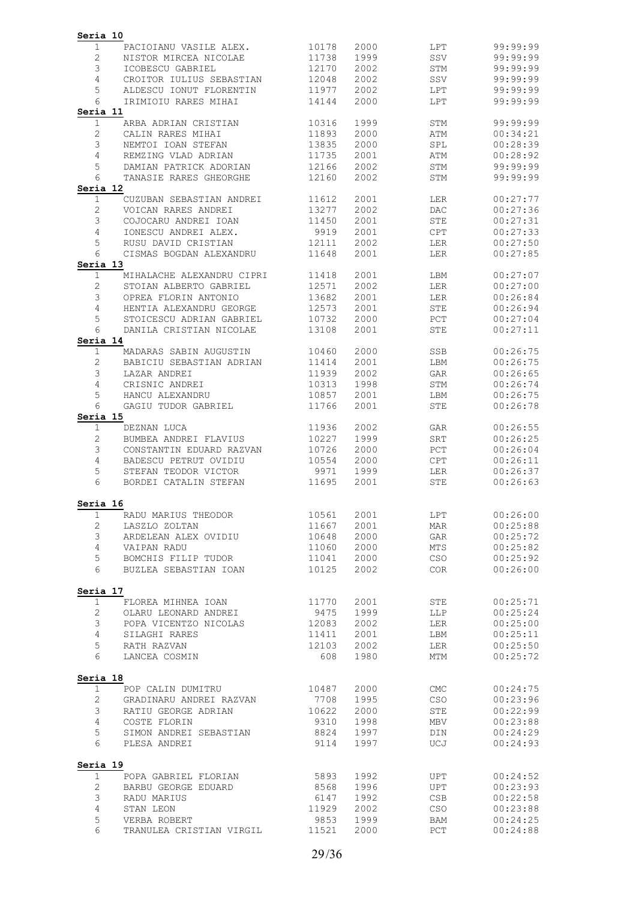| Seria 10                |                                                     |                |              |                                 |                      |
|-------------------------|-----------------------------------------------------|----------------|--------------|---------------------------------|----------------------|
| 1                       | PACIOIANU VASILE ALEX.                              | 10178          | 2000         | LPT                             | 99:99:99             |
| 2                       | NISTOR MIRCEA NICOLAE                               | 11738          | 1999         | SSV                             | 99:99:99             |
| 3                       | ICOBESCU GABRIEL                                    | 12170          | 2002         | STM                             | 99:99:99             |
| $\overline{4}$<br>5     | CROITOR IULIUS SEBASTIAN<br>ALDESCU IONUT FLORENTIN | 12048<br>11977 | 2002<br>2002 | SSV<br>LPT                      | 99:99:99<br>99:99:99 |
| 6                       | IRIMIOIU RARES MIHAI                                | 14144          | 2000         | LPT                             | 99:99:99             |
| Seria 11                |                                                     |                |              |                                 |                      |
| $\mathbf 1$             | ARBA ADRIAN CRISTIAN                                | 10316          | 1999         | STM                             | 99:99:99             |
| $\mathbf{2}$            | CALIN RARES MIHAI                                   | 11893          | 2000         | ATM                             | 00:34:21             |
| 3                       | NEMTOI IOAN STEFAN                                  | 13835          | 2000         | SPL                             | 00:28:39             |
| $\overline{4}$          | REMZING VLAD ADRIAN                                 | 11735          | 2001         | ATM                             | 00:28:92             |
| 5                       | DAMIAN PATRICK ADORIAN                              | 12166          | 2002         | STM                             | 99:99:99             |
| 6                       | TANASIE RARES GHEORGHE                              | 12160          | 2002         | STM                             | 99:99:99             |
| Seria 12<br>$\mathbf 1$ | CUZUBAN SEBASTIAN ANDREI                            | 11612          | 2001         | LER                             | 00:27:77             |
| 2                       | VOICAN RARES ANDREI                                 | 13277          | 2002         | DAC                             | 00:27:36             |
| 3                       | COJOCARU ANDREI IOAN                                | 11450          | 2001         | <b>STE</b>                      | 00:27:31             |
| 4                       | IONESCU ANDREI ALEX.                                | 9919           | 2001         | CPT                             | 00:27:33             |
| 5                       | RUSU DAVID CRISTIAN                                 | 12111          | 2002         | LER                             | 00:27:50             |
| 6                       | CISMAS BOGDAN ALEXANDRU                             | 11648          | 2001         | LER                             | 00:27:85             |
| Seria 13                |                                                     |                |              |                                 |                      |
| $\mathbf 1$             | MIHALACHE ALEXANDRU CIPRI                           | 11418          | 2001         | LBM                             | 00:27:07             |
| $\mathbf{2}$            | STOIAN ALBERTO GABRIEL                              | 12571          | 2002         | LER                             | 00:27:00             |
| 3<br>4                  | OPREA FLORIN ANTONIO<br>HENTIA ALEXANDRU GEORGE     | 13682          | 2001         | <b>LER</b>                      | 00:26:84             |
| 5                       | STOICESCU ADRIAN GABRIEL                            | 12573<br>10732 | 2001<br>2000 | STE<br>PCT                      | 00:26:94<br>00:27:04 |
| 6                       | DANILA CRISTIAN NICOLAE                             | 13108          | 2001         | <b>STE</b>                      | 00:27:11             |
| Seria 14                |                                                     |                |              |                                 |                      |
| $\mathbf{1}$            | MADARAS SABIN AUGUSTIN                              | 10460          | 2000         | SSB                             | 00:26:75             |
| 2                       | BABICIU SEBASTIAN ADRIAN                            | 11414          | 2001         | LBM                             | 00:26:75             |
| 3                       | LAZAR ANDREI                                        | 11939          | 2002         | GAR                             | 00:26:65             |
| 4                       | CRISNIC ANDREI                                      | 10313          | 1998         | STM                             | 00:26:74             |
| 5                       | HANCU ALEXANDRU                                     | 10857          | 2001         | LBM                             | 00:26:75             |
| 6                       | GAGIU TUDOR GABRIEL                                 | 11766          | 2001         | <b>STE</b>                      | 00:26:78             |
| Seria 15                |                                                     |                |              |                                 |                      |
| $\mathbf 1$             | DEZNAN LUCA                                         | 11936          | 2002         | GAR                             | 00:26:55             |
| 2                       | BUMBEA ANDREI FLAVIUS                               | 10227          | 1999         | SRT                             | 00:26:25             |
| 3<br>4                  | CONSTANTIN EDUARD RAZVAN<br>BADESCU PETRUT OVIDIU   | 10726<br>10554 | 2000<br>2000 | PCT<br>CPT                      | 00:26:04<br>00:26:11 |
| 5                       | STEFAN TEODOR VICTOR                                | 9971           | 1999         | LER                             | 00:26:37             |
| 6                       | BORDEI CATALIN STEFAN                               | 11695          | 2001         | <b>STE</b>                      | 00:26:63             |
| Seria 16                |                                                     |                |              |                                 |                      |
| $\mathbf{1}$            | RADU MARIUS THEODOR                                 | 10561          | 2001         | LPT                             | 00:26:00             |
| $\mathbf{2}$            | LASZLO ZOLTAN                                       | 11667          | 2001         | MAR                             | 00:25:88             |
| 3                       | ARDELEAN ALEX OVIDIU                                | 10648          | 2000         | GAR                             | 00:25:72             |
| $\overline{4}$          | VAIPAN RADU                                         | 11060          | 2000         | MTS                             | 00:25:82             |
| 5                       | BOMCHIS FILIP TUDOR                                 | 11041          | 2000         | CSO                             | 00:25:92             |
| 6                       | BUZLEA SEBASTIAN IOAN                               | 10125          | 2002         | <b>COR</b>                      | 00:26:00             |
| Seria 17                |                                                     |                |              |                                 |                      |
| $\mathbf 1$             | FLOREA MIHNEA IOAN                                  | 11770          | 2001         | STE                             | 00:25:71             |
| $\mathbf{2}$            | OLARU LEONARD ANDREI                                | 9475           | 1999         | LLP                             | 00:25:24             |
| 3                       | POPA VICENTZO NICOLAS                               | 12083          | 2002         | LER                             | 00:25:00             |
| $\overline{4}$          | SILAGHI RARES                                       | 11411          | 2001         | LBM                             | 00:25:11             |
| 5<br>6                  | RATH RAZVAN<br>LANCEA COSMIN                        | 12103<br>608   | 2002<br>1980 | LER<br>MTM                      | 00:25:50<br>00:25:72 |
| Seria 18                |                                                     |                |              |                                 |                      |
| $\mathbf 1$             | POP CALIN DUMITRU                                   | 10487          | 2000         | $\ensuremath{\mathrm{CMC}}$     | 00:24:75             |
| $\mathbf{2}$            | GRADINARU ANDREI RAZVAN                             | 7708           | 1995         | $_{\tiny{\mbox{\textsf{CSO}}}}$ | 00:23:96             |
| $\mathfrak{Z}$          | RATIU GEORGE ADRIAN                                 | 10622          | 2000         | STE                             | 00:22:99             |
| 4                       | COSTE FLORIN                                        | 9310           | 1998         | MBV                             | 00:23:88             |
| 5                       | SIMON ANDREI SEBASTIAN                              | 8824           | 1997         | DIN                             | 00:24:29             |
| 6                       | PLESA ANDREI                                        | 9114           | 1997         | UCJ                             | 00:24:93             |
| Seria 19                |                                                     |                |              |                                 |                      |
| $\mathbf 1$             | POPA GABRIEL FLORIAN                                | 5893           | 1992         | UPT                             | 00:24:52             |
| $\mathbf{2}$            | BARBU GEORGE EDUARD                                 | 8568           | 1996         | UPT                             | 00:23:93             |
| 3                       | RADU MARIUS                                         | 6147           | 1992         | CSB                             | 00:22:58             |
| $\overline{4}$          | STAN LEON                                           | 11929          | 2002         | CSO                             | 00:23:88             |
| 5                       | VERBA ROBERT                                        | 9853           | 1999         | BAM                             | 00:24:25             |
| 6                       | TRANULEA CRISTIAN VIRGIL                            | 11521          | 2000         | PCT                             | 00:24:88             |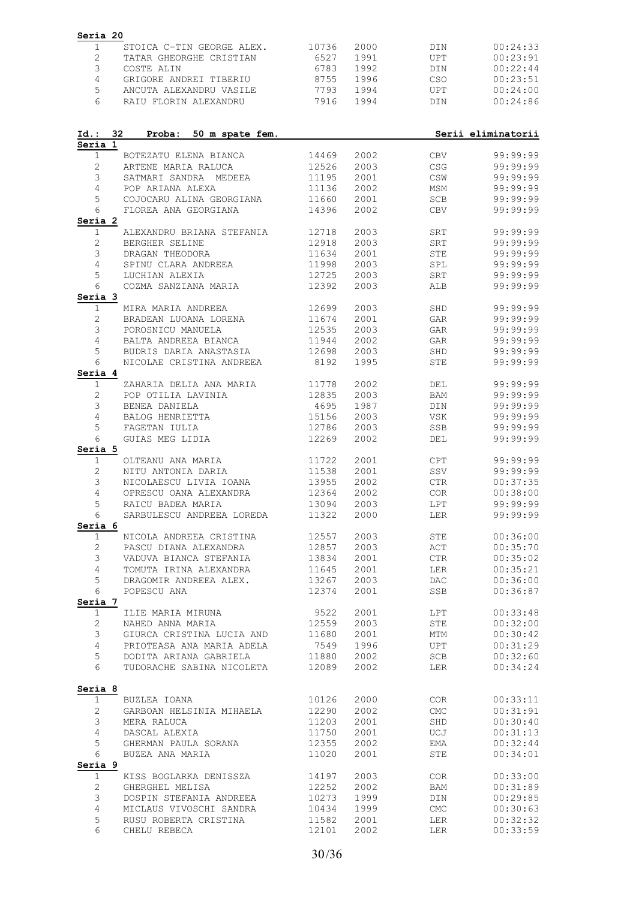| $\mathbf{2}$<br>6527<br>1991<br><b>UPT</b><br>TATAR GHEORGHE CRISTIAN<br>3<br>1992<br>COSTE ALIN<br>6783<br>DIN<br>$\overline{4}$<br>8755<br>1996<br>CSO<br>GRIGORE ANDREI TIBERIU<br>5<br>7793<br>ANCUTA ALEXANDRU VASILE<br>1994<br>UPT<br>6<br>RAIU FLORIN ALEXANDRU<br>7916<br>1994<br>DIN<br>32<br>Serii eliminatorii<br>Id.:<br>Proba:<br>50 m spate fem.<br>Seria 1<br>14469<br>2002<br>1<br>BOTEZATU ELENA BIANCA<br><b>CBV</b><br>$\overline{c}$<br>ARTENE MARIA RALUCA<br>12526<br>2003<br>CSG<br>3<br>2001<br>CSW<br>SATMARI SANDRA MEDEEA<br>11195<br>4<br>POP ARIANA ALEXA<br>2002<br>MSM<br>11136<br>5<br>COJOCARU ALINA GEORGIANA<br>11660<br>2001<br>SCB<br>6<br>2002<br>FLOREA ANA GEORGIANA<br>14396<br><b>CBV</b><br>Seria 2<br>$\mathbf{1}$<br>2003<br>ALEXANDRU BRIANA STEFANIA<br>12718<br>SRT<br>$\mathbf{2}$<br>BERGHER SELINE<br>12918<br>2003<br>SRT<br>3<br>STE<br>DRAGAN THEODORA<br>11634<br>2001<br>4<br>2003<br>SPINU CLARA ANDREEA<br>11998<br>SPL<br>5<br>LUCHIAN ALEXIA<br>12725<br>2003<br>SRT<br>6<br>12392<br>2003<br>99:99:99<br>COZMA SANZIANA MARIA<br>ALB<br>Seria 3<br>$\mathbf{1}$<br>MIRA MARIA ANDREEA<br>12699<br>2003<br>SHD<br>2<br>BRADEAN LUOANA LORENA<br>11674<br>2001<br>GAR<br>3<br>12535<br>2003<br>99:99:99<br>POROSNICU MANUELA<br>GAR<br>4<br>2002<br>BALTA ANDREEA BIANCA<br>11944<br>GAR<br>99:99:99<br>5<br>BUDRIS DARIA ANASTASIA<br>12698<br>2003<br>SHD<br>99:99:99<br>6<br>1995<br><b>STE</b><br>NICOLAE CRISTINA ANDREEA<br>8192<br>Seria 4<br>$\mathbf{1}$<br>ZAHARIA DELIA ANA MARIA<br>11778<br>2002<br>DEL<br>$\mathbf{2}$<br>POP OTILIA LAVINIA<br>12835<br>2003<br>BAM<br>3<br>1987<br>BENEA DANIELA<br>4695<br>DIN<br>4<br>BALOG HENRIETTA<br>15156<br>2003<br>VSK<br>99:99:99<br>5<br>FAGETAN IULIA<br>12786<br>2003<br>SSB<br>99:99:99<br>6<br>12269<br>99:99:99<br>GUIAS MEG LIDIA<br>2002<br>DEL<br>Seria 5<br>$\mathbf{1}$<br>OLTEANU ANA MARIA<br>11722<br>2001<br>CPT<br>$\mathbf{2}$<br>NITU ANTONIA DARIA<br>11538<br>2001<br>SSV<br>3<br>2002<br>$\mathsf{CTR}$<br>NICOLAESCU LIVIA IOANA<br>13955<br>4<br>OPRESCU OANA ALEXANDRA<br>00:38:00<br>12364<br>2002<br><b>COR</b><br>5<br>LPT<br>99:99:99<br>RAICU BADEA MARIA<br>13094<br>2003<br>SARBULESCU ANDREEA LOREDA 11322<br>99:99:99<br>2000<br>6<br>LER<br>Seria 6<br>$\mathbf{1}$<br>NICOLA ANDREEA CRISTINA<br>12557<br>2003<br>STE<br>$\mathbf{2}$<br>12857<br>2003<br>ACT<br>PASCU DIANA ALEXANDRA<br>3<br>2001<br>CTR<br>VADUVA BIANCA STEFANIA<br>VADUVA BIANCA STEFANIA<br>13834<br>$\overline{4}$<br>TOMUTA IRINA ALEXANDRA<br>11645<br>2001<br>LER<br>DRAGOMIR ANDREEA ALEX.<br>5<br>13267<br>2003<br>DAC<br>6<br>POPESCU ANA<br>12374<br>2001<br>SSB<br>Seria 7<br>9522<br>$\mathbf 1$<br>ILIE MARIA MIRUNA<br>2001<br>LPT<br>12559<br>$\mathbf{2}$<br>STE<br>NAHED ANNA MARIA<br>2003<br>GIURCA CRISTINA LUCIA AND<br>3<br>11680<br>2001<br>MTM<br>PRIOTEASA ANA MARIA ADELA<br>7549<br>$\overline{4}$<br>1996<br>UPT<br>DODITA ARIANA GABRIELA 11880<br>5<br>SCB<br>00:32:60<br>2002<br>6<br>TUDORACHE SABINA NICOLETA 12089<br>2002<br>LER<br>Seria 8<br>10126<br>2000<br>$\mathbf{1}$<br>BUZLEA IOANA<br>COR<br>$\mathbf{2}$<br>12290<br>CMC<br>GARBOAN HELSINIA MIHAELA<br>2002<br>3<br>11203<br>2001<br>SHD<br>MERA RALUCA<br>4<br>11750<br>2001<br>UCJ<br>DASCAL ALEXIA<br>5<br>GHERMAN PAULA SORANA<br>12355<br>2002<br>EMA<br>00:32:44<br>6<br>BUZEA ANA MARIA<br>11020<br>2001<br>STE<br>Seria 9<br>KISS BOGLARKA DENISSZA 14197<br>$\mathbf{1}$<br>2003<br>COR<br>$\mathbf{2}$<br>12252<br>2002<br>BAM<br>GHERGHEL MELISA<br>DOSPIN STEFANIA ANDREEA<br>3<br>10273<br>1999<br>DIN<br>$\overline{4}$<br>MICLAUS VIVOSCHI SANDRA<br>10434<br>1999<br>CMC<br>5<br>RUSU ROBERTA CRISTINA<br>11582<br>2001<br>LER | Seria 20<br>1 | STOICA C-TIN GEORGE ALEX. | 10736 | 2000 | DIN | 00:24:33             |
|----------------------------------------------------------------------------------------------------------------------------------------------------------------------------------------------------------------------------------------------------------------------------------------------------------------------------------------------------------------------------------------------------------------------------------------------------------------------------------------------------------------------------------------------------------------------------------------------------------------------------------------------------------------------------------------------------------------------------------------------------------------------------------------------------------------------------------------------------------------------------------------------------------------------------------------------------------------------------------------------------------------------------------------------------------------------------------------------------------------------------------------------------------------------------------------------------------------------------------------------------------------------------------------------------------------------------------------------------------------------------------------------------------------------------------------------------------------------------------------------------------------------------------------------------------------------------------------------------------------------------------------------------------------------------------------------------------------------------------------------------------------------------------------------------------------------------------------------------------------------------------------------------------------------------------------------------------------------------------------------------------------------------------------------------------------------------------------------------------------------------------------------------------------------------------------------------------------------------------------------------------------------------------------------------------------------------------------------------------------------------------------------------------------------------------------------------------------------------------------------------------------------------------------------------------------------------------------------------------------------------------------------------------------------------------------------------------------------------------------------------------------------------------------------------------------------------------------------------------------------------------------------------------------------------------------------------------------------------------------------------------------------------------------------------------------------------------------------------------------------------------------------------------------------------------------------------------------------------------------------------------------------------------------------------------------------------------------------------------------------------------------------------------------------------------------------------------------------------------------------------------------------------------------------------------------------------------------------------------------------------------------------------------------------------------------------------------------------------------------------------------------------------|---------------|---------------------------|-------|------|-----|----------------------|
|                                                                                                                                                                                                                                                                                                                                                                                                                                                                                                                                                                                                                                                                                                                                                                                                                                                                                                                                                                                                                                                                                                                                                                                                                                                                                                                                                                                                                                                                                                                                                                                                                                                                                                                                                                                                                                                                                                                                                                                                                                                                                                                                                                                                                                                                                                                                                                                                                                                                                                                                                                                                                                                                                                                                                                                                                                                                                                                                                                                                                                                                                                                                                                                                                                                                                                                                                                                                                                                                                                                                                                                                                                                                                                                                                                            |               |                           |       |      |     | 00:23:91             |
|                                                                                                                                                                                                                                                                                                                                                                                                                                                                                                                                                                                                                                                                                                                                                                                                                                                                                                                                                                                                                                                                                                                                                                                                                                                                                                                                                                                                                                                                                                                                                                                                                                                                                                                                                                                                                                                                                                                                                                                                                                                                                                                                                                                                                                                                                                                                                                                                                                                                                                                                                                                                                                                                                                                                                                                                                                                                                                                                                                                                                                                                                                                                                                                                                                                                                                                                                                                                                                                                                                                                                                                                                                                                                                                                                                            |               |                           |       |      |     | 00:22:44             |
|                                                                                                                                                                                                                                                                                                                                                                                                                                                                                                                                                                                                                                                                                                                                                                                                                                                                                                                                                                                                                                                                                                                                                                                                                                                                                                                                                                                                                                                                                                                                                                                                                                                                                                                                                                                                                                                                                                                                                                                                                                                                                                                                                                                                                                                                                                                                                                                                                                                                                                                                                                                                                                                                                                                                                                                                                                                                                                                                                                                                                                                                                                                                                                                                                                                                                                                                                                                                                                                                                                                                                                                                                                                                                                                                                                            |               |                           |       |      |     | 00:23:51             |
|                                                                                                                                                                                                                                                                                                                                                                                                                                                                                                                                                                                                                                                                                                                                                                                                                                                                                                                                                                                                                                                                                                                                                                                                                                                                                                                                                                                                                                                                                                                                                                                                                                                                                                                                                                                                                                                                                                                                                                                                                                                                                                                                                                                                                                                                                                                                                                                                                                                                                                                                                                                                                                                                                                                                                                                                                                                                                                                                                                                                                                                                                                                                                                                                                                                                                                                                                                                                                                                                                                                                                                                                                                                                                                                                                                            |               |                           |       |      |     | 00:24:00             |
|                                                                                                                                                                                                                                                                                                                                                                                                                                                                                                                                                                                                                                                                                                                                                                                                                                                                                                                                                                                                                                                                                                                                                                                                                                                                                                                                                                                                                                                                                                                                                                                                                                                                                                                                                                                                                                                                                                                                                                                                                                                                                                                                                                                                                                                                                                                                                                                                                                                                                                                                                                                                                                                                                                                                                                                                                                                                                                                                                                                                                                                                                                                                                                                                                                                                                                                                                                                                                                                                                                                                                                                                                                                                                                                                                                            |               |                           |       |      |     | 00:24:86             |
|                                                                                                                                                                                                                                                                                                                                                                                                                                                                                                                                                                                                                                                                                                                                                                                                                                                                                                                                                                                                                                                                                                                                                                                                                                                                                                                                                                                                                                                                                                                                                                                                                                                                                                                                                                                                                                                                                                                                                                                                                                                                                                                                                                                                                                                                                                                                                                                                                                                                                                                                                                                                                                                                                                                                                                                                                                                                                                                                                                                                                                                                                                                                                                                                                                                                                                                                                                                                                                                                                                                                                                                                                                                                                                                                                                            |               |                           |       |      |     |                      |
|                                                                                                                                                                                                                                                                                                                                                                                                                                                                                                                                                                                                                                                                                                                                                                                                                                                                                                                                                                                                                                                                                                                                                                                                                                                                                                                                                                                                                                                                                                                                                                                                                                                                                                                                                                                                                                                                                                                                                                                                                                                                                                                                                                                                                                                                                                                                                                                                                                                                                                                                                                                                                                                                                                                                                                                                                                                                                                                                                                                                                                                                                                                                                                                                                                                                                                                                                                                                                                                                                                                                                                                                                                                                                                                                                                            |               |                           |       |      |     | 99:99:99             |
|                                                                                                                                                                                                                                                                                                                                                                                                                                                                                                                                                                                                                                                                                                                                                                                                                                                                                                                                                                                                                                                                                                                                                                                                                                                                                                                                                                                                                                                                                                                                                                                                                                                                                                                                                                                                                                                                                                                                                                                                                                                                                                                                                                                                                                                                                                                                                                                                                                                                                                                                                                                                                                                                                                                                                                                                                                                                                                                                                                                                                                                                                                                                                                                                                                                                                                                                                                                                                                                                                                                                                                                                                                                                                                                                                                            |               |                           |       |      |     | 99:99:99             |
|                                                                                                                                                                                                                                                                                                                                                                                                                                                                                                                                                                                                                                                                                                                                                                                                                                                                                                                                                                                                                                                                                                                                                                                                                                                                                                                                                                                                                                                                                                                                                                                                                                                                                                                                                                                                                                                                                                                                                                                                                                                                                                                                                                                                                                                                                                                                                                                                                                                                                                                                                                                                                                                                                                                                                                                                                                                                                                                                                                                                                                                                                                                                                                                                                                                                                                                                                                                                                                                                                                                                                                                                                                                                                                                                                                            |               |                           |       |      |     | 99:99:99             |
|                                                                                                                                                                                                                                                                                                                                                                                                                                                                                                                                                                                                                                                                                                                                                                                                                                                                                                                                                                                                                                                                                                                                                                                                                                                                                                                                                                                                                                                                                                                                                                                                                                                                                                                                                                                                                                                                                                                                                                                                                                                                                                                                                                                                                                                                                                                                                                                                                                                                                                                                                                                                                                                                                                                                                                                                                                                                                                                                                                                                                                                                                                                                                                                                                                                                                                                                                                                                                                                                                                                                                                                                                                                                                                                                                                            |               |                           |       |      |     | 99:99:99             |
|                                                                                                                                                                                                                                                                                                                                                                                                                                                                                                                                                                                                                                                                                                                                                                                                                                                                                                                                                                                                                                                                                                                                                                                                                                                                                                                                                                                                                                                                                                                                                                                                                                                                                                                                                                                                                                                                                                                                                                                                                                                                                                                                                                                                                                                                                                                                                                                                                                                                                                                                                                                                                                                                                                                                                                                                                                                                                                                                                                                                                                                                                                                                                                                                                                                                                                                                                                                                                                                                                                                                                                                                                                                                                                                                                                            |               |                           |       |      |     | 99:99:99             |
|                                                                                                                                                                                                                                                                                                                                                                                                                                                                                                                                                                                                                                                                                                                                                                                                                                                                                                                                                                                                                                                                                                                                                                                                                                                                                                                                                                                                                                                                                                                                                                                                                                                                                                                                                                                                                                                                                                                                                                                                                                                                                                                                                                                                                                                                                                                                                                                                                                                                                                                                                                                                                                                                                                                                                                                                                                                                                                                                                                                                                                                                                                                                                                                                                                                                                                                                                                                                                                                                                                                                                                                                                                                                                                                                                                            |               |                           |       |      |     | 99:99:99             |
|                                                                                                                                                                                                                                                                                                                                                                                                                                                                                                                                                                                                                                                                                                                                                                                                                                                                                                                                                                                                                                                                                                                                                                                                                                                                                                                                                                                                                                                                                                                                                                                                                                                                                                                                                                                                                                                                                                                                                                                                                                                                                                                                                                                                                                                                                                                                                                                                                                                                                                                                                                                                                                                                                                                                                                                                                                                                                                                                                                                                                                                                                                                                                                                                                                                                                                                                                                                                                                                                                                                                                                                                                                                                                                                                                                            |               |                           |       |      |     | 99:99:99             |
|                                                                                                                                                                                                                                                                                                                                                                                                                                                                                                                                                                                                                                                                                                                                                                                                                                                                                                                                                                                                                                                                                                                                                                                                                                                                                                                                                                                                                                                                                                                                                                                                                                                                                                                                                                                                                                                                                                                                                                                                                                                                                                                                                                                                                                                                                                                                                                                                                                                                                                                                                                                                                                                                                                                                                                                                                                                                                                                                                                                                                                                                                                                                                                                                                                                                                                                                                                                                                                                                                                                                                                                                                                                                                                                                                                            |               |                           |       |      |     | 99:99:99             |
|                                                                                                                                                                                                                                                                                                                                                                                                                                                                                                                                                                                                                                                                                                                                                                                                                                                                                                                                                                                                                                                                                                                                                                                                                                                                                                                                                                                                                                                                                                                                                                                                                                                                                                                                                                                                                                                                                                                                                                                                                                                                                                                                                                                                                                                                                                                                                                                                                                                                                                                                                                                                                                                                                                                                                                                                                                                                                                                                                                                                                                                                                                                                                                                                                                                                                                                                                                                                                                                                                                                                                                                                                                                                                                                                                                            |               |                           |       |      |     | 99:99:99             |
|                                                                                                                                                                                                                                                                                                                                                                                                                                                                                                                                                                                                                                                                                                                                                                                                                                                                                                                                                                                                                                                                                                                                                                                                                                                                                                                                                                                                                                                                                                                                                                                                                                                                                                                                                                                                                                                                                                                                                                                                                                                                                                                                                                                                                                                                                                                                                                                                                                                                                                                                                                                                                                                                                                                                                                                                                                                                                                                                                                                                                                                                                                                                                                                                                                                                                                                                                                                                                                                                                                                                                                                                                                                                                                                                                                            |               |                           |       |      |     | 99:99:99             |
|                                                                                                                                                                                                                                                                                                                                                                                                                                                                                                                                                                                                                                                                                                                                                                                                                                                                                                                                                                                                                                                                                                                                                                                                                                                                                                                                                                                                                                                                                                                                                                                                                                                                                                                                                                                                                                                                                                                                                                                                                                                                                                                                                                                                                                                                                                                                                                                                                                                                                                                                                                                                                                                                                                                                                                                                                                                                                                                                                                                                                                                                                                                                                                                                                                                                                                                                                                                                                                                                                                                                                                                                                                                                                                                                                                            |               |                           |       |      |     | 99:99:99             |
|                                                                                                                                                                                                                                                                                                                                                                                                                                                                                                                                                                                                                                                                                                                                                                                                                                                                                                                                                                                                                                                                                                                                                                                                                                                                                                                                                                                                                                                                                                                                                                                                                                                                                                                                                                                                                                                                                                                                                                                                                                                                                                                                                                                                                                                                                                                                                                                                                                                                                                                                                                                                                                                                                                                                                                                                                                                                                                                                                                                                                                                                                                                                                                                                                                                                                                                                                                                                                                                                                                                                                                                                                                                                                                                                                                            |               |                           |       |      |     |                      |
|                                                                                                                                                                                                                                                                                                                                                                                                                                                                                                                                                                                                                                                                                                                                                                                                                                                                                                                                                                                                                                                                                                                                                                                                                                                                                                                                                                                                                                                                                                                                                                                                                                                                                                                                                                                                                                                                                                                                                                                                                                                                                                                                                                                                                                                                                                                                                                                                                                                                                                                                                                                                                                                                                                                                                                                                                                                                                                                                                                                                                                                                                                                                                                                                                                                                                                                                                                                                                                                                                                                                                                                                                                                                                                                                                                            |               |                           |       |      |     | 99:99:99             |
|                                                                                                                                                                                                                                                                                                                                                                                                                                                                                                                                                                                                                                                                                                                                                                                                                                                                                                                                                                                                                                                                                                                                                                                                                                                                                                                                                                                                                                                                                                                                                                                                                                                                                                                                                                                                                                                                                                                                                                                                                                                                                                                                                                                                                                                                                                                                                                                                                                                                                                                                                                                                                                                                                                                                                                                                                                                                                                                                                                                                                                                                                                                                                                                                                                                                                                                                                                                                                                                                                                                                                                                                                                                                                                                                                                            |               |                           |       |      |     | 99:99:99             |
|                                                                                                                                                                                                                                                                                                                                                                                                                                                                                                                                                                                                                                                                                                                                                                                                                                                                                                                                                                                                                                                                                                                                                                                                                                                                                                                                                                                                                                                                                                                                                                                                                                                                                                                                                                                                                                                                                                                                                                                                                                                                                                                                                                                                                                                                                                                                                                                                                                                                                                                                                                                                                                                                                                                                                                                                                                                                                                                                                                                                                                                                                                                                                                                                                                                                                                                                                                                                                                                                                                                                                                                                                                                                                                                                                                            |               |                           |       |      |     |                      |
|                                                                                                                                                                                                                                                                                                                                                                                                                                                                                                                                                                                                                                                                                                                                                                                                                                                                                                                                                                                                                                                                                                                                                                                                                                                                                                                                                                                                                                                                                                                                                                                                                                                                                                                                                                                                                                                                                                                                                                                                                                                                                                                                                                                                                                                                                                                                                                                                                                                                                                                                                                                                                                                                                                                                                                                                                                                                                                                                                                                                                                                                                                                                                                                                                                                                                                                                                                                                                                                                                                                                                                                                                                                                                                                                                                            |               |                           |       |      |     |                      |
|                                                                                                                                                                                                                                                                                                                                                                                                                                                                                                                                                                                                                                                                                                                                                                                                                                                                                                                                                                                                                                                                                                                                                                                                                                                                                                                                                                                                                                                                                                                                                                                                                                                                                                                                                                                                                                                                                                                                                                                                                                                                                                                                                                                                                                                                                                                                                                                                                                                                                                                                                                                                                                                                                                                                                                                                                                                                                                                                                                                                                                                                                                                                                                                                                                                                                                                                                                                                                                                                                                                                                                                                                                                                                                                                                                            |               |                           |       |      |     | 99:99:99             |
|                                                                                                                                                                                                                                                                                                                                                                                                                                                                                                                                                                                                                                                                                                                                                                                                                                                                                                                                                                                                                                                                                                                                                                                                                                                                                                                                                                                                                                                                                                                                                                                                                                                                                                                                                                                                                                                                                                                                                                                                                                                                                                                                                                                                                                                                                                                                                                                                                                                                                                                                                                                                                                                                                                                                                                                                                                                                                                                                                                                                                                                                                                                                                                                                                                                                                                                                                                                                                                                                                                                                                                                                                                                                                                                                                                            |               |                           |       |      |     |                      |
|                                                                                                                                                                                                                                                                                                                                                                                                                                                                                                                                                                                                                                                                                                                                                                                                                                                                                                                                                                                                                                                                                                                                                                                                                                                                                                                                                                                                                                                                                                                                                                                                                                                                                                                                                                                                                                                                                                                                                                                                                                                                                                                                                                                                                                                                                                                                                                                                                                                                                                                                                                                                                                                                                                                                                                                                                                                                                                                                                                                                                                                                                                                                                                                                                                                                                                                                                                                                                                                                                                                                                                                                                                                                                                                                                                            |               |                           |       |      |     | 99:99:99             |
|                                                                                                                                                                                                                                                                                                                                                                                                                                                                                                                                                                                                                                                                                                                                                                                                                                                                                                                                                                                                                                                                                                                                                                                                                                                                                                                                                                                                                                                                                                                                                                                                                                                                                                                                                                                                                                                                                                                                                                                                                                                                                                                                                                                                                                                                                                                                                                                                                                                                                                                                                                                                                                                                                                                                                                                                                                                                                                                                                                                                                                                                                                                                                                                                                                                                                                                                                                                                                                                                                                                                                                                                                                                                                                                                                                            |               |                           |       |      |     | 99:99:99             |
|                                                                                                                                                                                                                                                                                                                                                                                                                                                                                                                                                                                                                                                                                                                                                                                                                                                                                                                                                                                                                                                                                                                                                                                                                                                                                                                                                                                                                                                                                                                                                                                                                                                                                                                                                                                                                                                                                                                                                                                                                                                                                                                                                                                                                                                                                                                                                                                                                                                                                                                                                                                                                                                                                                                                                                                                                                                                                                                                                                                                                                                                                                                                                                                                                                                                                                                                                                                                                                                                                                                                                                                                                                                                                                                                                                            |               |                           |       |      |     | 99:99:99             |
|                                                                                                                                                                                                                                                                                                                                                                                                                                                                                                                                                                                                                                                                                                                                                                                                                                                                                                                                                                                                                                                                                                                                                                                                                                                                                                                                                                                                                                                                                                                                                                                                                                                                                                                                                                                                                                                                                                                                                                                                                                                                                                                                                                                                                                                                                                                                                                                                                                                                                                                                                                                                                                                                                                                                                                                                                                                                                                                                                                                                                                                                                                                                                                                                                                                                                                                                                                                                                                                                                                                                                                                                                                                                                                                                                                            |               |                           |       |      |     |                      |
|                                                                                                                                                                                                                                                                                                                                                                                                                                                                                                                                                                                                                                                                                                                                                                                                                                                                                                                                                                                                                                                                                                                                                                                                                                                                                                                                                                                                                                                                                                                                                                                                                                                                                                                                                                                                                                                                                                                                                                                                                                                                                                                                                                                                                                                                                                                                                                                                                                                                                                                                                                                                                                                                                                                                                                                                                                                                                                                                                                                                                                                                                                                                                                                                                                                                                                                                                                                                                                                                                                                                                                                                                                                                                                                                                                            |               |                           |       |      |     |                      |
|                                                                                                                                                                                                                                                                                                                                                                                                                                                                                                                                                                                                                                                                                                                                                                                                                                                                                                                                                                                                                                                                                                                                                                                                                                                                                                                                                                                                                                                                                                                                                                                                                                                                                                                                                                                                                                                                                                                                                                                                                                                                                                                                                                                                                                                                                                                                                                                                                                                                                                                                                                                                                                                                                                                                                                                                                                                                                                                                                                                                                                                                                                                                                                                                                                                                                                                                                                                                                                                                                                                                                                                                                                                                                                                                                                            |               |                           |       |      |     |                      |
|                                                                                                                                                                                                                                                                                                                                                                                                                                                                                                                                                                                                                                                                                                                                                                                                                                                                                                                                                                                                                                                                                                                                                                                                                                                                                                                                                                                                                                                                                                                                                                                                                                                                                                                                                                                                                                                                                                                                                                                                                                                                                                                                                                                                                                                                                                                                                                                                                                                                                                                                                                                                                                                                                                                                                                                                                                                                                                                                                                                                                                                                                                                                                                                                                                                                                                                                                                                                                                                                                                                                                                                                                                                                                                                                                                            |               |                           |       |      |     | 99:99:99             |
|                                                                                                                                                                                                                                                                                                                                                                                                                                                                                                                                                                                                                                                                                                                                                                                                                                                                                                                                                                                                                                                                                                                                                                                                                                                                                                                                                                                                                                                                                                                                                                                                                                                                                                                                                                                                                                                                                                                                                                                                                                                                                                                                                                                                                                                                                                                                                                                                                                                                                                                                                                                                                                                                                                                                                                                                                                                                                                                                                                                                                                                                                                                                                                                                                                                                                                                                                                                                                                                                                                                                                                                                                                                                                                                                                                            |               |                           |       |      |     | 99:99:99             |
|                                                                                                                                                                                                                                                                                                                                                                                                                                                                                                                                                                                                                                                                                                                                                                                                                                                                                                                                                                                                                                                                                                                                                                                                                                                                                                                                                                                                                                                                                                                                                                                                                                                                                                                                                                                                                                                                                                                                                                                                                                                                                                                                                                                                                                                                                                                                                                                                                                                                                                                                                                                                                                                                                                                                                                                                                                                                                                                                                                                                                                                                                                                                                                                                                                                                                                                                                                                                                                                                                                                                                                                                                                                                                                                                                                            |               |                           |       |      |     | 00:37:35             |
|                                                                                                                                                                                                                                                                                                                                                                                                                                                                                                                                                                                                                                                                                                                                                                                                                                                                                                                                                                                                                                                                                                                                                                                                                                                                                                                                                                                                                                                                                                                                                                                                                                                                                                                                                                                                                                                                                                                                                                                                                                                                                                                                                                                                                                                                                                                                                                                                                                                                                                                                                                                                                                                                                                                                                                                                                                                                                                                                                                                                                                                                                                                                                                                                                                                                                                                                                                                                                                                                                                                                                                                                                                                                                                                                                                            |               |                           |       |      |     |                      |
|                                                                                                                                                                                                                                                                                                                                                                                                                                                                                                                                                                                                                                                                                                                                                                                                                                                                                                                                                                                                                                                                                                                                                                                                                                                                                                                                                                                                                                                                                                                                                                                                                                                                                                                                                                                                                                                                                                                                                                                                                                                                                                                                                                                                                                                                                                                                                                                                                                                                                                                                                                                                                                                                                                                                                                                                                                                                                                                                                                                                                                                                                                                                                                                                                                                                                                                                                                                                                                                                                                                                                                                                                                                                                                                                                                            |               |                           |       |      |     |                      |
|                                                                                                                                                                                                                                                                                                                                                                                                                                                                                                                                                                                                                                                                                                                                                                                                                                                                                                                                                                                                                                                                                                                                                                                                                                                                                                                                                                                                                                                                                                                                                                                                                                                                                                                                                                                                                                                                                                                                                                                                                                                                                                                                                                                                                                                                                                                                                                                                                                                                                                                                                                                                                                                                                                                                                                                                                                                                                                                                                                                                                                                                                                                                                                                                                                                                                                                                                                                                                                                                                                                                                                                                                                                                                                                                                                            |               |                           |       |      |     |                      |
|                                                                                                                                                                                                                                                                                                                                                                                                                                                                                                                                                                                                                                                                                                                                                                                                                                                                                                                                                                                                                                                                                                                                                                                                                                                                                                                                                                                                                                                                                                                                                                                                                                                                                                                                                                                                                                                                                                                                                                                                                                                                                                                                                                                                                                                                                                                                                                                                                                                                                                                                                                                                                                                                                                                                                                                                                                                                                                                                                                                                                                                                                                                                                                                                                                                                                                                                                                                                                                                                                                                                                                                                                                                                                                                                                                            |               |                           |       |      |     | 00:36:00             |
|                                                                                                                                                                                                                                                                                                                                                                                                                                                                                                                                                                                                                                                                                                                                                                                                                                                                                                                                                                                                                                                                                                                                                                                                                                                                                                                                                                                                                                                                                                                                                                                                                                                                                                                                                                                                                                                                                                                                                                                                                                                                                                                                                                                                                                                                                                                                                                                                                                                                                                                                                                                                                                                                                                                                                                                                                                                                                                                                                                                                                                                                                                                                                                                                                                                                                                                                                                                                                                                                                                                                                                                                                                                                                                                                                                            |               |                           |       |      |     | 00:35:70             |
|                                                                                                                                                                                                                                                                                                                                                                                                                                                                                                                                                                                                                                                                                                                                                                                                                                                                                                                                                                                                                                                                                                                                                                                                                                                                                                                                                                                                                                                                                                                                                                                                                                                                                                                                                                                                                                                                                                                                                                                                                                                                                                                                                                                                                                                                                                                                                                                                                                                                                                                                                                                                                                                                                                                                                                                                                                                                                                                                                                                                                                                                                                                                                                                                                                                                                                                                                                                                                                                                                                                                                                                                                                                                                                                                                                            |               |                           |       |      |     | 00:35:02             |
|                                                                                                                                                                                                                                                                                                                                                                                                                                                                                                                                                                                                                                                                                                                                                                                                                                                                                                                                                                                                                                                                                                                                                                                                                                                                                                                                                                                                                                                                                                                                                                                                                                                                                                                                                                                                                                                                                                                                                                                                                                                                                                                                                                                                                                                                                                                                                                                                                                                                                                                                                                                                                                                                                                                                                                                                                                                                                                                                                                                                                                                                                                                                                                                                                                                                                                                                                                                                                                                                                                                                                                                                                                                                                                                                                                            |               |                           |       |      |     | 00:35:21             |
|                                                                                                                                                                                                                                                                                                                                                                                                                                                                                                                                                                                                                                                                                                                                                                                                                                                                                                                                                                                                                                                                                                                                                                                                                                                                                                                                                                                                                                                                                                                                                                                                                                                                                                                                                                                                                                                                                                                                                                                                                                                                                                                                                                                                                                                                                                                                                                                                                                                                                                                                                                                                                                                                                                                                                                                                                                                                                                                                                                                                                                                                                                                                                                                                                                                                                                                                                                                                                                                                                                                                                                                                                                                                                                                                                                            |               |                           |       |      |     | 00:36:00             |
|                                                                                                                                                                                                                                                                                                                                                                                                                                                                                                                                                                                                                                                                                                                                                                                                                                                                                                                                                                                                                                                                                                                                                                                                                                                                                                                                                                                                                                                                                                                                                                                                                                                                                                                                                                                                                                                                                                                                                                                                                                                                                                                                                                                                                                                                                                                                                                                                                                                                                                                                                                                                                                                                                                                                                                                                                                                                                                                                                                                                                                                                                                                                                                                                                                                                                                                                                                                                                                                                                                                                                                                                                                                                                                                                                                            |               |                           |       |      |     | 00:36:87             |
|                                                                                                                                                                                                                                                                                                                                                                                                                                                                                                                                                                                                                                                                                                                                                                                                                                                                                                                                                                                                                                                                                                                                                                                                                                                                                                                                                                                                                                                                                                                                                                                                                                                                                                                                                                                                                                                                                                                                                                                                                                                                                                                                                                                                                                                                                                                                                                                                                                                                                                                                                                                                                                                                                                                                                                                                                                                                                                                                                                                                                                                                                                                                                                                                                                                                                                                                                                                                                                                                                                                                                                                                                                                                                                                                                                            |               |                           |       |      |     | 00:33:48             |
|                                                                                                                                                                                                                                                                                                                                                                                                                                                                                                                                                                                                                                                                                                                                                                                                                                                                                                                                                                                                                                                                                                                                                                                                                                                                                                                                                                                                                                                                                                                                                                                                                                                                                                                                                                                                                                                                                                                                                                                                                                                                                                                                                                                                                                                                                                                                                                                                                                                                                                                                                                                                                                                                                                                                                                                                                                                                                                                                                                                                                                                                                                                                                                                                                                                                                                                                                                                                                                                                                                                                                                                                                                                                                                                                                                            |               |                           |       |      |     | 00:32:00             |
|                                                                                                                                                                                                                                                                                                                                                                                                                                                                                                                                                                                                                                                                                                                                                                                                                                                                                                                                                                                                                                                                                                                                                                                                                                                                                                                                                                                                                                                                                                                                                                                                                                                                                                                                                                                                                                                                                                                                                                                                                                                                                                                                                                                                                                                                                                                                                                                                                                                                                                                                                                                                                                                                                                                                                                                                                                                                                                                                                                                                                                                                                                                                                                                                                                                                                                                                                                                                                                                                                                                                                                                                                                                                                                                                                                            |               |                           |       |      |     | 00:30:42             |
|                                                                                                                                                                                                                                                                                                                                                                                                                                                                                                                                                                                                                                                                                                                                                                                                                                                                                                                                                                                                                                                                                                                                                                                                                                                                                                                                                                                                                                                                                                                                                                                                                                                                                                                                                                                                                                                                                                                                                                                                                                                                                                                                                                                                                                                                                                                                                                                                                                                                                                                                                                                                                                                                                                                                                                                                                                                                                                                                                                                                                                                                                                                                                                                                                                                                                                                                                                                                                                                                                                                                                                                                                                                                                                                                                                            |               |                           |       |      |     | 00:31:29             |
|                                                                                                                                                                                                                                                                                                                                                                                                                                                                                                                                                                                                                                                                                                                                                                                                                                                                                                                                                                                                                                                                                                                                                                                                                                                                                                                                                                                                                                                                                                                                                                                                                                                                                                                                                                                                                                                                                                                                                                                                                                                                                                                                                                                                                                                                                                                                                                                                                                                                                                                                                                                                                                                                                                                                                                                                                                                                                                                                                                                                                                                                                                                                                                                                                                                                                                                                                                                                                                                                                                                                                                                                                                                                                                                                                                            |               |                           |       |      |     | 00:34:24             |
|                                                                                                                                                                                                                                                                                                                                                                                                                                                                                                                                                                                                                                                                                                                                                                                                                                                                                                                                                                                                                                                                                                                                                                                                                                                                                                                                                                                                                                                                                                                                                                                                                                                                                                                                                                                                                                                                                                                                                                                                                                                                                                                                                                                                                                                                                                                                                                                                                                                                                                                                                                                                                                                                                                                                                                                                                                                                                                                                                                                                                                                                                                                                                                                                                                                                                                                                                                                                                                                                                                                                                                                                                                                                                                                                                                            |               |                           |       |      |     |                      |
|                                                                                                                                                                                                                                                                                                                                                                                                                                                                                                                                                                                                                                                                                                                                                                                                                                                                                                                                                                                                                                                                                                                                                                                                                                                                                                                                                                                                                                                                                                                                                                                                                                                                                                                                                                                                                                                                                                                                                                                                                                                                                                                                                                                                                                                                                                                                                                                                                                                                                                                                                                                                                                                                                                                                                                                                                                                                                                                                                                                                                                                                                                                                                                                                                                                                                                                                                                                                                                                                                                                                                                                                                                                                                                                                                                            |               |                           |       |      |     | 00:33:11             |
|                                                                                                                                                                                                                                                                                                                                                                                                                                                                                                                                                                                                                                                                                                                                                                                                                                                                                                                                                                                                                                                                                                                                                                                                                                                                                                                                                                                                                                                                                                                                                                                                                                                                                                                                                                                                                                                                                                                                                                                                                                                                                                                                                                                                                                                                                                                                                                                                                                                                                                                                                                                                                                                                                                                                                                                                                                                                                                                                                                                                                                                                                                                                                                                                                                                                                                                                                                                                                                                                                                                                                                                                                                                                                                                                                                            |               |                           |       |      |     | 00:31:91             |
|                                                                                                                                                                                                                                                                                                                                                                                                                                                                                                                                                                                                                                                                                                                                                                                                                                                                                                                                                                                                                                                                                                                                                                                                                                                                                                                                                                                                                                                                                                                                                                                                                                                                                                                                                                                                                                                                                                                                                                                                                                                                                                                                                                                                                                                                                                                                                                                                                                                                                                                                                                                                                                                                                                                                                                                                                                                                                                                                                                                                                                                                                                                                                                                                                                                                                                                                                                                                                                                                                                                                                                                                                                                                                                                                                                            |               |                           |       |      |     | 00:30:40             |
|                                                                                                                                                                                                                                                                                                                                                                                                                                                                                                                                                                                                                                                                                                                                                                                                                                                                                                                                                                                                                                                                                                                                                                                                                                                                                                                                                                                                                                                                                                                                                                                                                                                                                                                                                                                                                                                                                                                                                                                                                                                                                                                                                                                                                                                                                                                                                                                                                                                                                                                                                                                                                                                                                                                                                                                                                                                                                                                                                                                                                                                                                                                                                                                                                                                                                                                                                                                                                                                                                                                                                                                                                                                                                                                                                                            |               |                           |       |      |     | 00:31:13             |
|                                                                                                                                                                                                                                                                                                                                                                                                                                                                                                                                                                                                                                                                                                                                                                                                                                                                                                                                                                                                                                                                                                                                                                                                                                                                                                                                                                                                                                                                                                                                                                                                                                                                                                                                                                                                                                                                                                                                                                                                                                                                                                                                                                                                                                                                                                                                                                                                                                                                                                                                                                                                                                                                                                                                                                                                                                                                                                                                                                                                                                                                                                                                                                                                                                                                                                                                                                                                                                                                                                                                                                                                                                                                                                                                                                            |               |                           |       |      |     | 00:34:01             |
|                                                                                                                                                                                                                                                                                                                                                                                                                                                                                                                                                                                                                                                                                                                                                                                                                                                                                                                                                                                                                                                                                                                                                                                                                                                                                                                                                                                                                                                                                                                                                                                                                                                                                                                                                                                                                                                                                                                                                                                                                                                                                                                                                                                                                                                                                                                                                                                                                                                                                                                                                                                                                                                                                                                                                                                                                                                                                                                                                                                                                                                                                                                                                                                                                                                                                                                                                                                                                                                                                                                                                                                                                                                                                                                                                                            |               |                           |       |      |     |                      |
|                                                                                                                                                                                                                                                                                                                                                                                                                                                                                                                                                                                                                                                                                                                                                                                                                                                                                                                                                                                                                                                                                                                                                                                                                                                                                                                                                                                                                                                                                                                                                                                                                                                                                                                                                                                                                                                                                                                                                                                                                                                                                                                                                                                                                                                                                                                                                                                                                                                                                                                                                                                                                                                                                                                                                                                                                                                                                                                                                                                                                                                                                                                                                                                                                                                                                                                                                                                                                                                                                                                                                                                                                                                                                                                                                                            |               |                           |       |      |     | 00:33:00             |
|                                                                                                                                                                                                                                                                                                                                                                                                                                                                                                                                                                                                                                                                                                                                                                                                                                                                                                                                                                                                                                                                                                                                                                                                                                                                                                                                                                                                                                                                                                                                                                                                                                                                                                                                                                                                                                                                                                                                                                                                                                                                                                                                                                                                                                                                                                                                                                                                                                                                                                                                                                                                                                                                                                                                                                                                                                                                                                                                                                                                                                                                                                                                                                                                                                                                                                                                                                                                                                                                                                                                                                                                                                                                                                                                                                            |               |                           |       |      |     | 00:31:89             |
|                                                                                                                                                                                                                                                                                                                                                                                                                                                                                                                                                                                                                                                                                                                                                                                                                                                                                                                                                                                                                                                                                                                                                                                                                                                                                                                                                                                                                                                                                                                                                                                                                                                                                                                                                                                                                                                                                                                                                                                                                                                                                                                                                                                                                                                                                                                                                                                                                                                                                                                                                                                                                                                                                                                                                                                                                                                                                                                                                                                                                                                                                                                                                                                                                                                                                                                                                                                                                                                                                                                                                                                                                                                                                                                                                                            |               |                           |       |      |     | 00:29:85             |
|                                                                                                                                                                                                                                                                                                                                                                                                                                                                                                                                                                                                                                                                                                                                                                                                                                                                                                                                                                                                                                                                                                                                                                                                                                                                                                                                                                                                                                                                                                                                                                                                                                                                                                                                                                                                                                                                                                                                                                                                                                                                                                                                                                                                                                                                                                                                                                                                                                                                                                                                                                                                                                                                                                                                                                                                                                                                                                                                                                                                                                                                                                                                                                                                                                                                                                                                                                                                                                                                                                                                                                                                                                                                                                                                                                            |               |                           |       |      |     | 00:30:63             |
| 6<br>2002<br>CHELU REBECA<br>12101<br>LER                                                                                                                                                                                                                                                                                                                                                                                                                                                                                                                                                                                                                                                                                                                                                                                                                                                                                                                                                                                                                                                                                                                                                                                                                                                                                                                                                                                                                                                                                                                                                                                                                                                                                                                                                                                                                                                                                                                                                                                                                                                                                                                                                                                                                                                                                                                                                                                                                                                                                                                                                                                                                                                                                                                                                                                                                                                                                                                                                                                                                                                                                                                                                                                                                                                                                                                                                                                                                                                                                                                                                                                                                                                                                                                                  |               |                           |       |      |     | 00:32:32<br>00:33:59 |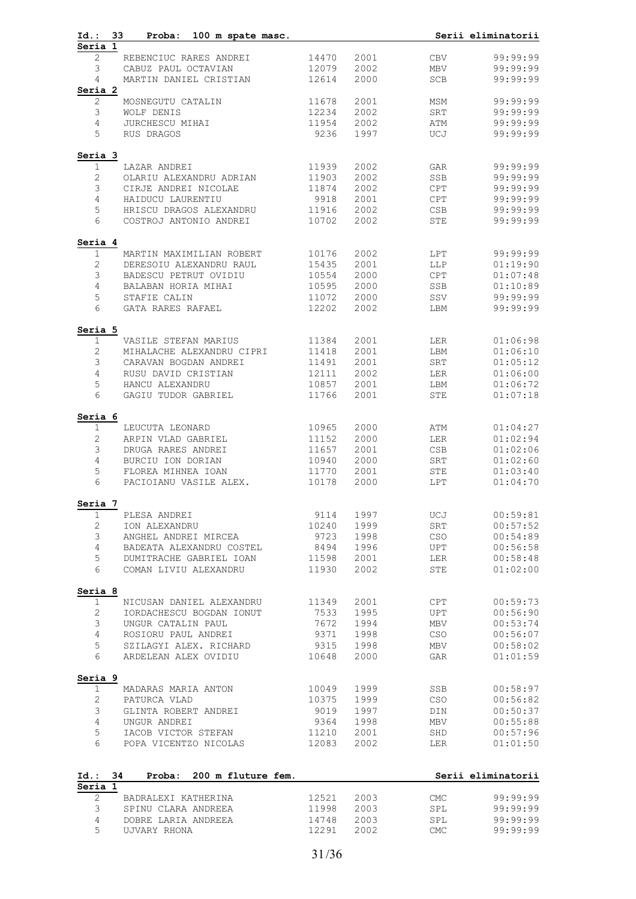| $Id.$ :<br>33<br>Proba:<br>100 m spate masc.                   |                |              |             | Serii eliminatorii   |
|----------------------------------------------------------------|----------------|--------------|-------------|----------------------|
| Seria 1<br>2<br>REBENCIUC RARES ANDREI                         | 14470          | 2001         | <b>CBV</b>  | 99:99:99             |
| 3<br>CABUZ PAUL OCTAVIAN                                       | 12079          | 2002         | MBV         | 99:99:99             |
| MARTIN DANIEL CRISTIAN<br>4                                    | 12614          | 2000         | <b>SCB</b>  | 99:99:99             |
| Seria 2                                                        |                |              |             |                      |
| $\mathbf{2}$<br>MOSNEGUTU CATALIN                              | 11678          | 2001         | MSM         | 99:99:99             |
| 3<br>WOLF DENIS                                                | 12234          | 2002         | SRT         | 99:99:99             |
| 4<br>JURCHESCU MIHAI                                           | 11954          | 2002         | ATM         | 99:99:99             |
| 5<br>RUS DRAGOS                                                | 9236           | 1997         | UCJ         | 99:99:99             |
| Seria 3                                                        |                |              |             |                      |
| LAZAR ANDREI<br>1                                              | 11939          | 2002         | GAR         | 99:99:99             |
| 2<br>OLARIU ALEXANDRU ADRIAN                                   | 11903          | 2002         | SSB         | 99:99:99             |
| 3<br>CIRJE ANDREI NICOLAE                                      | 11874          | 2002         | <b>CPT</b>  | 99:99:99             |
| $\overline{4}$<br>HAIDUCU LAURENTIU                            | 9918           | 2001         | CPT         | 99:99:99             |
| 5<br>HRISCU DRAGOS ALEXANDRU<br>6                              | 11916          | 2002         | CSB         | 99:99:99             |
| COSTROJ ANTONIO ANDREI                                         | 10702          | 2002         | <b>STE</b>  | 99:99:99             |
| Seria 4                                                        |                |              |             |                      |
| $\mathbf{1}$<br>MARTIN MAXIMILIAN ROBERT                       | 10176          | 2002         | LPT         | 99:99:99             |
| $\mathbf{2}$<br>DERESOIU ALEXANDRU RAUL<br>$\mathfrak{Z}$      | 15435          | 2001         | LLP         | 01:19:90             |
| BADESCU PETRUT OVIDIU<br>$\overline{4}$<br>BALABAN HORIA MIHAI | 10554<br>10595 | 2000<br>2000 | CPT<br>SSB  | 01:07:48<br>01:10:89 |
| 5<br>STAFIE CALIN                                              | 11072          | 2000         | SSV         | 99:99:99             |
| 6<br>GATA RARES RAFAEL                                         | 12202          | 2002         | LBM         | 99:99:99             |
|                                                                |                |              |             |                      |
| Seria 5<br>$\mathbf 1$<br>VASILE STEFAN MARIUS                 | 11384          | 2001         | LER         | 01:06:98             |
| $\mathbf{2}$<br>MIHALACHE ALEXANDRU CIPRI                      | 11418          | 2001         | LBM         | 01:06:10             |
| 3<br>CARAVAN BOGDAN ANDREI                                     | 11491          | 2001         | SRT         | 01:05:12             |
| $\overline{4}$<br>RUSU DAVID CRISTIAN                          | 12111          | 2002         | LER         | 01:06:00             |
| 5<br>HANCU ALEXANDRU                                           | 10857          | 2001         | LBM         | 01:06:72             |
| 6<br>GAGIU TUDOR GABRIEL                                       | 11766          | 2001         | <b>STE</b>  | 01:07:18             |
| Seria 6                                                        |                |              |             |                      |
| $\mathbf 1$<br>LEUCUTA LEONARD                                 | 10965          | 2000         | ATM         | 01:04:27             |
| $\mathbf{2}$<br>ARPIN VLAD GABRIEL                             | 11152          | 2000         | LER         | 01:02:94             |
| 3<br>DRUGA RARES ANDREI                                        | 11657          | 2001         | CSB         | 01:02:06             |
| 4<br>BURCIU ION DORIAN                                         | 10940          | 2000         | SRT         | 01:02:60             |
| 5<br>FLOREA MIHNEA IOAN<br>6<br>PACIOIANU VASILE ALEX.         | 11770<br>10178 | 2001<br>2000 | STE<br>LPT  | 01:03:40<br>01:04:70 |
|                                                                |                |              |             |                      |
| Seria 7<br>1<br>PLESA ANDREI                                   | 9114           | 1997         | UCJ         | 00:59:81             |
| $\mathbf{2}$<br>ION ALEXANDRU                                  | 10240          | 1999         | ${\tt SRT}$ | 00:57:52             |
| 3<br>ANGHEL ANDREI MIRCEA                                      | 9723           | 1998         | CSO         | 00:54:89             |
| $\overline{4}$<br>BADEATA ALEXANDRU COSTEL                     | 8494           | 1996         | UPT         | 00:56:58             |
| 5<br>DUMITRACHE GABRIEL IOAN                                   | 11598          | 2001         | LER         | 00:58:48             |
| 6<br>COMAN LIVIU ALEXANDRU                                     | 11930          | 2002         | STE         | 01:02:00             |
| Seria 8                                                        |                |              |             |                      |
| 1<br>NICUSAN DANIEL ALEXANDRU                                  | 11349          | 2001         | CPT         | 00:59:73             |
| $\mathbf{2}$<br>IORDACHESCU BOGDAN IONUT                       | 7533           | 1995         | UPT         | 00:56:90             |
| 3<br>UNGUR CATALIN PAUL                                        | 7672           | 1994         | MBV         | 00:53:74             |
| 4<br>ROSIORU PAUL ANDREI                                       | 9371           | 1998         | CSO         | 00:56:07             |
| 5<br>SZILAGYI ALEX. RICHARD                                    | 9315           | 1998         | MBV         | 00:58:02             |
| 6<br>ARDELEAN ALEX OVIDIU                                      | 10648          | 2000         | GAR         | 01:01:59             |
| Seria 9                                                        |                |              |             |                      |
| $\mathbf{1}$<br>MADARAS MARIA ANTON                            | 10049          | 1999         | SSB         | 00:58:97             |
| $\mathbf{2}$<br>PATURCA VLAD                                   | 10375          | 1999         | CSO         | 00:56:82             |
| $\mathfrak{Z}$<br>GLINTA ROBERT ANDREI                         | 9019           | 1997         | DIN         | 00:50:37             |
| $\overline{4}$<br>UNGUR ANDREI                                 | 9364           | 1998         | MBV         | 00:55:88             |
| 5<br>IACOB VICTOR STEFAN<br>6<br>POPA VICENTZO NICOLAS         | 11210<br>12083 | 2001<br>2002 | SHD<br>LER  | 00:57:96<br>01:01:50 |
|                                                                |                |              |             |                      |
| 34<br>Id.:<br>Proba:<br>200 m fluture fem.<br>Seria 1          |                |              |             | Serii eliminatorii   |
| 2<br>BADRALEXI KATHERINA                                       | 12521          | 2003         | <b>CMC</b>  | 99:99:99             |
| 3<br>SPINU CLARA ANDREEA                                       | 11998          | 2003         | SPL         | 99:99:99             |
| 4<br>DOBRE LARIA ANDREEA                                       | 14748          | 2003         | SPL         | 99:99:99             |
| 5<br>UJVARY RHONA                                              | 12291          | 2002         | <b>CMC</b>  | 99:99:99             |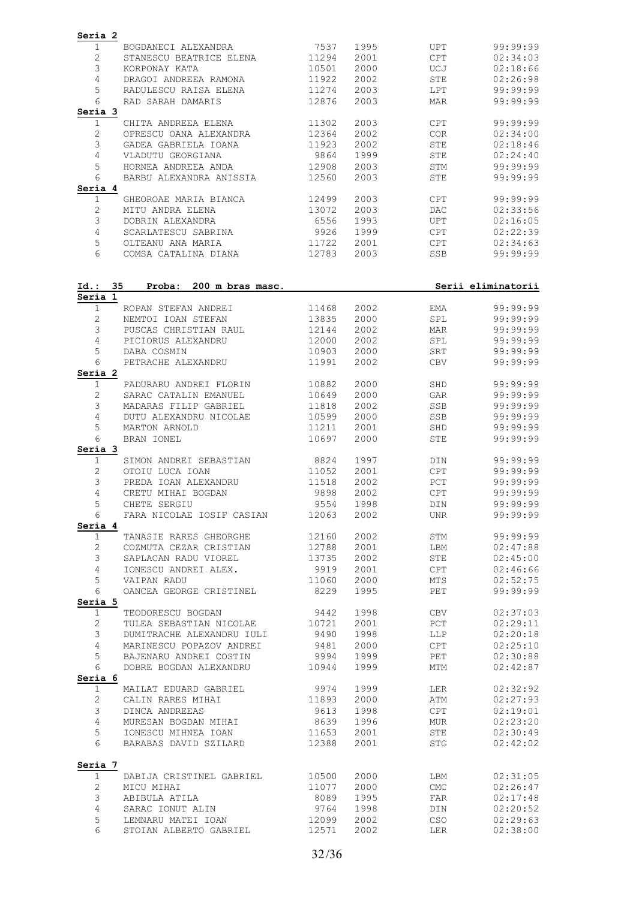| Seria 2<br>BOGDANECI ALEXANDRA<br>1                                     | 7537           | 1995         | UPT        | 99:99:99             |
|-------------------------------------------------------------------------|----------------|--------------|------------|----------------------|
| $\mathbf{2}$<br>STANESCU BEATRICE ELENA                                 | 11294          | 2001         | <b>CPT</b> | 02:34:03             |
| 3<br>KORPONAY KATA                                                      | 10501          | 2000         | UCJ        | 02:18:66             |
| 4<br>DRAGOI ANDREEA RAMONA<br>5<br>RADULESCU RAISA ELENA                | 11922<br>11274 | 2002<br>2003 | STE<br>LPT | 02:26:98<br>99:99:99 |
| 6<br>RAD SARAH DAMARIS                                                  | 12876          | 2003         | MAR        | 99:99:99             |
| Seria 3                                                                 |                |              |            |                      |
| 1<br>CHITA ANDREEA ELENA                                                | 11302          | 2003         | CPT        | 99:99:99             |
| $\mathbf{2}$<br>OPRESCU OANA ALEXANDRA                                  | 12364          | 2002         | COR        | 02:34:00             |
| 3<br>GADEA GABRIELA IOANA                                               | 11923          | 2002         | STE        | 02:18:46             |
| 4<br>VLADUTU GEORGIANA                                                  | 9864           | 1999         | STE        | 02:24:40             |
| 5<br>HORNEA ANDREEA ANDA<br>6<br>BARBU ALEXANDRA ANISSIA                | 12908<br>12560 | 2003<br>2003 | STM<br>STE | 99:99:99<br>99:99:99 |
| Seria 4                                                                 |                |              |            |                      |
| $\mathbf{1}$<br>GHEOROAE MARIA BIANCA                                   | 12499          | 2003         | CPT        | 99:99:99             |
| 2<br>MITU ANDRA ELENA                                                   | 13072          | 2003         | <b>DAC</b> | 02:33:56             |
| 3<br>DOBRIN ALEXANDRA                                                   | 6556           | 1993         | <b>UPT</b> | 02:16:05             |
| 4<br>SCARLATESCU SABRINA                                                | 9926           | 1999         | <b>CPT</b> | 02:22:39             |
| 5<br>OLTEANU ANA MARIA                                                  | 11722          | 2001         | CPT        | 02:34:63             |
| 6<br>COMSA CATALINA DIANA                                               | 12783          | 2003         | SSB        | 99:99:99             |
| $Id.$ :<br>35<br>Proba: 200 m bras masc.                                |                |              |            | Serii eliminatorii   |
| Seria 1<br>$\mathbf 1$<br>ROPAN STEFAN ANDREI                           | 11468          | 2002         | EMA        | 99:99:99             |
| 2<br>NEMTOI IOAN STEFAN                                                 | 13835          | 2000         | SPL        | 99:99:99             |
| 3<br>PUSCAS CHRISTIAN RAUL                                              | 12144          | 2002         | MAR        | 99:99:99             |
| 4<br>PICIORUS ALEXANDRU                                                 | 12000          | 2002         | SPL        | 99:99:99             |
| 5<br>DABA COSMIN                                                        | 10903          | 2000         | SRT        | 99:99:99             |
| 6<br>PETRACHE ALEXANDRU                                                 | 11991          | 2002         | <b>CBV</b> | 99:99:99             |
| Seria 2                                                                 |                |              |            |                      |
| $\mathbf{1}$<br>PADURARU ANDREI FLORIN                                  | 10882          | 2000         | SHD        | 99:99:99             |
| $\mathbf{2}^{\prime}$<br>SARAC CATALIN EMANUEL                          | 10649          | 2000         | GAR        | 99:99:99             |
| 3<br>MADARAS FILIP GABRIEL                                              | 11818          | 2002         | SSB        | 99:99:99             |
| 4<br>DUTU ALEXANDRU NICOLAE                                             | 10599          | 2000         | SSB        | 99:99:99             |
| 5<br>MARTON ARNOLD<br>6<br>BRAN IONEL                                   | 11211<br>10697 | 2001<br>2000 | SHD<br>STE | 99:99:99<br>99:99:99 |
| Seria 3                                                                 |                |              |            |                      |
| 1<br>SIMON ANDREI SEBASTIAN                                             | 8824           | 1997         | DIN        | 99:99:99             |
| $\mathbf{2}$<br>OTOIU LUCA IOAN                                         | 11052          | 2001         | CPT        | 99:99:99             |
| 3<br>PREDA IOAN ALEXANDRU                                               | 11518          | 2002         | PCT        | 99:99:99             |
| 4<br>CRETU MIHAI BOGDAN                                                 | 9898           | 2002         | CPT        | 99:99:99             |
| 5<br>CHETE SERGIU                                                       | 9554           | 1998         | DIN        | 99:99:99             |
| FARA NICOLAE IOSIF CASIAN 12063<br>6<br>Seria 4                         |                | 2002 2003    | <b>UNR</b> | 99:99:99             |
| TANASIE RARES GHEORGHE 12160<br>1                                       |                | 2002 2003    | STM        | 99:99:99             |
| $\mathbf{2}$<br>COZMUTA CEZAR CRISTIAN 12788                            |                | 2001         | LBM        | 02:47:88             |
| 3                                                                       |                | 2002         | STE        | 02:45:00             |
| SAPLACAN RADU VIOREL<br>IONESCU ANDREI ALEX.<br>$\overline{4}$          | 13735<br>9919  | 2001         | CPT        | 02:46:66             |
| 5<br>VAIPAN RADU                                                        | 11060          | 2000         | MTS        | 02:52:75             |
| 6<br>OANCEA GEORGE CRISTINEL 8229<br>Seria 5                            |                | 1995         | PET        | 99:99:99             |
| TEODORESCU BOGDAN 9442<br>$\mathbf{1}$                                  |                |              | 1998 CBV   | 02:37:03             |
| $\mathbf{2}$<br>TULEA SEBASTIAN NICOLAE 10721                           |                | 2001         | PCT        | 02:29:11             |
| 3<br>DUMITRACHE ALEXANDRU IULI 9490<br>MARINESCU POPAZOV ANDREI 9481    |                | 1998         | LLP        | 02:20:18             |
| $4\overline{ }$                                                         |                | 2000         | CPT        | 02:25:10             |
| 5<br>BAJENARU ANDREI COSTIN 9994                                        |                | 1999         | PET        | 02:30:88             |
| DOBRE BOGDAN ALEXANDRU 10944<br>6<br>Seria 6                            |                | 1999         | MTM        | 02:42:87             |
| MAILAT EDUARD GABRIEL 9974<br>$\mathbf{1}$                              |                | 1999 72      | LER        | 02:32:92             |
| $\mathbf{2}$<br>CALIN RARES MIHAI                                       | 11893 2000     |              | ATM        | 02:27:93             |
| 3<br>DINCA ANDREEAS                                                     | 9613           | 1998         | CPT        | 02:19:01             |
| MURESAN BOGDAN MIHAI 8639<br>$\overline{4}$                             |                | 1996         | MUR        | 02:23:20             |
| IONESCU MIHNEA IOAN 11653<br>BARABAS DAVID SZILARD 12388<br>5           |                | 2001         | STE        | 02:30:49             |
| 6                                                                       |                | 2001         | STG        | 02:42:02             |
| Seria 7                                                                 |                |              |            |                      |
| DABIJA CRISTINEL GABRIEL 10500<br>1                                     |                | 2000         | LBM        | 02:31:05             |
| $\overline{2}$                                                          |                | 2000         | CMC        | 02:26:47             |
| ABIBULA ATILA<br>3                                                      | 8089           | 1995         | FAR        | 02:17:48             |
| $\overline{4}$<br>SARAC IONUT ALIN                                      | 9764           | 1998         | DIN        | 02:20:52             |
|                                                                         |                |              |            |                      |
| LEMNARU MATEI IOAN<br>CEOILLE<br>5<br>STOIAN ALBERTO GABRIEL 12571<br>6 | 12099          | 2002<br>2002 | CSO<br>LER | 02:29:63<br>02:38:00 |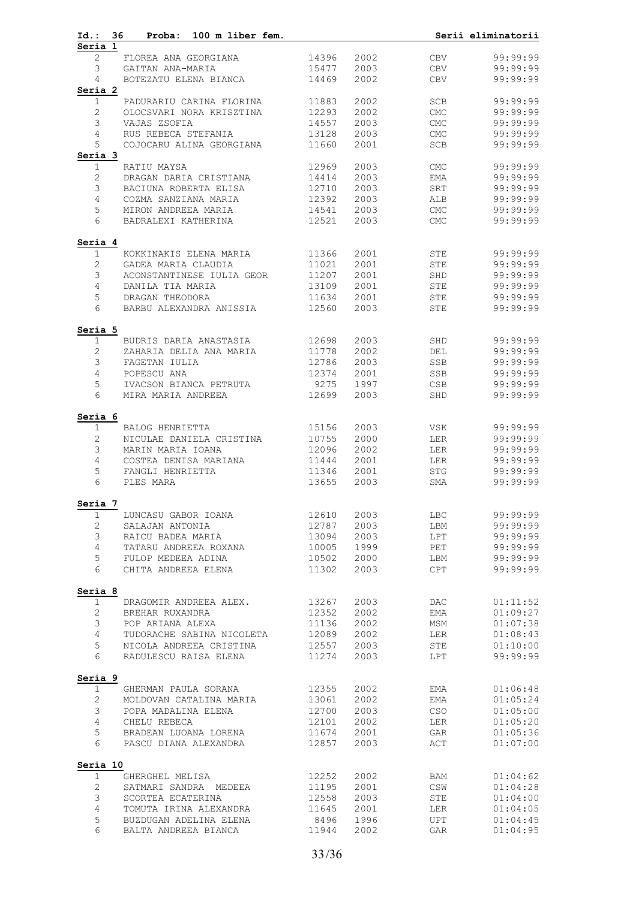| Id.: 36                 | Proba: 100 m liber fem.                          |                |              |                             | Serii eliminatorii   |
|-------------------------|--------------------------------------------------|----------------|--------------|-----------------------------|----------------------|
| Seria 1<br>$\mathbf{2}$ | FLOREA ANA GEORGIANA                             | 14396          | 2002         | CBV                         | 99:99:99             |
| 3                       | GAITAN ANA-MARIA                                 | 15477          | 2003         | CBV                         | 99:99:99             |
| 4                       | BOTEZATU ELENA BIANCA                            | 14469          | 2002         | CBV                         | 99:99:99             |
| Seria 2                 |                                                  |                |              |                             |                      |
| $\mathbf{1}$            | PADURARIU CARINA FLORINA                         | 11883          | 2002         | SCB                         | 99:99:99             |
| $\mathbf{2}$            | OLOCSVARI NORA KRISZTINA                         | 12293          | 2002         | CMC                         | 99:99:99             |
| 3                       | VAJAS ZSOFIA                                     | 14557          | 2003         | $\ensuremath{\mathrm{CMC}}$ | 99:99:99             |
| $\overline{4}$          | RUS REBECA STEFANIA                              | 13128          | 2003         | CMC                         | 99:99:99             |
| 5                       | COJOCARU ALINA GEORGIANA                         | 11660          | 2001         | SCB                         | 99:99:99             |
| Seria 3<br>$\mathbf 1$  | RATIU MAYSA                                      | 12969          | 2003         | CMC                         | 99:99:99             |
| $\mathbf{2}$            | DRAGAN DARIA CRISTIANA                           | 14414          | 2003         | EMA                         | 99:99:99             |
| 3                       | BACIUNA ROBERTA ELISA                            | 12710          | 2003         | SRT                         | 99:99:99             |
| $\overline{4}$          | COZMA SANZIANA MARIA                             | 12392          | 2003         | ALB                         | 99:99:99             |
| 5                       | MIRON ANDREEA MARIA                              | 14541          | 2003         | CMC                         | 99:99:99             |
| 6                       | BADRALEXI KATHERINA                              | 12521          | 2003         | $\ensuremath{\mathrm{CMC}}$ | 99:99:99             |
| Seria 4                 |                                                  |                |              |                             |                      |
| $\mathbf{1}$            | KOKKINAKIS ELENA MARIA                           | 11366          | 2001         | STE                         | 99:99:99             |
| 2<br>3                  | GADEA MARIA CLAUDIA                              | 11021<br>11207 | 2001         | STE                         | 99:99:99<br>99:99:99 |
| $\overline{4}$          | ACONSTANTINESE IULIA GEOR<br>DANILA TIA MARIA    | 13109          | 2001<br>2001 | SHD<br>STE                  | 99:99:99             |
| 5                       | DRAGAN THEODORA                                  | 11634          | 2001         | STE                         | 99:99:99             |
| 6                       | BARBU ALEXANDRA ANISSIA                          | 12560          | 2003         | STE                         | 99:99:99             |
| Seria 5                 |                                                  |                |              |                             |                      |
| $\mathbf 1$             | BUDRIS DARIA ANASTASIA                           | 12698          | 2003         | SHD                         | 99:99:99             |
| 2                       | ZAHARIA DELIA ANA MARIA                          | 11778          | 2002         | DEL                         | 99:99:99             |
| 3                       | FAGETAN IULIA                                    | 12786          | 2003         | SSB                         | 99:99:99             |
| $\overline{4}$          | POPESCU ANA                                      | 12374          | 2001         | SSB                         | 99:99:99             |
| 5<br>6                  | IVACSON BIANCA PETRUTA<br>MIRA MARIA ANDREEA     | 9275<br>12699  | 1997<br>2003 | CSB<br>SHD                  | 99:99:99<br>99:99:99 |
|                         |                                                  |                |              |                             |                      |
| Seria 6<br>$\mathbf 1$  | BALOG HENRIETTA                                  | 15156          | 2003         | VSK                         | 99:99:99             |
| 2                       | NICULAE DANIELA CRISTINA                         | 10755          | 2000         | LER                         | 99:99:99             |
| 3                       | MARIN MARIA IOANA                                | 12096          | 2002         | LER                         | 99:99:99             |
| $\overline{4}$          | COSTEA DENISA MARIANA                            | 11444          | 2001         | LER                         | 99:99:99             |
| 5                       | FANGLI HENRIETTA                                 | 11346          | 2001         | STG                         | 99:99:99             |
| 6                       | PLES MARA                                        | 13655          | 2003         | SMA                         | 99:99:99             |
| Seria 7                 |                                                  |                |              |                             |                      |
| 1                       | LUNCASU GABOR IOANA                              | 12610          | 2003         | LBC                         | 99:99:99             |
| $\mathbf{2}$            | SALAJAN ANTONIA                                  | 12787          | 2003         | LBM                         | 99:99:99             |
| 3<br>$\overline{4}$     | RAICU BADEA MARIA<br>TATARU ANDREEA ROXANA       | 13094<br>10005 | 2003<br>1999 | LPT<br>PET                  | 99:99:99<br>99:99:99 |
| 5                       | FULOP MEDEEA ADINA                               | 10502          | 2000         | LBM                         | 99:99:99             |
| 6                       | CHITA ANDREEA ELENA                              | 11302          | 2003         | <b>CPT</b>                  | 99:99:99             |
| Seria 8                 |                                                  |                |              |                             |                      |
| 1                       | DRAGOMIR ANDREEA ALEX.                           | 13267          | 2003         | DAC                         | 01:11:52             |
| 2                       | BREHAR RUXANDRA                                  | 12352          | 2002         | EMA                         | 01:09:27             |
| 3                       | POP ARIANA ALEXA                                 | 11136          | 2002         | MSM                         | 01:07:38             |
| 4                       | TUDORACHE SABINA NICOLETA                        | 12089          | 2002         | LER                         | 01:08:43             |
| 5<br>6                  | NICOLA ANDREEA CRISTINA<br>RADULESCU RAISA ELENA | 12557<br>11274 | 2003<br>2003 | STE<br>LPT                  | 01:10:00<br>99:99:99 |
| Seria 9                 |                                                  |                |              |                             |                      |
| $\mathbf 1$             | GHERMAN PAULA SORANA                             | 12355          | 2002         | EMA                         | 01:06:48             |
| $\mathbf{2}$            | MOLDOVAN CATALINA MARIA                          | 13061          | 2002         | EMA                         | 01:05:24             |
| 3                       | POPA MADALINA ELENA                              | 12700          | 2003         | CSO                         | 01:05:00             |
| $\overline{4}$          | CHELU REBECA                                     | 12101          | 2002         | LER                         | 01:05:20             |
| 5                       | BRADEAN LUOANA LORENA                            | 11674          | 2001         | GAR                         | 01:05:36             |
| 6                       | PASCU DIANA ALEXANDRA                            | 12857          | 2003         | ACT                         | 01:07:00             |
| Seria 10                |                                                  |                |              |                             |                      |
| $\mathbf{1}$            | GHERGHEL MELISA                                  | 12252          | 2002         | BAM                         | 01:04:62             |
| $\sqrt{2}$<br>3         | SATMARI SANDRA MEDEEA                            | 11195          | 2001         | $\mathbb{CSW}$              | 01:04:28             |
| 4                       | SCORTEA ECATERINA<br>TOMUTA IRINA ALEXANDRA      | 12558<br>11645 | 2003<br>2001 | STE<br>LER                  | 01:04:00<br>01:04:05 |
| 5                       | BUZDUGAN ADELINA ELENA                           | 8496           | 1996         | UPT                         | 01:04:45             |
| 6                       | BALTA ANDREEA BIANCA                             | 11944          | 2002         | GAR                         | 01:04:95             |
|                         |                                                  |                |              |                             |                      |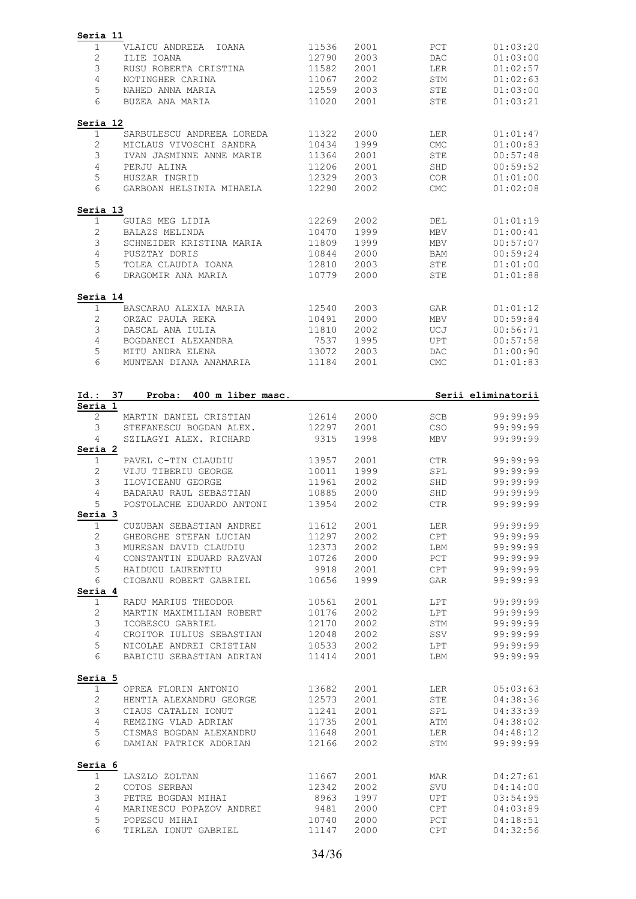| Seria 11                                                    |                |              |            |                                              |
|-------------------------------------------------------------|----------------|--------------|------------|----------------------------------------------|
| $\mathbf 1$<br>VLAICU ANDREEA IOANA                         | 11536          | 2001         | PCT        | 01:03:20                                     |
| $\mathbf{2}$<br>ILIE IOANA                                  | 12790          | 2003         | <b>DAC</b> | 01:03:00                                     |
| 3<br>RUSU ROBERTA CRISTINA                                  | 11582          | 2001         | LER        | 01:02:57                                     |
| 4<br>NOTINGHER CARINA                                       | 11067          | 2002         | <b>STM</b> | 01:02:63                                     |
| 5<br>NAHED ANNA MARIA                                       | 12559          | 2003         | <b>STE</b> | 01:03:00                                     |
| 6<br>BUZEA ANA MARIA                                        | 11020          | 2001         | <b>STE</b> | 01:03:21                                     |
|                                                             |                |              |            |                                              |
| Seria 12<br>1<br>SARBULESCU ANDREEA LOREDA                  | 11322          | 2000         | LER        | 01:01:47                                     |
| $\mathbf{2}$<br>MICLAUS VIVOSCHI SANDRA                     | 10434          | 1999         | <b>CMC</b> | 01:00:83                                     |
| 3<br>IVAN JASMINNE ANNE MARIE                               | 11364          | 2001         | <b>STE</b> | 00:57:48                                     |
| 4                                                           |                | 2001         |            |                                              |
| PERJU ALINA                                                 | 11206          |              | SHD        | 00:59:52                                     |
| 5<br>HUSZAR INGRID<br>6                                     | 12329          | 2003         | COR.       | 01:01:00                                     |
| GARBOAN HELSINIA MIHAELA                                    | 12290          | 2002         | <b>CMC</b> | 01:02:08                                     |
| Seria 13                                                    |                |              |            |                                              |
| $\mathbf 1$<br>GUIAS MEG LIDIA                              | 12269          | 2002         | DEL        | 01:01:19                                     |
| $\mathbf{2}$<br>BALAZS MELINDA                              | 10470          | 1999         | MBV        | 01:00:41                                     |
| 3<br>SCHNEIDER KRISTINA MARIA                               | 11809          | 1999         | <b>MBV</b> | 00:57:07                                     |
| 4<br>PUSZTAY DORIS                                          | 10844          | 2000         | BAM        | 00:59:24                                     |
| 5<br>TOLEA CLAUDIA IOANA                                    | 12810          | 2003         | STE        | 01:01:00                                     |
| 6<br>DRAGOMIR ANA MARIA                                     | 10779          | 2000         | STE        | 01:01:88                                     |
| Seria 14                                                    |                |              |            |                                              |
| 1<br>BASCARAU ALEXIA MARIA                                  | 12540          | 2003         | GAR        | 01:01:12                                     |
| 2<br>ORZAC PAULA REKA                                       | 10491          | 2000         | <b>MBV</b> | 00:59:84                                     |
| 3<br>DASCAL ANA IULIA                                       | 11810          | 2002         | UCJ        | 00:56:71                                     |
| 4<br>BOGDANECI ALEXANDRA                                    | 7537           | 1995         | <b>UPT</b> | 00:57:58                                     |
| 5<br>MITU ANDRA ELENA                                       | 13072          | 2003         | <b>DAC</b> | 01:00:90                                     |
| 6<br>MUNTEAN DIANA ANAMARIA                                 | 11184          | 2001         | <b>CMC</b> | 01:01:83                                     |
|                                                             |                |              |            |                                              |
| 37<br>400 m liber masc.<br>Id.:<br>Proba:<br>Seria 1        |                |              |            | Serii eliminatorii                           |
| $\mathbf{2}$<br>MARTIN DANIEL CRISTIAN                      | 12614          | 2000         | <b>SCB</b> | 99:99:99                                     |
| 3<br>STEFANESCU BOGDAN ALEX.                                | 12297          | 2001         | CSO        | 99:99:99                                     |
| 4<br>SZILAGYI ALEX. RICHARD                                 | 9315           | 1998         | MBV        | 99:99:99                                     |
| Seria 2                                                     |                |              |            |                                              |
| $\mathbf 1$<br>PAVEL C-TIN CLAUDIU                          | 13957          | 2001         | CTR.       | 99:99:99                                     |
| 2<br>VIJU TIBERIU GEORGE                                    | 10011          | 1999         | SPL        | 99:99:99                                     |
| 3<br>ILOVICEANU GEORGE                                      | 11961          | 2002         | SHD        | 99:99:99                                     |
| 4<br>BADARAU RAUL SEBASTIAN                                 | 10885          | 2000         | SHD        | 99:99:99                                     |
| 5<br>POSTOLACHE EDUARDO ANTONI<br>Seria 3                   | 13954          | 2002         | <b>CTR</b> | 99:99:99                                     |
| $\mathbf 1$<br>CUZUBAN SEBASTIAN ANDREI                     | 11612          | 2001         | LER        | 99:99:99                                     |
| $\mathbf{2}$<br>GHEORGHE STEFAN LUCIAN                      | 11297          | 2002         | CPT        | 99:99:99                                     |
| 3<br>MURESAN DAVID CLAUDIU                                  |                |              |            |                                              |
|                                                             | 12373          | 2002         | LBM        | 99:99:99                                     |
| 4<br>CONSTANTIN EDUARD RAZVAN                               | 10726          | 2000         | PCT        | 99:99:99                                     |
| 5<br>HAIDUCU LAURENTIU                                      | 9918           | 2001         | <b>CPT</b> | 99:99:99                                     |
| 6<br>CIOBANU ROBERT GABRIEL<br>Seria 4                      | 10656          | 1999         | GAR        | 99:99:99                                     |
| RADU MARIUS THEODOR<br>1                                    | 10561          | 2001         | LPT        | 99:99:99                                     |
| $\mathbf{2}$<br>MARTIN MAXIMILIAN ROBERT                    | 10176          | 2002         | LPT        | 99:99:99                                     |
| 3<br>ICOBESCU GABRIEL                                       | 12170          | 2002         | STM        | 99:99:99                                     |
| 4<br>CROITOR IULIUS SEBASTIAN                               | 12048          | 2002         | SSV        | 99:99:99                                     |
| 5<br>NICOLAE ANDREI CRISTIAN                                | 10533          | 2002         | LPT        | 99:99:99                                     |
| 6<br>BABICIU SEBASTIAN ADRIAN                               | 11414          | 2001         | LBM        | 99:99:99                                     |
|                                                             |                |              |            |                                              |
| Seria 5<br>$\mathbf 1$<br>OPREA FLORIN ANTONIO              | 13682          | 2001         |            | 05:03:63                                     |
|                                                             |                |              | LER        |                                              |
| 2<br>HENTIA ALEXANDRU GEORGE                                | 12573          | 2001         | STE        | 04:38:36                                     |
| $\mathfrak{Z}$<br>CIAUS CATALIN IONUT                       | 11241          | 2001         | SPL        | 04:33:39                                     |
| 4<br>REMZING VLAD ADRIAN                                    | 11735          | 2001         | ATM        | 04:38:02                                     |
| 5<br>CISMAS BOGDAN ALEXANDRU<br>6<br>DAMIAN PATRICK ADORIAN | 11648<br>12166 | 2001<br>2002 | LER<br>STM | 04:48:12<br>99:99:99                         |
|                                                             |                |              |            |                                              |
|                                                             |                |              |            |                                              |
| Seria 6                                                     |                |              |            |                                              |
| 1<br>LASZLO ZOLTAN                                          | 11667          | 2001         | MAR        |                                              |
| $\mathbf{2}$<br>COTOS SERBAN                                | 12342          | 2002         | SVU        |                                              |
| 3<br>PETRE BOGDAN MIHAI                                     | 8963           | 1997         | <b>UPT</b> |                                              |
| 4<br>MARINESCU POPAZOV ANDREI                               | 9481           | 2000         | <b>CPT</b> | 04:27:61<br>04:14:00<br>03:54:95<br>04:03:89 |
| 5<br>POPESCU MIHAI<br>6<br>TIRLEA IONUT GABRIEL             | 10740<br>11147 | 2000<br>2000 | PCT<br>CPT | 04:18:51<br>04:32:56                         |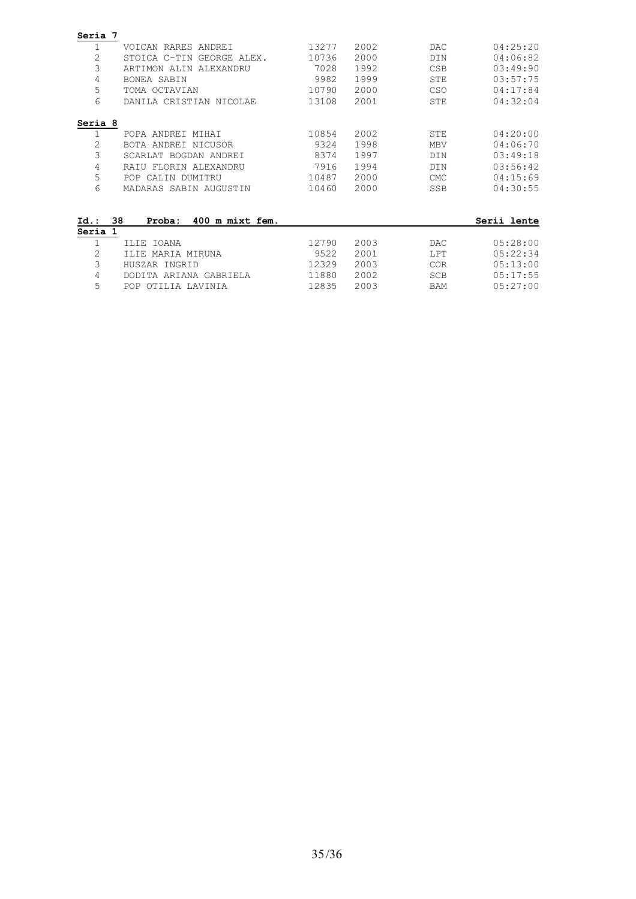| Seria 7        |                                 |       |      |            |             |
|----------------|---------------------------------|-------|------|------------|-------------|
|                | VOICAN RARES ANDREI             | 13277 | 2002 | <b>DAC</b> | 04:25:20    |
| 2              | STOICA C-TIN GEORGE ALEX.       | 10736 | 2000 | <b>DIN</b> | 04:06:82    |
| 3              | ARTIMON ALIN<br>ALEXANDRU       | 7028  | 1992 | <b>CSB</b> | 03:49:90    |
| 4              | BONEA SABIN                     | 9982  | 1999 | <b>STE</b> | 03:57:75    |
| 5              | TOMA OCTAVIAN                   | 10790 | 2000 | CSO        | 04:17:84    |
| 6              | DANILA CRISTIAN NICOLAE         | 13108 | 2001 | STE        | 04:32:04    |
| Seria 8        |                                 |       |      |            |             |
| 1              | POPA ANDREI MIHAI               | 10854 | 2002 | STE        | 04:20:00    |
| 2              | BOTA ANDREI NICUSOR             | 9324  | 1998 | <b>MBV</b> | 04:06:70    |
| 3              | SCARLAT BOGDAN ANDREI           | 8374  | 1997 | DIN        | 03:49:18    |
| 4              | RAIU FLORIN ALEXANDRU           | 7916  | 1994 | <b>DIN</b> | 03:56:42    |
| 5              | CALIN DUMITRU<br><b>POP</b>     | 10487 | 2000 | <b>CMC</b> | 04:15:69    |
| 6              | MADARAS SABIN AUGUSTIN          | 10460 | 2000 | <b>SSB</b> | 04:30:55    |
|                |                                 |       |      |            |             |
| $Id.$ :        | 38<br>400 m mixt fem.<br>Proba: |       |      |            | Serii lente |
| Seria 1        |                                 |       |      |            |             |
| 1              | <b>IOANA</b><br>TT.TE           | 12790 | 2003 | <b>DAC</b> | 05:28:00    |
| $\overline{2}$ | MARIA MIRUNA<br>TT.TE           | 9522  | 2001 | LPT        | 05:22:34    |
| 3              | HUSZAR INGRID                   | 12329 | 2003 | <b>COR</b> | 05:13:00    |
| 4              | DODITA ARIANA GABRIELA          | 11880 | 2002 | <b>SCB</b> | 05:17:55    |
| 5              | <b>POP</b><br>OTILIA LAVINIA    | 12835 | 2003 | <b>BAM</b> | 05:27:00    |